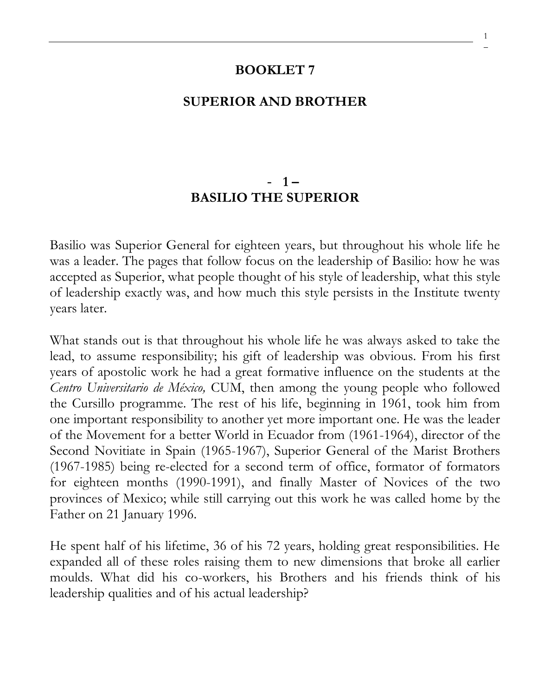#### **BOOKLET 7**

#### **SUPERIOR AND BROTHER**

#### - **1 – BASILIO THE SUPERIOR**

Basilio was Superior General for eighteen years, but throughout his whole life he was a leader. The pages that follow focus on the leadership of Basilio: how he was accepted as Superior, what people thought of his style of leadership, what this style of leadership exactly was, and how much this style persists in the Institute twenty years later.

What stands out is that throughout his whole life he was always asked to take the lead, to assume responsibility; his gift of leadership was obvious. From his first years of apostolic work he had a great formative influence on the students at the *Centro Universitario de México,* CUM, then among the young people who followed the Cursillo programme. The rest of his life, beginning in 1961, took him from one important responsibility to another yet more important one. He was the leader of the Movement for a better World in Ecuador from (1961-1964), director of the Second Novitiate in Spain (1965-1967), Superior General of the Marist Brothers (1967-1985) being re-elected for a second term of office, formator of formators for eighteen months (1990-1991), and finally Master of Novices of the two provinces of Mexico; while still carrying out this work he was called home by the Father on 21 January 1996.

He spent half of his lifetime, 36 of his 72 years, holding great responsibilities. He expanded all of these roles raising them to new dimensions that broke all earlier moulds. What did his co-workers, his Brothers and his friends think of his leadership qualities and of his actual leadership?

1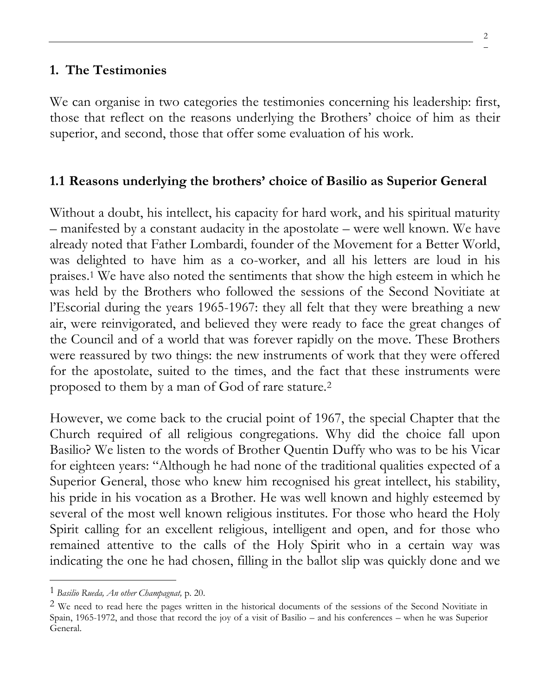#### **1. The Testimonies**

We can organise in two categories the testimonies concerning his leadership: first, those that reflect on the reasons underlying the Brothers' choice of him as their superior, and second, those that offer some evaluation of his work.

#### **1.1 Reasons underlying the brothers' choice of Basilio as Superior General**

Without a doubt, his intellect, his capacity for hard work, and his spiritual maturity – manifested by a constant audacity in the apostolate – were well known. We have already noted that Father Lombardi, founder of the Movement for a Better World, was delighted to have him as a co-worker, and all his letters are loud in his praises.<sup>1</sup> We have also noted the sentiments that show the high esteem in which he was held by the Brothers who followed the sessions of the Second Novitiate at l'Escorial during the years 1965-1967: they all felt that they were breathing a new air, were reinvigorated, and believed they were ready to face the great changes of the Council and of a world that was forever rapidly on the move. These Brothers were reassured by two things: the new instruments of work that they were offered for the apostolate, suited to the times, and the fact that these instruments were proposed to them by a man of God of rare stature.<sup>2</sup>

However, we come back to the crucial point of 1967, the special Chapter that the Church required of all religious congregations. Why did the choice fall upon Basilio? We listen to the words of Brother Quentin Duffy who was to be his Vicar for eighteen years: "Although he had none of the traditional qualities expected of a Superior General, those who knew him recognised his great intellect, his stability, his pride in his vocation as a Brother. He was well known and highly esteemed by several of the most well known religious institutes. For those who heard the Holy Spirit calling for an excellent religious, intelligent and open, and for those who remained attentive to the calls of the Holy Spirit who in a certain way was indicating the one he had chosen, filling in the ballot slip was quickly done and we

<sup>1</sup> *Basilio Rueda, An other Champagnat,* p. 20.

<sup>&</sup>lt;sup>2</sup> We need to read here the pages written in the historical documents of the sessions of the Second Novitiate in Spain, 1965-1972, and those that record the joy of a visit of Basilio – and his conferences – when he was Superior General.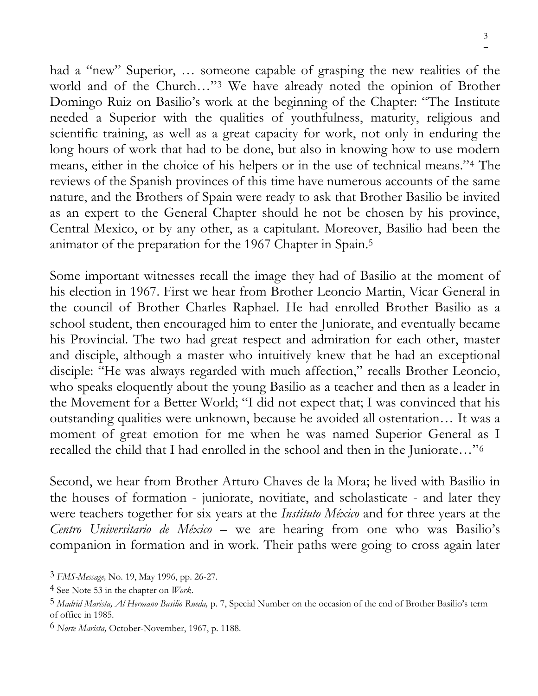3

had a "new" Superior, … someone capable of grasping the new realities of the world and of the Church…"<sup>3</sup> We have already noted the opinion of Brother Domingo Ruiz on Basilio's work at the beginning of the Chapter: "The Institute needed a Superior with the qualities of youthfulness, maturity, religious and scientific training, as well as a great capacity for work, not only in enduring the long hours of work that had to be done, but also in knowing how to use modern means, either in the choice of his helpers or in the use of technical means."<sup>4</sup> The reviews of the Spanish provinces of this time have numerous accounts of the same nature, and the Brothers of Spain were ready to ask that Brother Basilio be invited as an expert to the General Chapter should he not be chosen by his province, Central Mexico, or by any other, as a capitulant. Moreover, Basilio had been the animator of the preparation for the 1967 Chapter in Spain.<sup>5</sup>

Some important witnesses recall the image they had of Basilio at the moment of his election in 1967. First we hear from Brother Leoncio Martin, Vicar General in the council of Brother Charles Raphael. He had enrolled Brother Basilio as a school student, then encouraged him to enter the Juniorate, and eventually became his Provincial. The two had great respect and admiration for each other, master and disciple, although a master who intuitively knew that he had an exceptional disciple: "He was always regarded with much affection," recalls Brother Leoncio, who speaks eloquently about the young Basilio as a teacher and then as a leader in the Movement for a Better World; "I did not expect that; I was convinced that his outstanding qualities were unknown, because he avoided all ostentation… It was a moment of great emotion for me when he was named Superior General as I recalled the child that I had enrolled in the school and then in the Juniorate…"<sup>6</sup>

Second, we hear from Brother Arturo Chaves de la Mora; he lived with Basilio in the houses of formation - juniorate, novitiate, and scholasticate - and later they were teachers together for six years at the *Instituto México* and for three years at the *Centro Universitario de México –* we are hearing from one who was Basilio's companion in formation and in work. Their paths were going to cross again later

<sup>3</sup> *FMS-Message,* No. 19, May 1996, pp. 26-27.

<sup>4</sup> See Note 53 in the chapter on *Work*.

<sup>5</sup> *Madrid Marista, Al Hermano Basilio Rueda,* p. 7, Special Number on the occasion of the end of Brother Basilio's term of office in 1985.

<sup>6</sup> *Norte Marista,* October-November, 1967, p. 1188.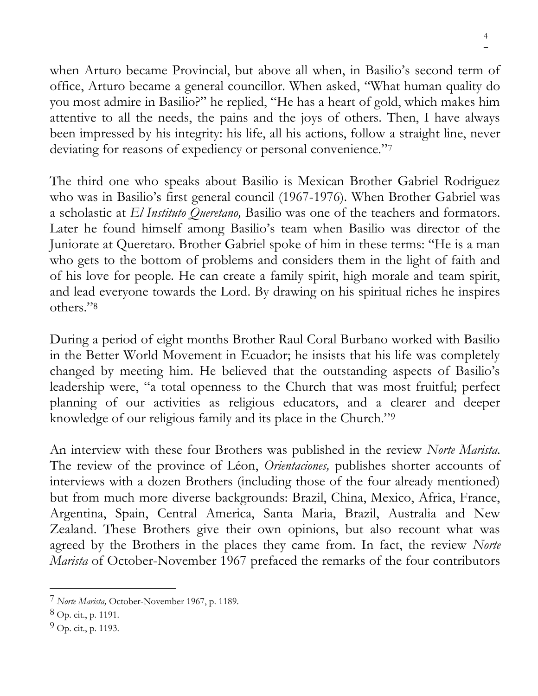when Arturo became Provincial, but above all when, in Basilio's second term of office, Arturo became a general councillor. When asked, "What human quality do you most admire in Basilio?" he replied, "He has a heart of gold, which makes him attentive to all the needs, the pains and the joys of others. Then, I have always been impressed by his integrity: his life, all his actions, follow a straight line, never deviating for reasons of expediency or personal convenience."7

The third one who speaks about Basilio is Mexican Brother Gabriel Rodriguez who was in Basilio's first general council (1967-1976). When Brother Gabriel was a scholastic at *El Instituto Queretano,* Basilio was one of the teachers and formators. Later he found himself among Basilio's team when Basilio was director of the Juniorate at Queretaro. Brother Gabriel spoke of him in these terms: "He is a man who gets to the bottom of problems and considers them in the light of faith and of his love for people. He can create a family spirit, high morale and team spirit, and lead everyone towards the Lord. By drawing on his spiritual riches he inspires others."<sup>8</sup>

During a period of eight months Brother Raul Coral Burbano worked with Basilio in the Better World Movement in Ecuador; he insists that his life was completely changed by meeting him. He believed that the outstanding aspects of Basilio's leadership were, "a total openness to the Church that was most fruitful; perfect planning of our activities as religious educators, and a clearer and deeper knowledge of our religious family and its place in the Church."<sup>9</sup>

An interview with these four Brothers was published in the review *Norte Marista.*  The review of the province of Léon, *Orientaciones,* publishes shorter accounts of interviews with a dozen Brothers (including those of the four already mentioned) but from much more diverse backgrounds: Brazil, China, Mexico, Africa, France, Argentina, Spain, Central America, Santa Maria, Brazil, Australia and New Zealand. These Brothers give their own opinions, but also recount what was agreed by the Brothers in the places they came from. In fact, the review *Norte Marista* of October-November 1967 prefaced the remarks of the four contributors

4

<sup>7</sup> *Norte Marista,* October-November 1967, p. 1189.

<sup>8</sup> Op. cit., p. 1191.

 $9$  Op. cit., p. 1193.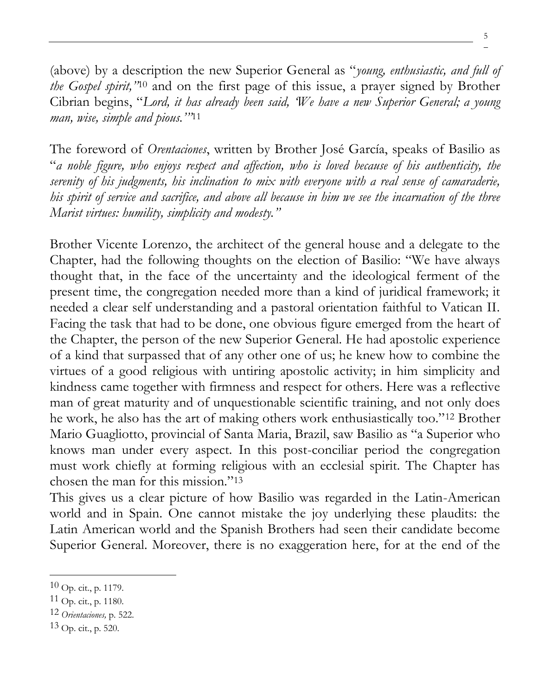(above) by a description the new Superior General as "*young, enthusiastic, and full of the Gospel spirit,"*<sup>10</sup> and on the first page of this issue, a prayer signed by Brother Cibrian begins, "*Lord, it has already been said, 'We have a new Superior General; a young man, wise, simple and pious.'"*<sup>11</sup>

The foreword of *Orentaciones*, written by Brother José García, speaks of Basilio as "*a noble figure, who enjoys respect and affection, who is loved because of his authenticity, the serenity of his judgments, his inclination to mix with everyone with a real sense of camaraderie, his spirit of service and sacrifice, and above all because in him we see the incarnation of the three Marist virtues: humility, simplicity and modesty."*

Brother Vicente Lorenzo, the architect of the general house and a delegate to the Chapter, had the following thoughts on the election of Basilio: "We have always thought that, in the face of the uncertainty and the ideological ferment of the present time, the congregation needed more than a kind of juridical framework; it needed a clear self understanding and a pastoral orientation faithful to Vatican II. Facing the task that had to be done, one obvious figure emerged from the heart of the Chapter, the person of the new Superior General. He had apostolic experience of a kind that surpassed that of any other one of us; he knew how to combine the virtues of a good religious with untiring apostolic activity; in him simplicity and kindness came together with firmness and respect for others. Here was a reflective man of great maturity and of unquestionable scientific training, and not only does he work, he also has the art of making others work enthusiastically too."<sup>12</sup> Brother Mario Guagliotto, provincial of Santa Maria, Brazil, saw Basilio as "a Superior who knows man under every aspect. In this post-conciliar period the congregation must work chiefly at forming religious with an ecclesial spirit. The Chapter has chosen the man for this mission."<sup>13</sup>

This gives us a clear picture of how Basilio was regarded in the Latin-American world and in Spain. One cannot mistake the joy underlying these plaudits: the Latin American world and the Spanish Brothers had seen their candidate become Superior General. Moreover, there is no exaggeration here, for at the end of the

5

 $10$  Op. cit., p. 1179.

 $11$  Op. cit., p. 1180.

<sup>12</sup> *Orientaciones,* p. 522.

<sup>13</sup> Op. cit., p. 520.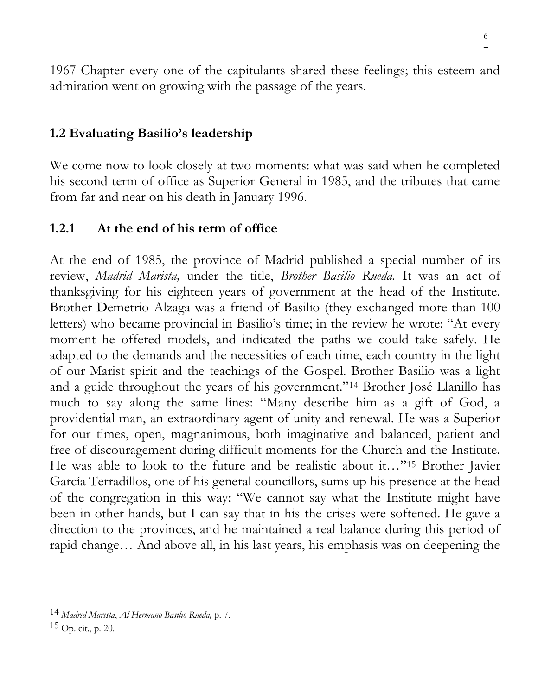1967 Chapter every one of the capitulants shared these feelings; this esteem and admiration went on growing with the passage of the years.

# **1.2 Evaluating Basilio's leadership**

We come now to look closely at two moments: what was said when he completed his second term of office as Superior General in 1985, and the tributes that came from far and near on his death in January 1996.

# **1.2.1 At the end of his term of office**

At the end of 1985, the province of Madrid published a special number of its review, *Madrid Marista,* under the title, *Brother Basilio Rueda.* It was an act of thanksgiving for his eighteen years of government at the head of the Institute. Brother Demetrio Alzaga was a friend of Basilio (they exchanged more than 100 letters) who became provincial in Basilio's time; in the review he wrote: "At every moment he offered models, and indicated the paths we could take safely. He adapted to the demands and the necessities of each time, each country in the light of our Marist spirit and the teachings of the Gospel. Brother Basilio was a light and a guide throughout the years of his government."<sup>14</sup> Brother José Llanillo has much to say along the same lines: "Many describe him as a gift of God, a providential man, an extraordinary agent of unity and renewal. He was a Superior for our times, open, magnanimous, both imaginative and balanced, patient and free of discouragement during difficult moments for the Church and the Institute. He was able to look to the future and be realistic about it…"<sup>15</sup> Brother Javier García Terradillos, one of his general councillors, sums up his presence at the head of the congregation in this way: "We cannot say what the Institute might have been in other hands, but I can say that in his the crises were softened. He gave a direction to the provinces, and he maintained a real balance during this period of rapid change… And above all, in his last years, his emphasis was on deepening the

<sup>14</sup> *Madrid Marista*, *Al Hermano Basilio Rueda,* p. 7.

 $15$  Op. cit., p. 20.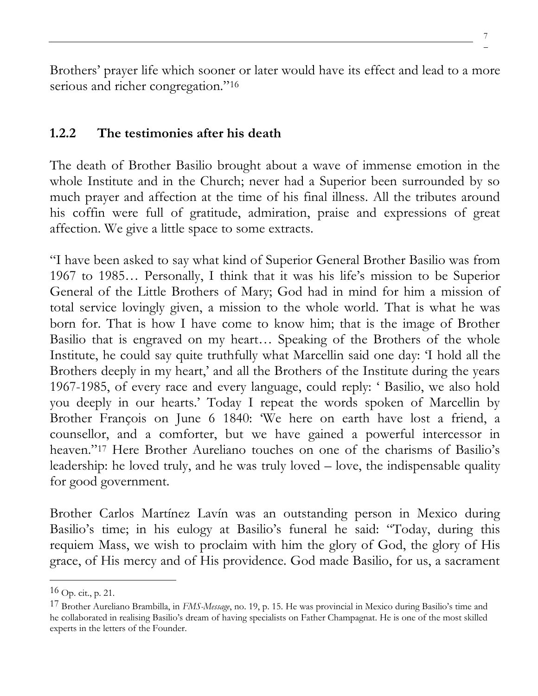7

Brothers' prayer life which sooner or later would have its effect and lead to a more serious and richer congregation."<sup>16</sup>

### **1.2.2 The testimonies after his death**

The death of Brother Basilio brought about a wave of immense emotion in the whole Institute and in the Church; never had a Superior been surrounded by so much prayer and affection at the time of his final illness. All the tributes around his coffin were full of gratitude, admiration, praise and expressions of great affection. We give a little space to some extracts.

"I have been asked to say what kind of Superior General Brother Basilio was from 1967 to 1985… Personally, I think that it was his life's mission to be Superior General of the Little Brothers of Mary; God had in mind for him a mission of total service lovingly given, a mission to the whole world. That is what he was born for. That is how I have come to know him; that is the image of Brother Basilio that is engraved on my heart… Speaking of the Brothers of the whole Institute, he could say quite truthfully what Marcellin said one day: 'I hold all the Brothers deeply in my heart,' and all the Brothers of the Institute during the years 1967-1985, of every race and every language, could reply: ' Basilio, we also hold you deeply in our hearts.' Today I repeat the words spoken of Marcellin by Brother François on June 6 1840: 'We here on earth have lost a friend, a counsellor, and a comforter, but we have gained a powerful intercessor in heaven."<sup>17</sup> Here Brother Aureliano touches on one of the charisms of Basilio's leadership: he loved truly, and he was truly loved – love, the indispensable quality for good government.

Brother Carlos Martínez Lavín was an outstanding person in Mexico during Basilio's time; in his eulogy at Basilio's funeral he said: "Today, during this requiem Mass, we wish to proclaim with him the glory of God, the glory of His grace, of His mercy and of His providence. God made Basilio, for us, a sacrament

 $16$  Op. cit., p. 21.

<sup>17</sup> Brother Aureliano Brambilla, in *FMS-Message*, no. 19, p. 15. He was provincial in Mexico during Basilio's time and he collaborated in realising Basilio's dream of having specialists on Father Champagnat. He is one of the most skilled experts in the letters of the Founder.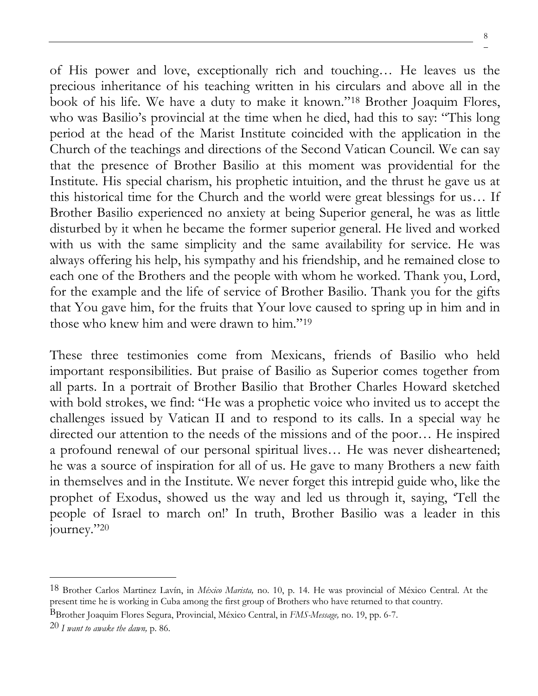of His power and love, exceptionally rich and touching… He leaves us the precious inheritance of his teaching written in his circulars and above all in the book of his life. We have a duty to make it known."<sup>18</sup> Brother Joaquim Flores, who was Basilio's provincial at the time when he died, had this to say: "This long period at the head of the Marist Institute coincided with the application in the Church of the teachings and directions of the Second Vatican Council. We can say that the presence of Brother Basilio at this moment was providential for the Institute. His special charism, his prophetic intuition, and the thrust he gave us at this historical time for the Church and the world were great blessings for us… If Brother Basilio experienced no anxiety at being Superior general, he was as little disturbed by it when he became the former superior general. He lived and worked with us with the same simplicity and the same availability for service. He was always offering his help, his sympathy and his friendship, and he remained close to each one of the Brothers and the people with whom he worked. Thank you, Lord, for the example and the life of service of Brother Basilio. Thank you for the gifts that You gave him, for the fruits that Your love caused to spring up in him and in those who knew him and were drawn to him."<sup>19</sup>

These three testimonies come from Mexicans, friends of Basilio who held important responsibilities. But praise of Basilio as Superior comes together from all parts. In a portrait of Brother Basilio that Brother Charles Howard sketched with bold strokes, we find: "He was a prophetic voice who invited us to accept the challenges issued by Vatican II and to respond to its calls. In a special way he directed our attention to the needs of the missions and of the poor… He inspired a profound renewal of our personal spiritual lives… He was never disheartened; he was a source of inspiration for all of us. He gave to many Brothers a new faith in themselves and in the Institute. We never forget this intrepid guide who, like the prophet of Exodus, showed us the way and led us through it, saying, 'Tell the people of Israel to march on!' In truth, Brother Basilio was a leader in this journey."<sup>20</sup>

<sup>18</sup> Brother Carlos Martinez Lavín, in *México Marista,* no. 10, p. 14. He was provincial of México Central. At the present time he is working in Cuba among the first group of Brothers who have returned to that country.

BBrother Joaquim Flores Segura, Provincial, México Central, in *FMS-Message,* no. 19, pp. 6-7.

<sup>20</sup> *I want to awake the dawn,* p. 86.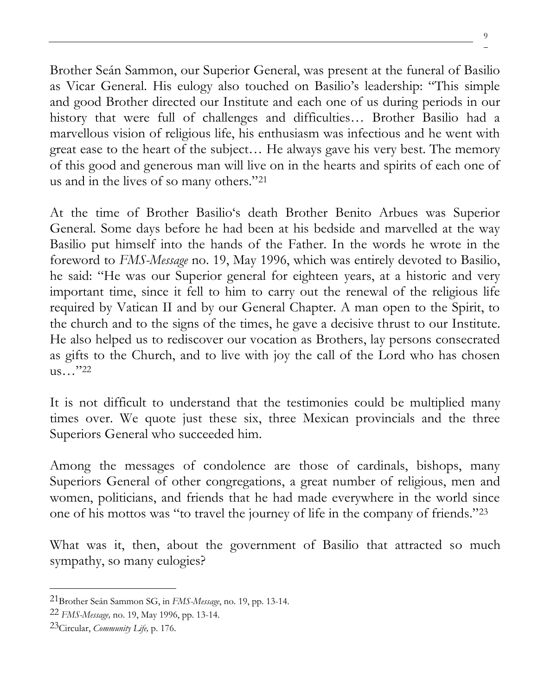Brother Seán Sammon, our Superior General, was present at the funeral of Basilio as Vicar General. His eulogy also touched on Basilio's leadership: "This simple and good Brother directed our Institute and each one of us during periods in our history that were full of challenges and difficulties… Brother Basilio had a marvellous vision of religious life, his enthusiasm was infectious and he went with great ease to the heart of the subject… He always gave his very best. The memory of this good and generous man will live on in the hearts and spirits of each one of us and in the lives of so many others."<sup>21</sup>

At the time of Brother Basilio's death Brother Benito Arbues was Superior General. Some days before he had been at his bedside and marvelled at the way Basilio put himself into the hands of the Father. In the words he wrote in the foreword to *FMS-Message* no. 19, May 1996, which was entirely devoted to Basilio, he said: "He was our Superior general for eighteen years, at a historic and very important time, since it fell to him to carry out the renewal of the religious life required by Vatican II and by our General Chapter. A man open to the Spirit, to the church and to the signs of the times, he gave a decisive thrust to our Institute. He also helped us to rediscover our vocation as Brothers, lay persons consecrated as gifts to the Church, and to live with joy the call of the Lord who has chosen us…"<sup>22</sup>

It is not difficult to understand that the testimonies could be multiplied many times over. We quote just these six, three Mexican provincials and the three Superiors General who succeeded him.

Among the messages of condolence are those of cardinals, bishops, many Superiors General of other congregations, a great number of religious, men and women, politicians, and friends that he had made everywhere in the world since one of his mottos was "to travel the journey of life in the company of friends."<sup>23</sup>

What was it, then, about the government of Basilio that attracted so much sympathy, so many eulogies?

<sup>21</sup>Brother Seán Sammon SG, in *FMS-Message*, no. 19, pp. 13-14.

<sup>22</sup> *FMS-Message,* no. 19, May 1996, pp. 13-14.

<sup>23</sup>Circular, *Community Life,* p. 176.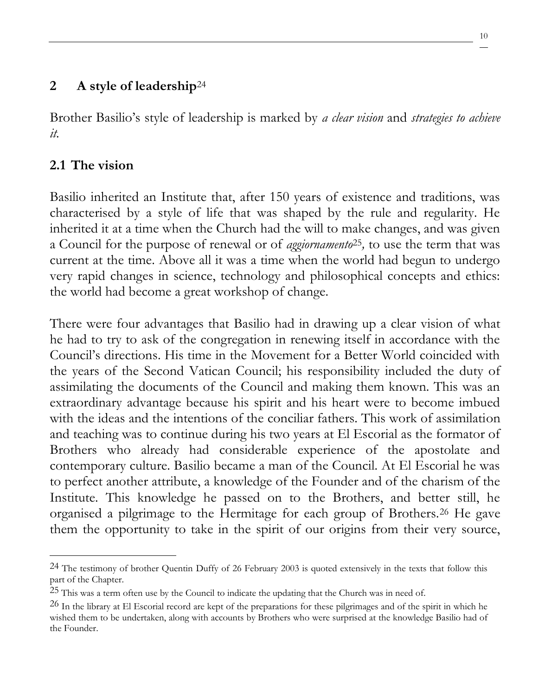## **2 A style of leadership**<sup>24</sup>

Brother Basilio's style of leadership is marked by *a clear vision* and *strategies to achieve it.*

# **2.1 The vision**

Basilio inherited an Institute that, after 150 years of existence and traditions, was characterised by a style of life that was shaped by the rule and regularity. He inherited it at a time when the Church had the will to make changes, and was given a Council for the purpose of renewal or of *aggiornamento*25*,* to use the term that was current at the time. Above all it was a time when the world had begun to undergo very rapid changes in science, technology and philosophical concepts and ethics: the world had become a great workshop of change.

There were four advantages that Basilio had in drawing up a clear vision of what he had to try to ask of the congregation in renewing itself in accordance with the Council's directions. His time in the Movement for a Better World coincided with the years of the Second Vatican Council; his responsibility included the duty of assimilating the documents of the Council and making them known. This was an extraordinary advantage because his spirit and his heart were to become imbued with the ideas and the intentions of the conciliar fathers. This work of assimilation and teaching was to continue during his two years at El Escorial as the formator of Brothers who already had considerable experience of the apostolate and contemporary culture. Basilio became a man of the Council. At El Escorial he was to perfect another attribute, a knowledge of the Founder and of the charism of the Institute. This knowledge he passed on to the Brothers, and better still, he organised a pilgrimage to the Hermitage for each group of Brothers.<sup>26</sup> He gave them the opportunity to take in the spirit of our origins from their very source,

<sup>24</sup> The testimony of brother Quentin Duffy of 26 February 2003 is quoted extensively in the texts that follow this part of the Chapter.

<sup>&</sup>lt;sup>25</sup> This was a term often use by the Council to indicate the updating that the Church was in need of.

 $^{26}$  In the library at El Escorial record are kept of the preparations for these pilgrimages and of the spirit in which he wished them to be undertaken, along with accounts by Brothers who were surprised at the knowledge Basilio had of the Founder.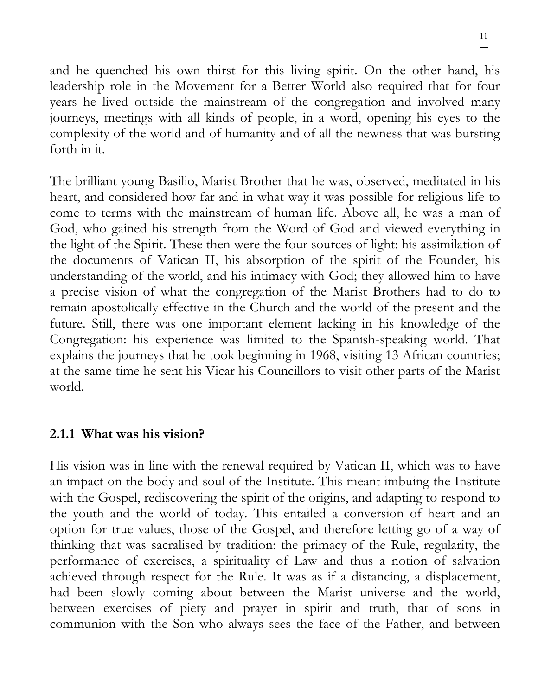and he quenched his own thirst for this living spirit. On the other hand, his leadership role in the Movement for a Better World also required that for four years he lived outside the mainstream of the congregation and involved many journeys, meetings with all kinds of people, in a word, opening his eyes to the complexity of the world and of humanity and of all the newness that was bursting forth in it.

The brilliant young Basilio, Marist Brother that he was, observed, meditated in his heart, and considered how far and in what way it was possible for religious life to come to terms with the mainstream of human life. Above all, he was a man of God, who gained his strength from the Word of God and viewed everything in the light of the Spirit. These then were the four sources of light: his assimilation of the documents of Vatican II, his absorption of the spirit of the Founder, his understanding of the world, and his intimacy with God; they allowed him to have a precise vision of what the congregation of the Marist Brothers had to do to remain apostolically effective in the Church and the world of the present and the future. Still, there was one important element lacking in his knowledge of the Congregation: his experience was limited to the Spanish-speaking world. That explains the journeys that he took beginning in 1968, visiting 13 African countries; at the same time he sent his Vicar his Councillors to visit other parts of the Marist world.

### **2.1.1 What was his vision?**

His vision was in line with the renewal required by Vatican II, which was to have an impact on the body and soul of the Institute. This meant imbuing the Institute with the Gospel, rediscovering the spirit of the origins, and adapting to respond to the youth and the world of today. This entailed a conversion of heart and an option for true values, those of the Gospel, and therefore letting go of a way of thinking that was sacralised by tradition: the primacy of the Rule, regularity, the performance of exercises, a spirituality of Law and thus a notion of salvation achieved through respect for the Rule. It was as if a distancing, a displacement, had been slowly coming about between the Marist universe and the world, between exercises of piety and prayer in spirit and truth, that of sons in communion with the Son who always sees the face of the Father, and between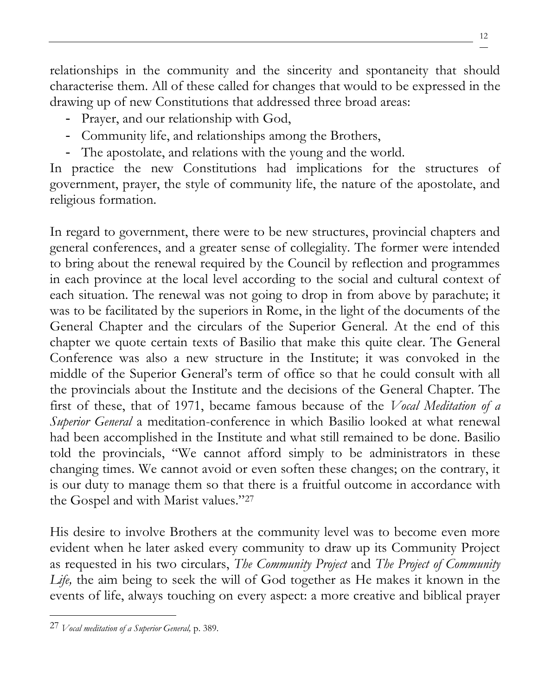relationships in the community and the sincerity and spontaneity that should characterise them. All of these called for changes that would to be expressed in the drawing up of new Constitutions that addressed three broad areas:

- Prayer, and our relationship with God,
- Community life, and relationships among the Brothers,
- The apostolate, and relations with the young and the world.

In practice the new Constitutions had implications for the structures of government, prayer, the style of community life, the nature of the apostolate, and religious formation.

In regard to government, there were to be new structures, provincial chapters and general conferences, and a greater sense of collegiality. The former were intended to bring about the renewal required by the Council by reflection and programmes in each province at the local level according to the social and cultural context of each situation. The renewal was not going to drop in from above by parachute; it was to be facilitated by the superiors in Rome, in the light of the documents of the General Chapter and the circulars of the Superior General. At the end of this chapter we quote certain texts of Basilio that make this quite clear. The General Conference was also a new structure in the Institute; it was convoked in the middle of the Superior General's term of office so that he could consult with all the provincials about the Institute and the decisions of the General Chapter. The first of these, that of 1971, became famous because of the *Vocal Meditation of a Superior General* a meditation-conference in which Basilio looked at what renewal had been accomplished in the Institute and what still remained to be done. Basilio told the provincials, "We cannot afford simply to be administrators in these changing times. We cannot avoid or even soften these changes; on the contrary, it is our duty to manage them so that there is a fruitful outcome in accordance with the Gospel and with Marist values."<sup>27</sup>

His desire to involve Brothers at the community level was to become even more evident when he later asked every community to draw up its Community Project as requested in his two circulars, *The Community Project* and *The Project of Community Life,* the aim being to seek the will of God together as He makes it known in the events of life, always touching on every aspect: a more creative and biblical prayer

<sup>27</sup> *Vocal meditation of a Superior General,* p. 389.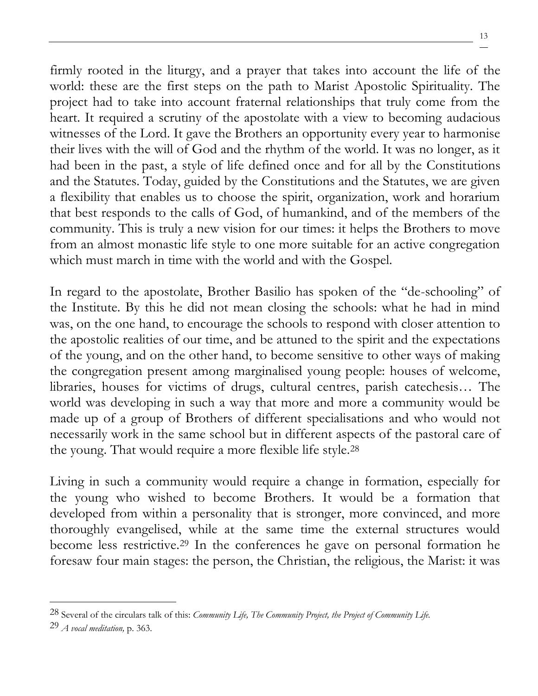firmly rooted in the liturgy, and a prayer that takes into account the life of the world: these are the first steps on the path to Marist Apostolic Spirituality. The project had to take into account fraternal relationships that truly come from the heart. It required a scrutiny of the apostolate with a view to becoming audacious witnesses of the Lord. It gave the Brothers an opportunity every year to harmonise their lives with the will of God and the rhythm of the world. It was no longer, as it had been in the past, a style of life defined once and for all by the Constitutions and the Statutes. Today, guided by the Constitutions and the Statutes, we are given a flexibility that enables us to choose the spirit, organization, work and horarium that best responds to the calls of God, of humankind, and of the members of the community. This is truly a new vision for our times: it helps the Brothers to move from an almost monastic life style to one more suitable for an active congregation which must march in time with the world and with the Gospel.

In regard to the apostolate, Brother Basilio has spoken of the "de-schooling" of the Institute. By this he did not mean closing the schools: what he had in mind was, on the one hand, to encourage the schools to respond with closer attention to the apostolic realities of our time, and be attuned to the spirit and the expectations of the young, and on the other hand, to become sensitive to other ways of making the congregation present among marginalised young people: houses of welcome, libraries, houses for victims of drugs, cultural centres, parish catechesis… The world was developing in such a way that more and more a community would be made up of a group of Brothers of different specialisations and who would not necessarily work in the same school but in different aspects of the pastoral care of the young. That would require a more flexible life style.<sup>28</sup>

Living in such a community would require a change in formation, especially for the young who wished to become Brothers. It would be a formation that developed from within a personality that is stronger, more convinced, and more thoroughly evangelised, while at the same time the external structures would become less restrictive.<sup>29</sup> In the conferences he gave on personal formation he foresaw four main stages: the person, the Christian, the religious, the Marist: it was

<sup>28</sup> Several of the circulars talk of this: *Community Life, The Community Project, the Project of Community Life.*

<sup>29</sup> *A vocal meditation,* p. 363.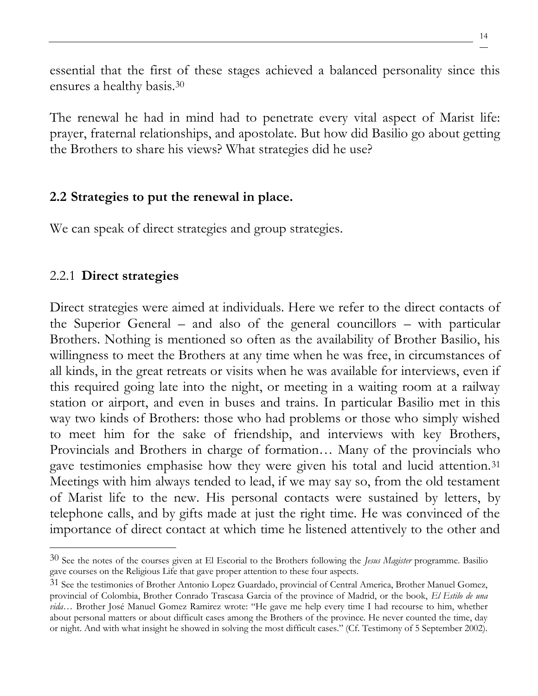essential that the first of these stages achieved a balanced personality since this ensures a healthy basis.<sup>30</sup>

The renewal he had in mind had to penetrate every vital aspect of Marist life: prayer, fraternal relationships, and apostolate. But how did Basilio go about getting the Brothers to share his views? What strategies did he use?

### **2.2 Strategies to put the renewal in place.**

We can speak of direct strategies and group strategies.

# 2.2.1 **Direct strategies**

Direct strategies were aimed at individuals. Here we refer to the direct contacts of the Superior General – and also of the general councillors – with particular Brothers. Nothing is mentioned so often as the availability of Brother Basilio, his willingness to meet the Brothers at any time when he was free, in circumstances of all kinds, in the great retreats or visits when he was available for interviews, even if this required going late into the night, or meeting in a waiting room at a railway station or airport, and even in buses and trains. In particular Basilio met in this way two kinds of Brothers: those who had problems or those who simply wished to meet him for the sake of friendship, and interviews with key Brothers, Provincials and Brothers in charge of formation… Many of the provincials who gave testimonies emphasise how they were given his total and lucid attention.<sup>31</sup> Meetings with him always tended to lead, if we may say so, from the old testament of Marist life to the new. His personal contacts were sustained by letters, by telephone calls, and by gifts made at just the right time. He was convinced of the importance of direct contact at which time he listened attentively to the other and

<sup>30</sup> See the notes of the courses given at El Escorial to the Brothers following the *Jesus Magister* programme. Basilio gave courses on the Religious Life that gave proper attention to these four aspects.

<sup>31</sup> See the testimonies of Brother Antonio Lopez Guardado, provincial of Central America, Brother Manuel Gomez, provincial of Colombia, Brother Conrado Trascasa Garcia of the province of Madrid, or the book, *El Estilo de una vida…* Brother José Manuel Gomez Ramirez wrote: "He gave me help every time I had recourse to him, whether about personal matters or about difficult cases among the Brothers of the province. He never counted the time, day or night. And with what insight he showed in solving the most difficult cases." (Cf. Testimony of 5 September 2002).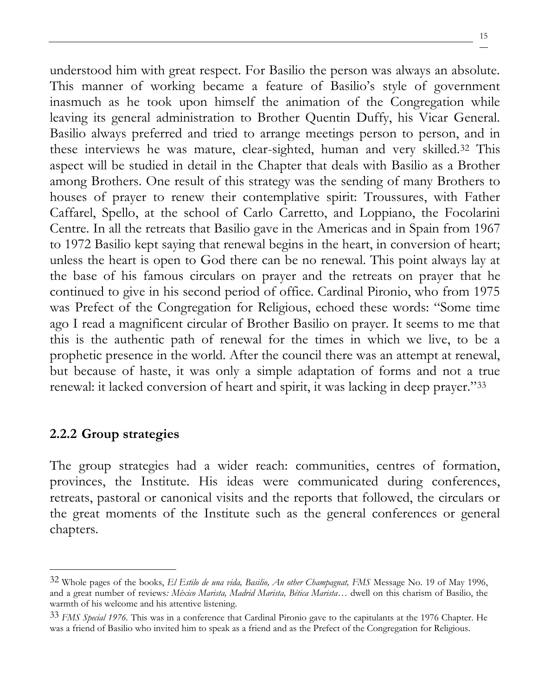understood him with great respect. For Basilio the person was always an absolute. This manner of working became a feature of Basilio's style of government inasmuch as he took upon himself the animation of the Congregation while leaving its general administration to Brother Quentin Duffy, his Vicar General. Basilio always preferred and tried to arrange meetings person to person, and in these interviews he was mature, clear-sighted, human and very skilled.<sup>32</sup> This aspect will be studied in detail in the Chapter that deals with Basilio as a Brother among Brothers. One result of this strategy was the sending of many Brothers to houses of prayer to renew their contemplative spirit: Troussures, with Father Caffarel, Spello, at the school of Carlo Carretto, and Loppiano, the Focolarini Centre. In all the retreats that Basilio gave in the Americas and in Spain from 1967 to 1972 Basilio kept saying that renewal begins in the heart, in conversion of heart; unless the heart is open to God there can be no renewal. This point always lay at the base of his famous circulars on prayer and the retreats on prayer that he continued to give in his second period of office. Cardinal Pironio, who from 1975 was Prefect of the Congregation for Religious, echoed these words: "Some time ago I read a magnificent circular of Brother Basilio on prayer. It seems to me that this is the authentic path of renewal for the times in which we live, to be a prophetic presence in the world. After the council there was an attempt at renewal, but because of haste, it was only a simple adaptation of forms and not a true renewal: it lacked conversion of heart and spirit, it was lacking in deep prayer."<sup>33</sup>

#### **2.2.2 Group strategies**

The group strategies had a wider reach: communities, centres of formation, provinces, the Institute. His ideas were communicated during conferences, retreats, pastoral or canonical visits and the reports that followed, the circulars or the great moments of the Institute such as the general conferences or general chapters.

<sup>32</sup> Whole pages of the books, *El Estilo de una vida, Basilio, An other Champagnat, FMS* Message No. 19 of May 1996, and a great number of reviews*: México Marista, Madrid Marista, Bética Marista*… dwell on this charism of Basilio, the warmth of his welcome and his attentive listening.

<sup>33</sup> *FMS Special 1976.* This was in a conference that Cardinal Pironio gave to the capitulants at the 1976 Chapter. He was a friend of Basilio who invited him to speak as a friend and as the Prefect of the Congregation for Religious.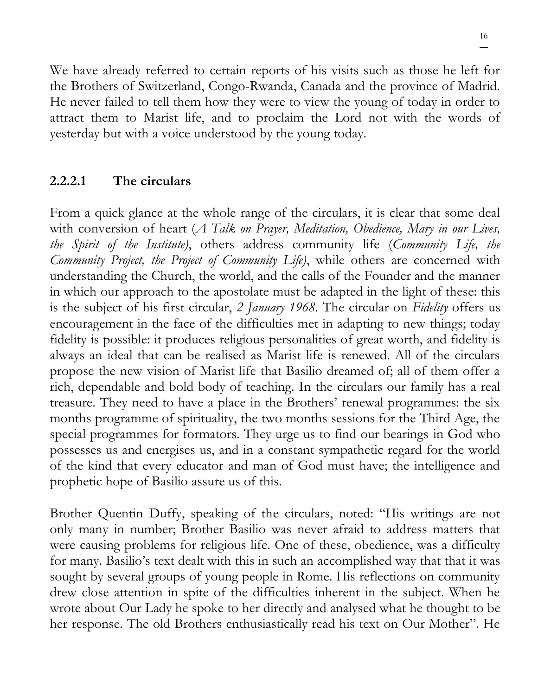We have already referred to certain reports of his visits such as those he left for the Brothers of Switzerland, Congo-Rwanda, Canada and the province of Madrid. He never failed to tell them how they were to view the young of today in order to attract them to Marist life, and to proclaim the Lord not with the words of yesterday but with a voice understood by the young today.

# **2.2.2.1 The circulars**

From a quick glance at the whole range of the circulars, it is clear that some deal with conversion of heart (*A Talk on Prayer, Meditation, Obedience, Mary in our Lives, the Spirit of the Institute)*, others address community life (*Community Life, the Community Project, the Project of Community Life)*, while others are concerned with understanding the Church, the world, and the calls of the Founder and the manner in which our approach to the apostolate must be adapted in the light of these: this is the subject of his first circular, *2 January 1968.* The circular on *Fidelity* offers us encouragement in the face of the difficulties met in adapting to new things; today fidelity is possible: it produces religious personalities of great worth, and fidelity is always an ideal that can be realised as Marist life is renewed. All of the circulars propose the new vision of Marist life that Basilio dreamed of; all of them offer a rich, dependable and bold body of teaching. In the circulars our family has a real treasure. They need to have a place in the Brothers' renewal programmes: the six months programme of spirituality, the two months sessions for the Third Age, the special programmes for formators. They urge us to find our bearings in God who possesses us and energises us, and in a constant sympathetic regard for the world of the kind that every educator and man of God must have; the intelligence and prophetic hope of Basilio assure us of this.

Brother Quentin Duffy, speaking of the circulars, noted: "His writings are not only many in number; Brother Basilio was never afraid to address matters that were causing problems for religious life. One of these, obedience, was a difficulty for many. Basilio's text dealt with this in such an accomplished way that that it was sought by several groups of young people in Rome. His reflections on community drew close attention in spite of the difficulties inherent in the subject. When he wrote about Our Lady he spoke to her directly and analysed what he thought to be her response. The old Brothers enthusiastically read his text on Our Mother". He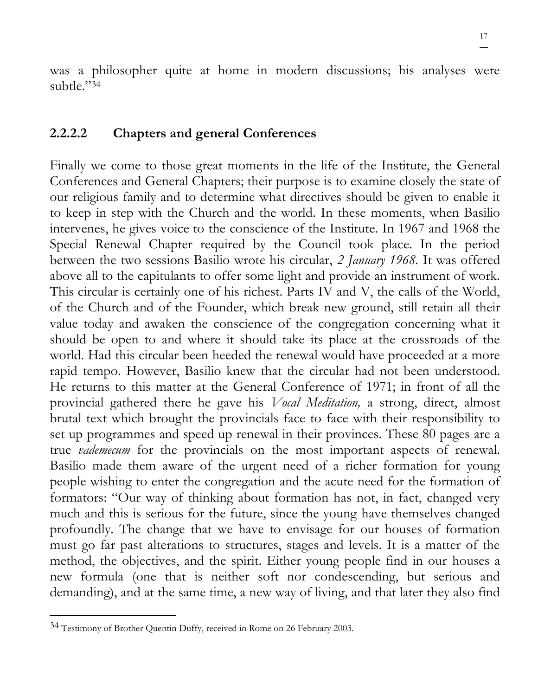was a philosopher quite at home in modern discussions; his analyses were subtle."<sup>34</sup>

#### **2.2.2.2 Chapters and general Conferences**

Finally we come to those great moments in the life of the Institute, the General Conferences and General Chapters; their purpose is to examine closely the state of our religious family and to determine what directives should be given to enable it to keep in step with the Church and the world. In these moments, when Basilio intervenes, he gives voice to the conscience of the Institute. In 1967 and 1968 the Special Renewal Chapter required by the Council took place. In the period between the two sessions Basilio wrote his circular, *2 January 1968.* It was offered above all to the capitulants to offer some light and provide an instrument of work. This circular is certainly one of his richest. Parts IV and V, the calls of the World, of the Church and of the Founder, which break new ground, still retain all their value today and awaken the conscience of the congregation concerning what it should be open to and where it should take its place at the crossroads of the world. Had this circular been heeded the renewal would have proceeded at a more rapid tempo. However, Basilio knew that the circular had not been understood. He returns to this matter at the General Conference of 1971; in front of all the provincial gathered there he gave his *Vocal Meditation,* a strong, direct, almost brutal text which brought the provincials face to face with their responsibility to set up programmes and speed up renewal in their provinces. These 80 pages are a true *vademecum* for the provincials on the most important aspects of renewal. Basilio made them aware of the urgent need of a richer formation for young people wishing to enter the congregation and the acute need for the formation of formators: "Our way of thinking about formation has not, in fact, changed very much and this is serious for the future, since the young have themselves changed profoundly. The change that we have to envisage for our houses of formation must go far past alterations to structures, stages and levels. It is a matter of the method, the objectives, and the spirit. Either young people find in our houses a new formula (one that is neither soft nor condescending, but serious and demanding), and at the same time, a new way of living, and that later they also find

<sup>34</sup> Testimony of Brother Quentin Duffy, received in Rome on 26 February 2003.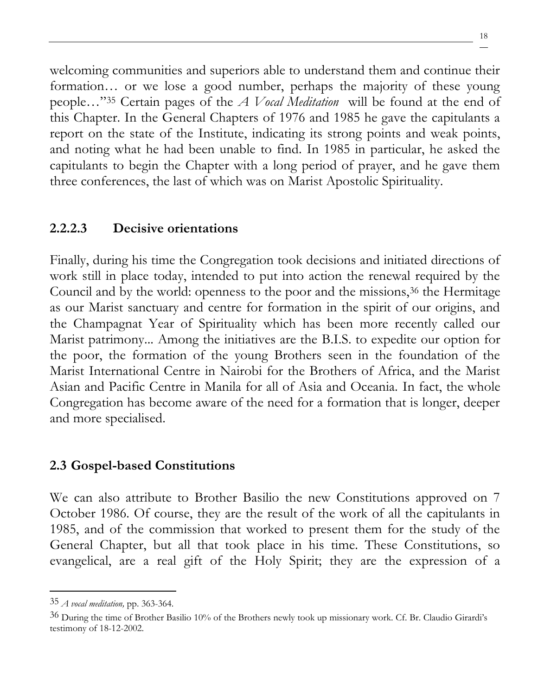welcoming communities and superiors able to understand them and continue their formation… or we lose a good number, perhaps the majority of these young people…"<sup>35</sup> Certain pages of the *A Vocal Meditation* will be found at the end of this Chapter. In the General Chapters of 1976 and 1985 he gave the capitulants a report on the state of the Institute, indicating its strong points and weak points, and noting what he had been unable to find. In 1985 in particular, he asked the capitulants to begin the Chapter with a long period of prayer, and he gave them three conferences, the last of which was on Marist Apostolic Spirituality.

### **2.2.2.3 Decisive orientations**

Finally, during his time the Congregation took decisions and initiated directions of work still in place today, intended to put into action the renewal required by the Council and by the world: openness to the poor and the missions,<sup>36</sup> the Hermitage as our Marist sanctuary and centre for formation in the spirit of our origins, and the Champagnat Year of Spirituality which has been more recently called our Marist patrimony... Among the initiatives are the B.I.S. to expedite our option for the poor, the formation of the young Brothers seen in the foundation of the Marist International Centre in Nairobi for the Brothers of Africa, and the Marist Asian and Pacific Centre in Manila for all of Asia and Oceania. In fact, the whole Congregation has become aware of the need for a formation that is longer, deeper and more specialised.

#### **2.3 Gospel-based Constitutions**

We can also attribute to Brother Basilio the new Constitutions approved on 7 October 1986. Of course, they are the result of the work of all the capitulants in 1985, and of the commission that worked to present them for the study of the General Chapter, but all that took place in his time. These Constitutions, so evangelical, are a real gift of the Holy Spirit; they are the expression of a

<sup>35</sup> *A vocal meditation,* pp. 363-364.

<sup>36</sup> During the time of Brother Basilio 10% of the Brothers newly took up missionary work. Cf. Br. Claudio Girardi's testimony of 18-12-2002.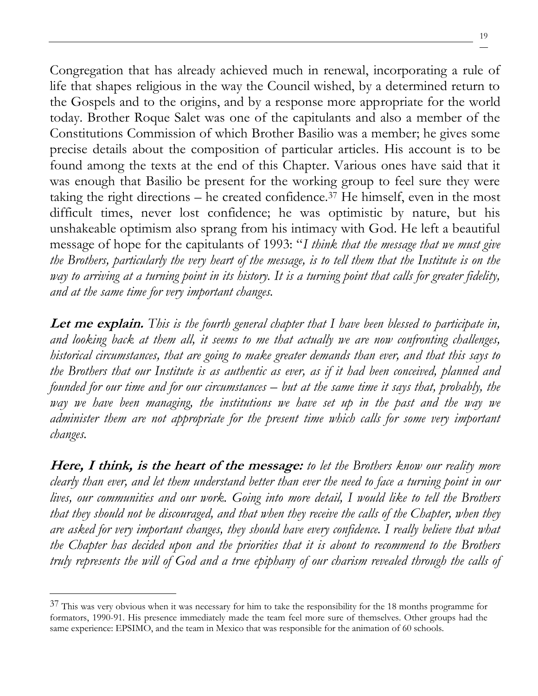Congregation that has already achieved much in renewal, incorporating a rule of life that shapes religious in the way the Council wished, by a determined return to the Gospels and to the origins, and by a response more appropriate for the world today. Brother Roque Salet was one of the capitulants and also a member of the Constitutions Commission of which Brother Basilio was a member; he gives some precise details about the composition of particular articles. His account is to be found among the texts at the end of this Chapter. Various ones have said that it was enough that Basilio be present for the working group to feel sure they were taking the right directions – he created confidence.<sup>37</sup> He himself, even in the most difficult times, never lost confidence; he was optimistic by nature, but his unshakeable optimism also sprang from his intimacy with God. He left a beautiful message of hope for the capitulants of 1993: "*I think that the message that we must give the Brothers, particularly the very heart of the message, is to tell them that the Institute is on the way to arriving at a turning point in its history. It is a turning point that calls for greater fidelity, and at the same time for very important changes.*

**Let me explain.** *This is the fourth general chapter that I have been blessed to participate in, and looking back at them all, it seems to me that actually we are now confronting challenges, historical circumstances, that are going to make greater demands than ever, and that this says to the Brothers that our Institute is as authentic as ever, as if it had been conceived, planned and founded for our time and for our circumstances – but at the same time it says that, probably, the way we have been managing, the institutions we have set up in the past and the way we administer them are not appropriate for the present time which calls for some very important changes.*

**Here, I think, is the heart of the message:** *to let the Brothers know our reality more clearly than ever, and let them understand better than ever the need to face a turning point in our lives, our communities and our work. Going into more detail, I would like to tell the Brothers that they should not be discouraged, and that when they receive the calls of the Chapter, when they are asked for very important changes, they should have every confidence. I really believe that what the Chapter has decided upon and the priorities that it is about to recommend to the Brothers truly represents the will of God and a true epiphany of our charism revealed through the calls of* 

 $37$  This was very obvious when it was necessary for him to take the responsibility for the 18 months programme for formators, 1990-91. His presence immediately made the team feel more sure of themselves. Other groups had the same experience: EPSIMO, and the team in Mexico that was responsible for the animation of 60 schools.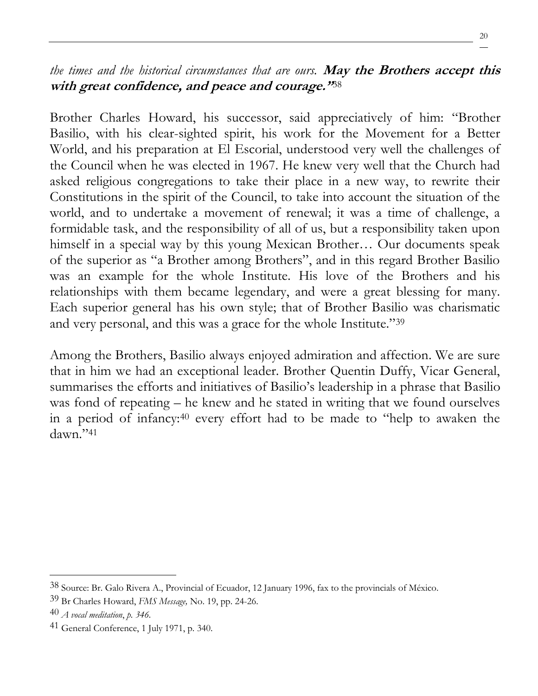### *the times and the historical circumstances that are ours.* **May the Brothers accept this with great confidence, and peace and courage."**38

Brother Charles Howard, his successor, said appreciatively of him: "Brother Basilio, with his clear-sighted spirit, his work for the Movement for a Better World, and his preparation at El Escorial, understood very well the challenges of the Council when he was elected in 1967. He knew very well that the Church had asked religious congregations to take their place in a new way, to rewrite their Constitutions in the spirit of the Council, to take into account the situation of the world, and to undertake a movement of renewal; it was a time of challenge, a formidable task, and the responsibility of all of us, but a responsibility taken upon himself in a special way by this young Mexican Brother... Our documents speak of the superior as "a Brother among Brothers", and in this regard Brother Basilio was an example for the whole Institute. His love of the Brothers and his relationships with them became legendary, and were a great blessing for many. Each superior general has his own style; that of Brother Basilio was charismatic and very personal, and this was a grace for the whole Institute."<sup>39</sup>

Among the Brothers, Basilio always enjoyed admiration and affection. We are sure that in him we had an exceptional leader. Brother Quentin Duffy, Vicar General, summarises the efforts and initiatives of Basilio's leadership in a phrase that Basilio was fond of repeating – he knew and he stated in writing that we found ourselves in a period of infancy:<sup>40</sup> every effort had to be made to "help to awaken the dawn."<sup>41</sup>

<sup>38</sup> Source: Br. Galo Rivera A., Provincial of Ecuador, 12 January 1996, fax to the provincials of México.

<sup>39</sup> Br Charles Howard, *FMS Message,* No. 19, pp. 24-26.

<sup>40</sup> *A vocal meditation*, *p. 346.*

<sup>41</sup> General Conference, 1 July 1971, p. 340.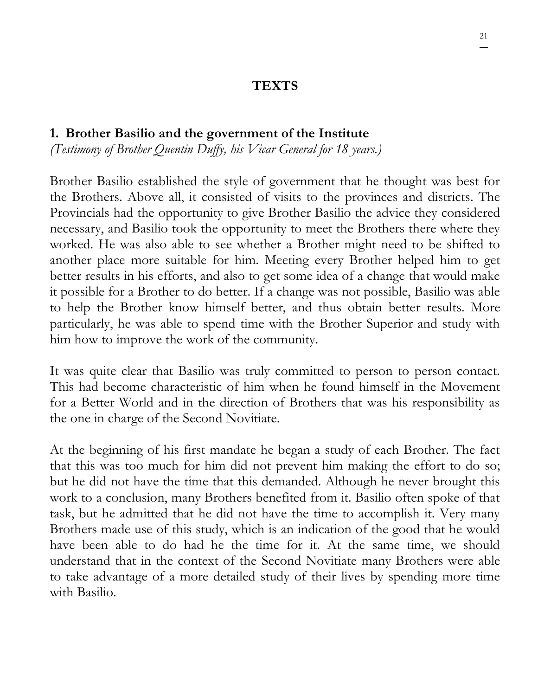#### **TEXTS**

#### **1. Brother Basilio and the government of the Institute**

*(Testimony of Brother Quentin Duffy, his Vicar General for 18 years.)*

Brother Basilio established the style of government that he thought was best for the Brothers. Above all, it consisted of visits to the provinces and districts. The Provincials had the opportunity to give Brother Basilio the advice they considered necessary, and Basilio took the opportunity to meet the Brothers there where they worked. He was also able to see whether a Brother might need to be shifted to another place more suitable for him. Meeting every Brother helped him to get better results in his efforts, and also to get some idea of a change that would make it possible for a Brother to do better. If a change was not possible, Basilio was able to help the Brother know himself better, and thus obtain better results. More particularly, he was able to spend time with the Brother Superior and study with him how to improve the work of the community.

It was quite clear that Basilio was truly committed to person to person contact. This had become characteristic of him when he found himself in the Movement for a Better World and in the direction of Brothers that was his responsibility as the one in charge of the Second Novitiate.

At the beginning of his first mandate he began a study of each Brother. The fact that this was too much for him did not prevent him making the effort to do so; but he did not have the time that this demanded. Although he never brought this work to a conclusion, many Brothers benefited from it. Basilio often spoke of that task, but he admitted that he did not have the time to accomplish it. Very many Brothers made use of this study, which is an indication of the good that he would have been able to do had he the time for it. At the same time, we should understand that in the context of the Second Novitiate many Brothers were able to take advantage of a more detailed study of their lives by spending more time with Basilio.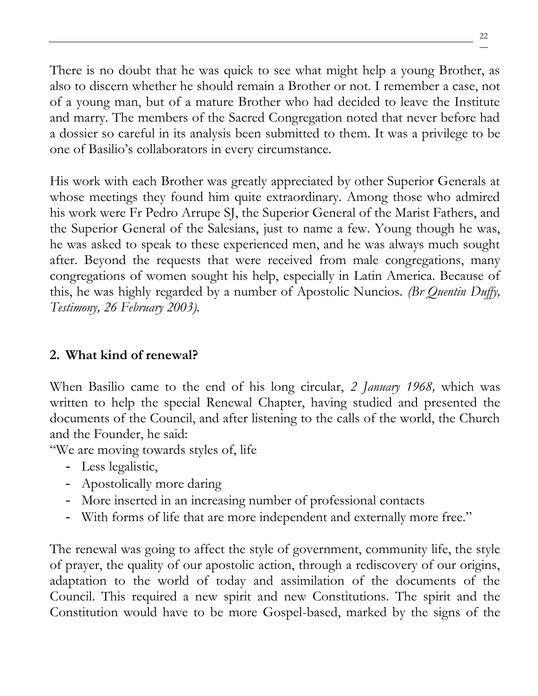There is no doubt that he was quick to see what might help a young Brother, as also to discern whether he should remain a Brother or not. I remember a case, not of a young man, but of a mature Brother who had decided to leave the Institute and marry. The members of the Sacred Congregation noted that never before had a dossier so careful in its analysis been submitted to them. It was a privilege to be one of Basilio's collaborators in every circumstance.

His work with each Brother was greatly appreciated by other Superior Generals at whose meetings they found him quite extraordinary. Among those who admired his work were Fr Pedro Arrupe SJ, the Superior General of the Marist Fathers, and the Superior General of the Salesians, just to name a few. Young though he was, he was asked to speak to these experienced men, and he was always much sought after. Beyond the requests that were received from male congregations, many congregations of women sought his help, especially in Latin America. Because of this, he was highly regarded by a number of Apostolic Nuncios. *(Br Quentin Duffy, Testimony, 26 February 2003).*

# **2. What kind of renewal?**

When Basilio came to the end of his long circular, *2 January 1968,* which was written to help the special Renewal Chapter, having studied and presented the documents of the Council, and after listening to the calls of the world, the Church and the Founder, he said:

"We are moving towards styles of, life

- Less legalistic,
- Apostolically more daring
- More inserted in an increasing number of professional contacts
- With forms of life that are more independent and externally more free."

The renewal was going to affect the style of government, community life, the style of prayer, the quality of our apostolic action, through a rediscovery of our origins, adaptation to the world of today and assimilation of the documents of the Council. This required a new spirit and new Constitutions. The spirit and the Constitution would have to be more Gospel-based, marked by the signs of the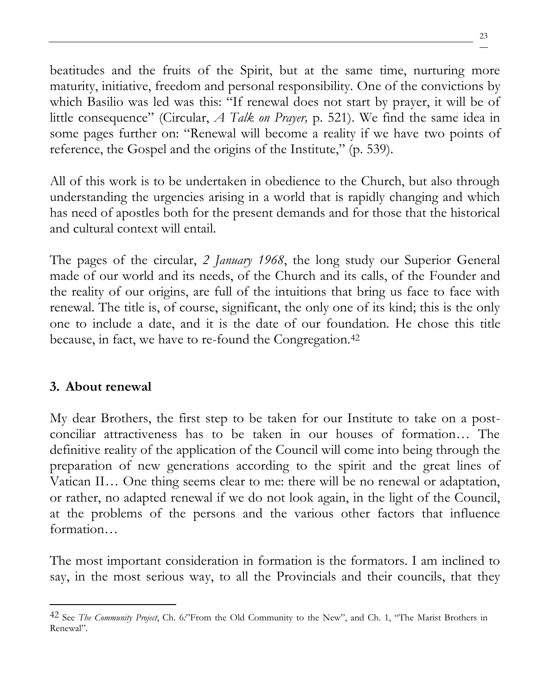beatitudes and the fruits of the Spirit, but at the same time, nurturing more maturity, initiative, freedom and personal responsibility. One of the convictions by which Basilio was led was this: "If renewal does not start by prayer, it will be of little consequence" (Circular, *A Talk on Prayer,* p. 521). We find the same idea in some pages further on: "Renewal will become a reality if we have two points of reference, the Gospel and the origins of the Institute," (p. 539).

All of this work is to be undertaken in obedience to the Church, but also through understanding the urgencies arising in a world that is rapidly changing and which has need of apostles both for the present demands and for those that the historical and cultural context will entail.

The pages of the circular, *2 January 1968*, the long study our Superior General made of our world and its needs, of the Church and its calls, of the Founder and the reality of our origins, are full of the intuitions that bring us face to face with renewal. The title is, of course, significant, the only one of its kind; this is the only one to include a date, and it is the date of our foundation. He chose this title because, in fact, we have to re-found the Congregation.<sup>42</sup>

### **3. About renewal**

My dear Brothers, the first step to be taken for our Institute to take on a postconciliar attractiveness has to be taken in our houses of formation… The definitive reality of the application of the Council will come into being through the preparation of new generations according to the spirit and the great lines of Vatican II… One thing seems clear to me: there will be no renewal or adaptation, or rather, no adapted renewal if we do not look again, in the light of the Council, at the problems of the persons and the various other factors that influence formation…

The most important consideration in formation is the formators. I am inclined to say, in the most serious way, to all the Provincials and their councils, that they

<sup>42</sup> See *The Community Project*, Ch. 6*:*"From the Old Community to the New", and Ch. 1, "The Marist Brothers in Renewal".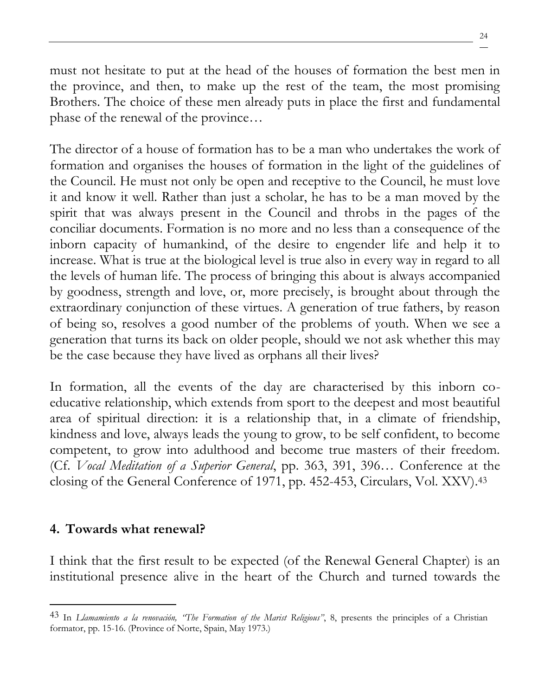must not hesitate to put at the head of the houses of formation the best men in the province, and then, to make up the rest of the team, the most promising Brothers. The choice of these men already puts in place the first and fundamental phase of the renewal of the province…

The director of a house of formation has to be a man who undertakes the work of formation and organises the houses of formation in the light of the guidelines of the Council. He must not only be open and receptive to the Council, he must love it and know it well. Rather than just a scholar, he has to be a man moved by the spirit that was always present in the Council and throbs in the pages of the conciliar documents. Formation is no more and no less than a consequence of the inborn capacity of humankind, of the desire to engender life and help it to increase. What is true at the biological level is true also in every way in regard to all the levels of human life. The process of bringing this about is always accompanied by goodness, strength and love, or, more precisely, is brought about through the extraordinary conjunction of these virtues. A generation of true fathers, by reason of being so, resolves a good number of the problems of youth. When we see a generation that turns its back on older people, should we not ask whether this may be the case because they have lived as orphans all their lives?

In formation, all the events of the day are characterised by this inborn coeducative relationship, which extends from sport to the deepest and most beautiful area of spiritual direction: it is a relationship that, in a climate of friendship, kindness and love, always leads the young to grow, to be self confident, to become competent, to grow into adulthood and become true masters of their freedom. (Cf. *Vocal Meditation of a Superior General*, pp. 363, 391, 396… Conference at the closing of the General Conference of 1971, pp. 452-453, Circulars, Vol. XXV).<sup>43</sup>

### **4. Towards what renewal?**

I think that the first result to be expected (of the Renewal General Chapter) is an institutional presence alive in the heart of the Church and turned towards the

<sup>43</sup> In *Llamamiento a la renovación, "The Formation of the Marist Religious"*, 8, presents the principles of a Christian formator, pp. 15-16. (Province of Norte, Spain, May 1973.)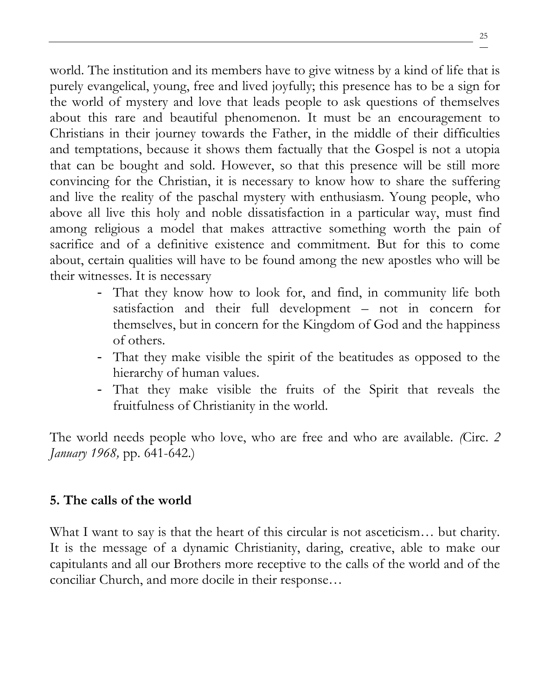world. The institution and its members have to give witness by a kind of life that is purely evangelical, young, free and lived joyfully; this presence has to be a sign for the world of mystery and love that leads people to ask questions of themselves about this rare and beautiful phenomenon. It must be an encouragement to Christians in their journey towards the Father, in the middle of their difficulties and temptations, because it shows them factually that the Gospel is not a utopia that can be bought and sold. However, so that this presence will be still more convincing for the Christian, it is necessary to know how to share the suffering and live the reality of the paschal mystery with enthusiasm. Young people, who above all live this holy and noble dissatisfaction in a particular way, must find among religious a model that makes attractive something worth the pain of sacrifice and of a definitive existence and commitment. But for this to come about, certain qualities will have to be found among the new apostles who will be their witnesses. It is necessary

- That they know how to look for, and find, in community life both satisfaction and their full development – not in concern for themselves, but in concern for the Kingdom of God and the happiness of others.
- That they make visible the spirit of the beatitudes as opposed to the hierarchy of human values.
- That they make visible the fruits of the Spirit that reveals the fruitfulness of Christianity in the world.

The world needs people who love, who are free and who are available. *(*Circ. *2 January 1968,* pp. 641-642.)

### **5. The calls of the world**

What I want to say is that the heart of this circular is not asceticism... but charity. It is the message of a dynamic Christianity, daring, creative, able to make our capitulants and all our Brothers more receptive to the calls of the world and of the conciliar Church, and more docile in their response…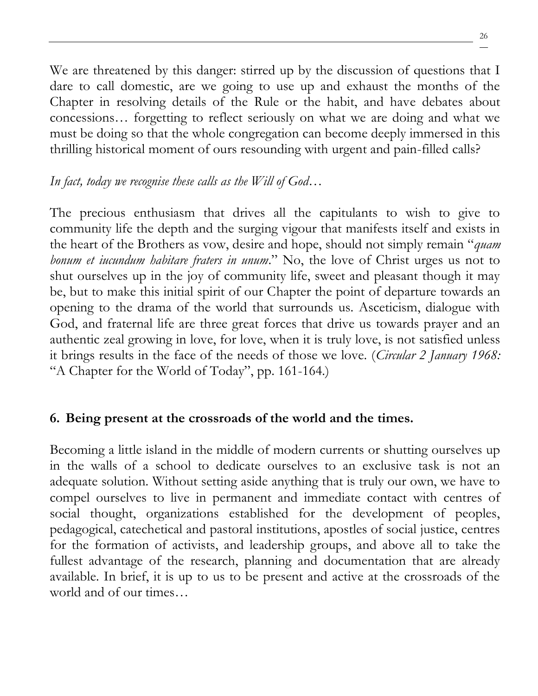We are threatened by this danger: stirred up by the discussion of questions that I dare to call domestic, are we going to use up and exhaust the months of the Chapter in resolving details of the Rule or the habit, and have debates about concessions… forgetting to reflect seriously on what we are doing and what we must be doing so that the whole congregation can become deeply immersed in this thrilling historical moment of ours resounding with urgent and pain-filled calls?

### *In fact, today we recognise these calls as the Will of God…*

The precious enthusiasm that drives all the capitulants to wish to give to community life the depth and the surging vigour that manifests itself and exists in the heart of the Brothers as vow, desire and hope, should not simply remain "*quam bonum et iucundum habitare fraters in unum*." No, the love of Christ urges us not to shut ourselves up in the joy of community life, sweet and pleasant though it may be, but to make this initial spirit of our Chapter the point of departure towards an opening to the drama of the world that surrounds us. Asceticism, dialogue with God, and fraternal life are three great forces that drive us towards prayer and an authentic zeal growing in love, for love, when it is truly love, is not satisfied unless it brings results in the face of the needs of those we love. (*Circular 2 January 1968:*  "A Chapter for the World of Today", pp. 161-164.)

### **6. Being present at the crossroads of the world and the times.**

Becoming a little island in the middle of modern currents or shutting ourselves up in the walls of a school to dedicate ourselves to an exclusive task is not an adequate solution. Without setting aside anything that is truly our own, we have to compel ourselves to live in permanent and immediate contact with centres of social thought, organizations established for the development of peoples, pedagogical, catechetical and pastoral institutions, apostles of social justice, centres for the formation of activists, and leadership groups, and above all to take the fullest advantage of the research, planning and documentation that are already available. In brief, it is up to us to be present and active at the crossroads of the world and of our times…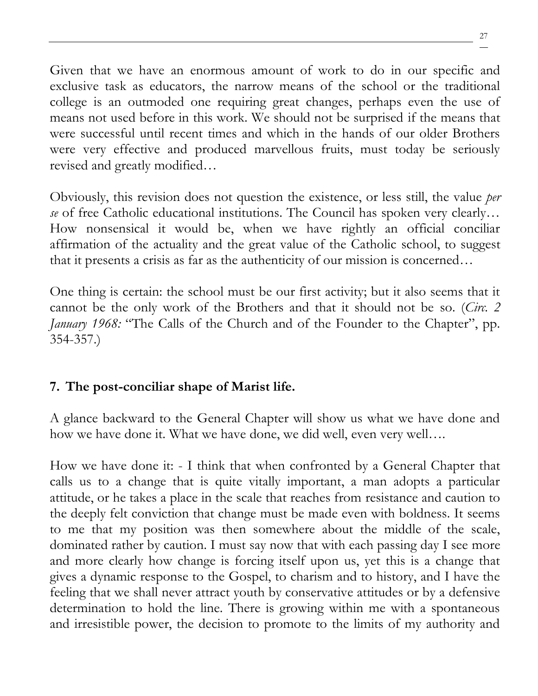Given that we have an enormous amount of work to do in our specific and exclusive task as educators, the narrow means of the school or the traditional college is an outmoded one requiring great changes, perhaps even the use of means not used before in this work. We should not be surprised if the means that were successful until recent times and which in the hands of our older Brothers were very effective and produced marvellous fruits, must today be seriously revised and greatly modified…

Obviously, this revision does not question the existence, or less still, the value *per se* of free Catholic educational institutions. The Council has spoken very clearly… How nonsensical it would be, when we have rightly an official conciliar affirmation of the actuality and the great value of the Catholic school, to suggest that it presents a crisis as far as the authenticity of our mission is concerned…

One thing is certain: the school must be our first activity; but it also seems that it cannot be the only work of the Brothers and that it should not be so. (*Circ. 2 January 1968:* "The Calls of the Church and of the Founder to the Chapter", pp. 354-357.)

### **7. The post-conciliar shape of Marist life.**

A glance backward to the General Chapter will show us what we have done and how we have done it. What we have done, we did well, even very well….

How we have done it: - I think that when confronted by a General Chapter that calls us to a change that is quite vitally important, a man adopts a particular attitude, or he takes a place in the scale that reaches from resistance and caution to the deeply felt conviction that change must be made even with boldness. It seems to me that my position was then somewhere about the middle of the scale, dominated rather by caution. I must say now that with each passing day I see more and more clearly how change is forcing itself upon us, yet this is a change that gives a dynamic response to the Gospel, to charism and to history, and I have the feeling that we shall never attract youth by conservative attitudes or by a defensive determination to hold the line. There is growing within me with a spontaneous and irresistible power, the decision to promote to the limits of my authority and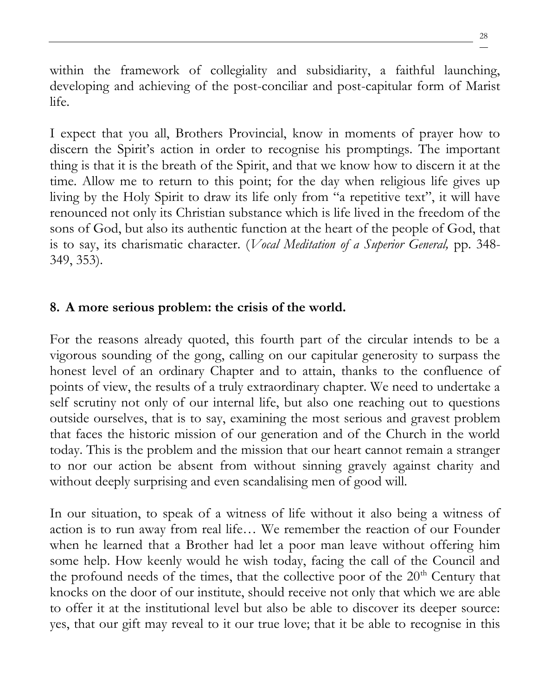within the framework of collegiality and subsidiarity, a faithful launching, developing and achieving of the post-conciliar and post-capitular form of Marist life.

I expect that you all, Brothers Provincial, know in moments of prayer how to discern the Spirit's action in order to recognise his promptings. The important thing is that it is the breath of the Spirit, and that we know how to discern it at the time. Allow me to return to this point; for the day when religious life gives up living by the Holy Spirit to draw its life only from "a repetitive text", it will have renounced not only its Christian substance which is life lived in the freedom of the sons of God, but also its authentic function at the heart of the people of God, that is to say, its charismatic character. (*Vocal Meditation of a Superior General,* pp. 348- 349, 353).

### **8. A more serious problem: the crisis of the world.**

For the reasons already quoted, this fourth part of the circular intends to be a vigorous sounding of the gong, calling on our capitular generosity to surpass the honest level of an ordinary Chapter and to attain, thanks to the confluence of points of view, the results of a truly extraordinary chapter. We need to undertake a self scrutiny not only of our internal life, but also one reaching out to questions outside ourselves, that is to say, examining the most serious and gravest problem that faces the historic mission of our generation and of the Church in the world today. This is the problem and the mission that our heart cannot remain a stranger to nor our action be absent from without sinning gravely against charity and without deeply surprising and even scandalising men of good will.

In our situation, to speak of a witness of life without it also being a witness of action is to run away from real life… We remember the reaction of our Founder when he learned that a Brother had let a poor man leave without offering him some help. How keenly would he wish today, facing the call of the Council and the profound needs of the times, that the collective poor of the  $20<sup>th</sup>$  Century that knocks on the door of our institute, should receive not only that which we are able to offer it at the institutional level but also be able to discover its deeper source: yes, that our gift may reveal to it our true love; that it be able to recognise in this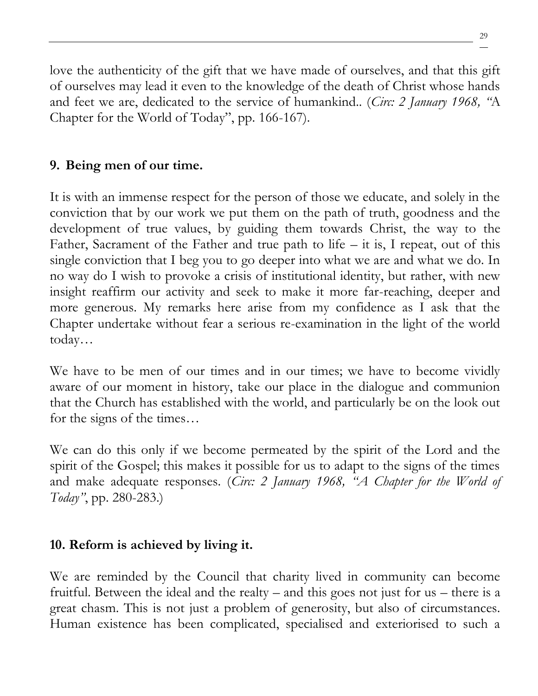love the authenticity of the gift that we have made of ourselves, and that this gift of ourselves may lead it even to the knowledge of the death of Christ whose hands and feet we are, dedicated to the service of humankind.. (*Circ: 2 January 1968, "*A Chapter for the World of Today", pp. 166-167).

# **9. Being men of our time.**

It is with an immense respect for the person of those we educate, and solely in the conviction that by our work we put them on the path of truth, goodness and the development of true values, by guiding them towards Christ, the way to the Father, Sacrament of the Father and true path to life – it is, I repeat, out of this single conviction that I beg you to go deeper into what we are and what we do. In no way do I wish to provoke a crisis of institutional identity, but rather, with new insight reaffirm our activity and seek to make it more far-reaching, deeper and more generous. My remarks here arise from my confidence as I ask that the Chapter undertake without fear a serious re-examination in the light of the world today…

We have to be men of our times and in our times; we have to become vividly aware of our moment in history, take our place in the dialogue and communion that the Church has established with the world, and particularly be on the look out for the signs of the times…

We can do this only if we become permeated by the spirit of the Lord and the spirit of the Gospel; this makes it possible for us to adapt to the signs of the times and make adequate responses. (*Circ: 2 January 1968, "A Chapter for the World of Today"*, pp. 280-283.)

# **10. Reform is achieved by living it.**

We are reminded by the Council that charity lived in community can become fruitful. Between the ideal and the realty – and this goes not just for us – there is a great chasm. This is not just a problem of generosity, but also of circumstances. Human existence has been complicated, specialised and exteriorised to such a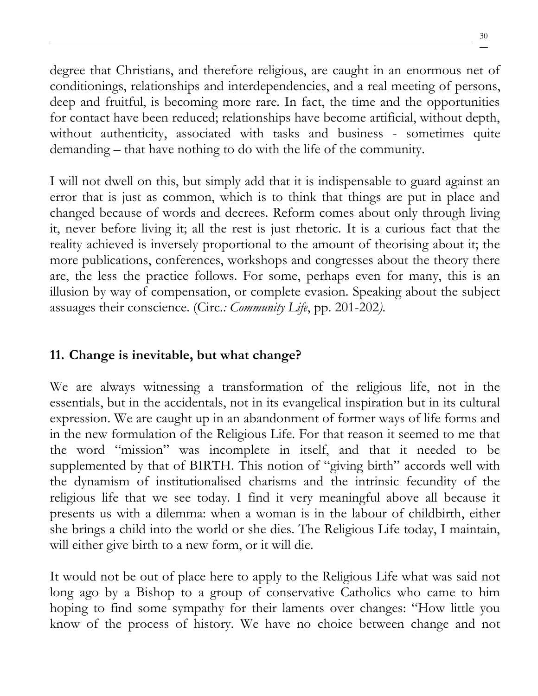degree that Christians, and therefore religious, are caught in an enormous net of conditionings, relationships and interdependencies, and a real meeting of persons, deep and fruitful, is becoming more rare. In fact, the time and the opportunities for contact have been reduced; relationships have become artificial, without depth, without authenticity, associated with tasks and business - sometimes quite demanding – that have nothing to do with the life of the community.

I will not dwell on this, but simply add that it is indispensable to guard against an error that is just as common, which is to think that things are put in place and changed because of words and decrees. Reform comes about only through living it, never before living it; all the rest is just rhetoric. It is a curious fact that the reality achieved is inversely proportional to the amount of theorising about it; the more publications, conferences, workshops and congresses about the theory there are, the less the practice follows. For some, perhaps even for many, this is an illusion by way of compensation, or complete evasion. Speaking about the subject assuages their conscience. (Circ*.: Community Life*, pp. 201-202*).*

# **11. Change is inevitable, but what change?**

We are always witnessing a transformation of the religious life, not in the essentials, but in the accidentals, not in its evangelical inspiration but in its cultural expression. We are caught up in an abandonment of former ways of life forms and in the new formulation of the Religious Life. For that reason it seemed to me that the word "mission" was incomplete in itself, and that it needed to be supplemented by that of BIRTH. This notion of "giving birth" accords well with the dynamism of institutionalised charisms and the intrinsic fecundity of the religious life that we see today. I find it very meaningful above all because it presents us with a dilemma: when a woman is in the labour of childbirth, either she brings a child into the world or she dies. The Religious Life today, I maintain, will either give birth to a new form, or it will die.

It would not be out of place here to apply to the Religious Life what was said not long ago by a Bishop to a group of conservative Catholics who came to him hoping to find some sympathy for their laments over changes: "How little you know of the process of history. We have no choice between change and not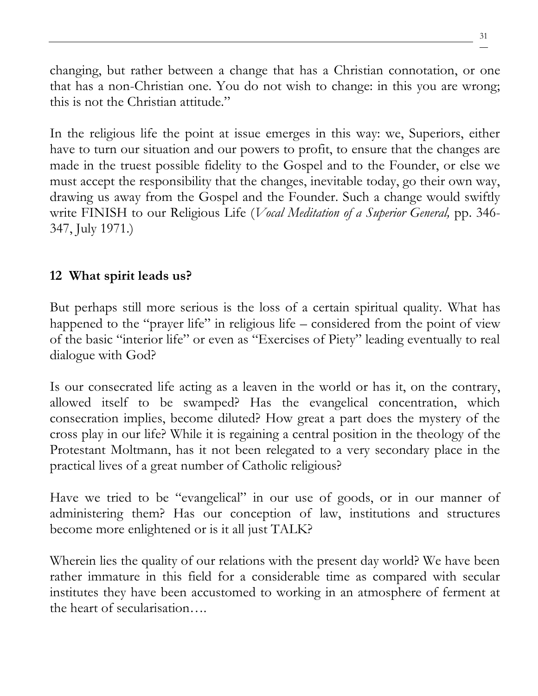changing, but rather between a change that has a Christian connotation, or one that has a non-Christian one. You do not wish to change: in this you are wrong; this is not the Christian attitude."

In the religious life the point at issue emerges in this way: we, Superiors, either have to turn our situation and our powers to profit, to ensure that the changes are made in the truest possible fidelity to the Gospel and to the Founder, or else we must accept the responsibility that the changes, inevitable today, go their own way, drawing us away from the Gospel and the Founder. Such a change would swiftly write FINISH to our Religious Life (*Vocal Meditation of a Superior General,* pp. 346- 347, July 1971.)

### **12 What spirit leads us?**

But perhaps still more serious is the loss of a certain spiritual quality. What has happened to the "prayer life" in religious life – considered from the point of view of the basic "interior life" or even as "Exercises of Piety" leading eventually to real dialogue with God?

Is our consecrated life acting as a leaven in the world or has it, on the contrary, allowed itself to be swamped? Has the evangelical concentration, which consecration implies, become diluted? How great a part does the mystery of the cross play in our life? While it is regaining a central position in the theology of the Protestant Moltmann, has it not been relegated to a very secondary place in the practical lives of a great number of Catholic religious?

Have we tried to be "evangelical" in our use of goods, or in our manner of administering them? Has our conception of law, institutions and structures become more enlightened or is it all just TALK?

Wherein lies the quality of our relations with the present day world? We have been rather immature in this field for a considerable time as compared with secular institutes they have been accustomed to working in an atmosphere of ferment at the heart of secularisation….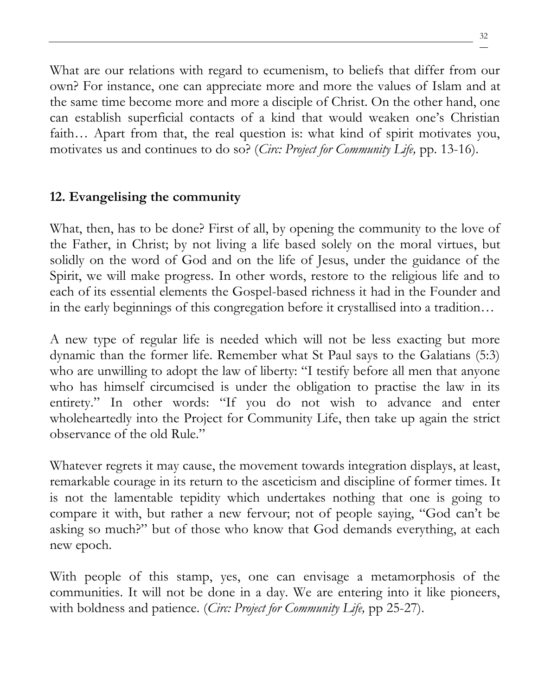What are our relations with regard to ecumenism, to beliefs that differ from our own? For instance, one can appreciate more and more the values of Islam and at the same time become more and more a disciple of Christ. On the other hand, one can establish superficial contacts of a kind that would weaken one's Christian faith… Apart from that, the real question is: what kind of spirit motivates you, motivates us and continues to do so? (*Circ: Project for Community Life,* pp. 13-16).

# **12. Evangelising the community**

What, then, has to be done? First of all, by opening the community to the love of the Father, in Christ; by not living a life based solely on the moral virtues, but solidly on the word of God and on the life of Jesus, under the guidance of the Spirit, we will make progress. In other words, restore to the religious life and to each of its essential elements the Gospel-based richness it had in the Founder and in the early beginnings of this congregation before it crystallised into a tradition…

A new type of regular life is needed which will not be less exacting but more dynamic than the former life. Remember what St Paul says to the Galatians (5:3) who are unwilling to adopt the law of liberty: "I testify before all men that anyone who has himself circumcised is under the obligation to practise the law in its entirety." In other words: "If you do not wish to advance and enter wholeheartedly into the Project for Community Life, then take up again the strict observance of the old Rule."

Whatever regrets it may cause, the movement towards integration displays, at least, remarkable courage in its return to the asceticism and discipline of former times. It is not the lamentable tepidity which undertakes nothing that one is going to compare it with, but rather a new fervour; not of people saying, "God can't be asking so much?" but of those who know that God demands everything, at each new epoch.

With people of this stamp, yes, one can envisage a metamorphosis of the communities. It will not be done in a day. We are entering into it like pioneers, with boldness and patience. (*Circ: Project for Community Life,* pp 25-27).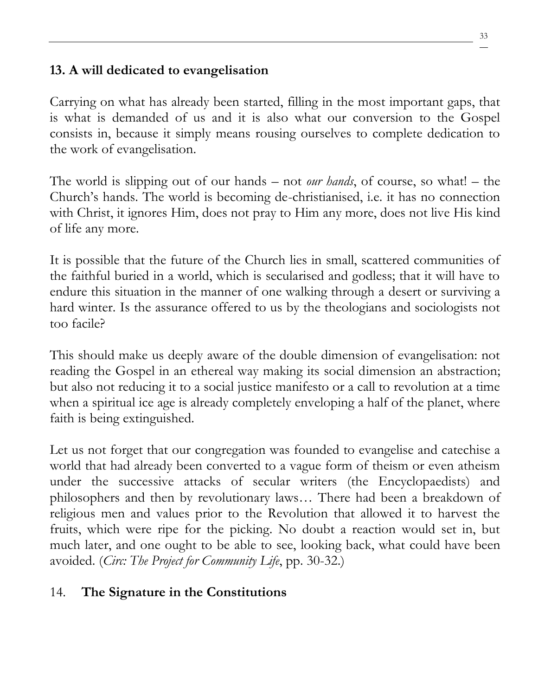### **13. A will dedicated to evangelisation**

Carrying on what has already been started, filling in the most important gaps, that is what is demanded of us and it is also what our conversion to the Gospel consists in, because it simply means rousing ourselves to complete dedication to the work of evangelisation.

The world is slipping out of our hands – not *our hands*, of course, so what! – the Church's hands. The world is becoming de-christianised, i.e. it has no connection with Christ, it ignores Him, does not pray to Him any more, does not live His kind of life any more.

It is possible that the future of the Church lies in small, scattered communities of the faithful buried in a world, which is secularised and godless; that it will have to endure this situation in the manner of one walking through a desert or surviving a hard winter. Is the assurance offered to us by the theologians and sociologists not too facile?

This should make us deeply aware of the double dimension of evangelisation: not reading the Gospel in an ethereal way making its social dimension an abstraction; but also not reducing it to a social justice manifesto or a call to revolution at a time when a spiritual ice age is already completely enveloping a half of the planet, where faith is being extinguished.

Let us not forget that our congregation was founded to evangelise and catechise a world that had already been converted to a vague form of theism or even atheism under the successive attacks of secular writers (the Encyclopaedists) and philosophers and then by revolutionary laws… There had been a breakdown of religious men and values prior to the Revolution that allowed it to harvest the fruits, which were ripe for the picking. No doubt a reaction would set in, but much later, and one ought to be able to see, looking back, what could have been avoided. (*Circ: The Project for Community Life*, pp. 30-32.)

# 14. **The Signature in the Constitutions**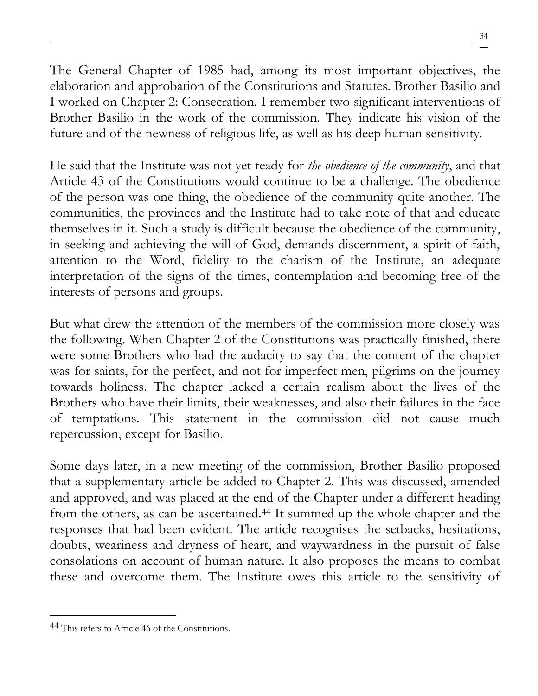The General Chapter of 1985 had, among its most important objectives, the elaboration and approbation of the Constitutions and Statutes. Brother Basilio and I worked on Chapter 2: Consecration. I remember two significant interventions of Brother Basilio in the work of the commission. They indicate his vision of the future and of the newness of religious life, as well as his deep human sensitivity.

He said that the Institute was not yet ready for *the obedience of the community*, and that Article 43 of the Constitutions would continue to be a challenge. The obedience of the person was one thing, the obedience of the community quite another. The communities, the provinces and the Institute had to take note of that and educate themselves in it. Such a study is difficult because the obedience of the community, in seeking and achieving the will of God, demands discernment, a spirit of faith, attention to the Word, fidelity to the charism of the Institute, an adequate interpretation of the signs of the times, contemplation and becoming free of the interests of persons and groups.

But what drew the attention of the members of the commission more closely was the following. When Chapter 2 of the Constitutions was practically finished, there were some Brothers who had the audacity to say that the content of the chapter was for saints, for the perfect, and not for imperfect men, pilgrims on the journey towards holiness. The chapter lacked a certain realism about the lives of the Brothers who have their limits, their weaknesses, and also their failures in the face of temptations. This statement in the commission did not cause much repercussion, except for Basilio.

Some days later, in a new meeting of the commission, Brother Basilio proposed that a supplementary article be added to Chapter 2. This was discussed, amended and approved, and was placed at the end of the Chapter under a different heading from the others, as can be ascertained.<sup>44</sup> It summed up the whole chapter and the responses that had been evident. The article recognises the setbacks, hesitations, doubts, weariness and dryness of heart, and waywardness in the pursuit of false consolations on account of human nature. It also proposes the means to combat these and overcome them. The Institute owes this article to the sensitivity of

<sup>44</sup> This refers to Article 46 of the Constitutions.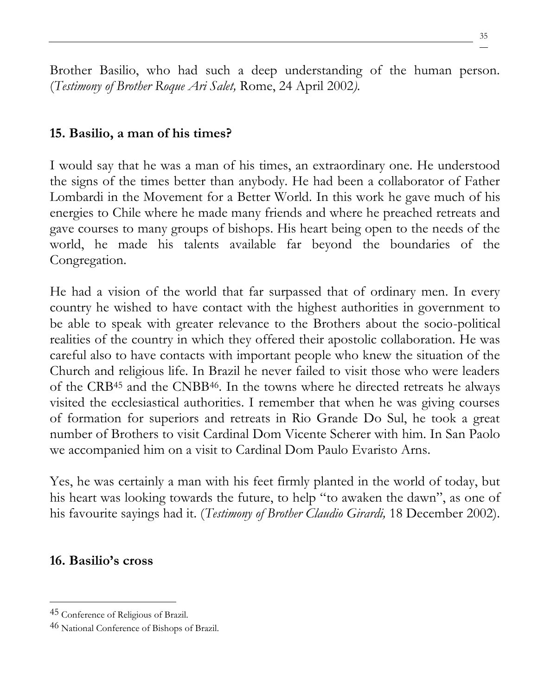Brother Basilio, who had such a deep understanding of the human person. (*Testimony of Brother Roque Ari Salet,* Rome, 24 April 2002*).*

#### **15. Basilio, a man of his times?**

I would say that he was a man of his times, an extraordinary one. He understood the signs of the times better than anybody. He had been a collaborator of Father Lombardi in the Movement for a Better World. In this work he gave much of his energies to Chile where he made many friends and where he preached retreats and gave courses to many groups of bishops. His heart being open to the needs of the world, he made his talents available far beyond the boundaries of the Congregation.

He had a vision of the world that far surpassed that of ordinary men. In every country he wished to have contact with the highest authorities in government to be able to speak with greater relevance to the Brothers about the socio-political realities of the country in which they offered their apostolic collaboration. He was careful also to have contacts with important people who knew the situation of the Church and religious life. In Brazil he never failed to visit those who were leaders of the CRB<sup>45</sup> and the CNBB46. In the towns where he directed retreats he always visited the ecclesiastical authorities. I remember that when he was giving courses of formation for superiors and retreats in Rio Grande Do Sul, he took a great number of Brothers to visit Cardinal Dom Vicente Scherer with him. In San Paolo we accompanied him on a visit to Cardinal Dom Paulo Evaristo Arns.

Yes, he was certainly a man with his feet firmly planted in the world of today, but his heart was looking towards the future, to help "to awaken the dawn", as one of his favourite sayings had it. (*Testimony of Brother Claudio Girardi,* 18 December 2002).

#### **16. Basilio's cross**

<sup>45</sup> Conference of Religious of Brazil.

<sup>46</sup> National Conference of Bishops of Brazil.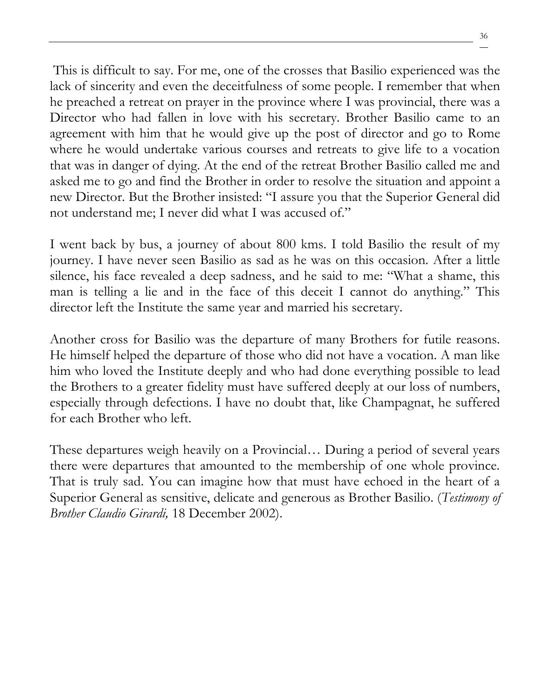This is difficult to say. For me, one of the crosses that Basilio experienced was the lack of sincerity and even the deceitfulness of some people. I remember that when he preached a retreat on prayer in the province where I was provincial, there was a Director who had fallen in love with his secretary. Brother Basilio came to an agreement with him that he would give up the post of director and go to Rome where he would undertake various courses and retreats to give life to a vocation that was in danger of dying. At the end of the retreat Brother Basilio called me and asked me to go and find the Brother in order to resolve the situation and appoint a new Director. But the Brother insisted: "I assure you that the Superior General did not understand me; I never did what I was accused of."

I went back by bus, a journey of about 800 kms. I told Basilio the result of my journey. I have never seen Basilio as sad as he was on this occasion. After a little silence, his face revealed a deep sadness, and he said to me: "What a shame, this man is telling a lie and in the face of this deceit I cannot do anything." This director left the Institute the same year and married his secretary.

Another cross for Basilio was the departure of many Brothers for futile reasons. He himself helped the departure of those who did not have a vocation. A man like him who loved the Institute deeply and who had done everything possible to lead the Brothers to a greater fidelity must have suffered deeply at our loss of numbers, especially through defections. I have no doubt that, like Champagnat, he suffered for each Brother who left.

These departures weigh heavily on a Provincial… During a period of several years there were departures that amounted to the membership of one whole province. That is truly sad. You can imagine how that must have echoed in the heart of a Superior General as sensitive, delicate and generous as Brother Basilio. (*Testimony of Brother Claudio Girardi,* 18 December 2002).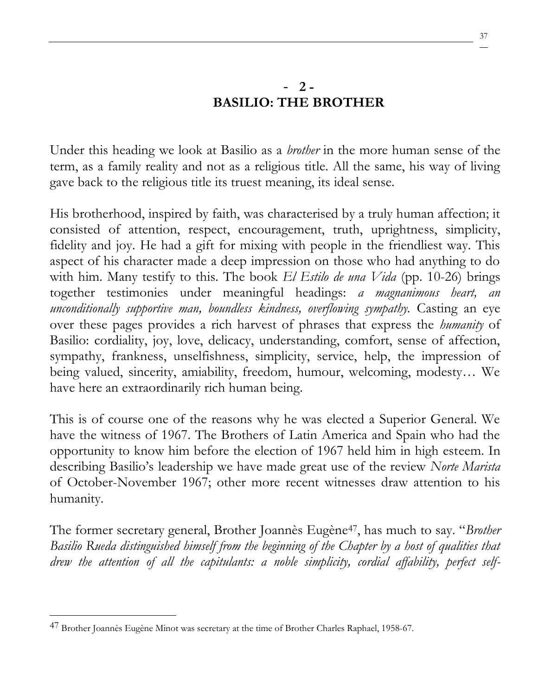### - **2 - BASILIO: THE BROTHER**

Under this heading we look at Basilio as a *brother* in the more human sense of the term, as a family reality and not as a religious title. All the same, his way of living gave back to the religious title its truest meaning, its ideal sense.

His brotherhood, inspired by faith, was characterised by a truly human affection; it consisted of attention, respect, encouragement, truth, uprightness, simplicity, fidelity and joy. He had a gift for mixing with people in the friendliest way. This aspect of his character made a deep impression on those who had anything to do with him. Many testify to this. The book *El Estilo de una Vida* (pp. 10-26) brings together testimonies under meaningful headings: *a magnanimous heart, an unconditionally supportive man, boundless kindness, overflowing sympathy.* Casting an eye over these pages provides a rich harvest of phrases that express the *humanity* of Basilio: cordiality, joy, love, delicacy, understanding, comfort, sense of affection, sympathy, frankness, unselfishness, simplicity, service, help, the impression of being valued, sincerity, amiability, freedom, humour, welcoming, modesty… We have here an extraordinarily rich human being.

This is of course one of the reasons why he was elected a Superior General. We have the witness of 1967. The Brothers of Latin America and Spain who had the opportunity to know him before the election of 1967 held him in high esteem. In describing Basilio's leadership we have made great use of the review *Norte Marista* of October-November 1967; other more recent witnesses draw attention to his humanity.

The former secretary general, Brother Joannès Eugène47, has much to say. "*Brother Basilio Rueda distinguished himself from the beginning of the Chapter by a host of qualities that drew the attention of all the capitulants: a noble simplicity, cordial affability, perfect self-*

<sup>47</sup> Brother Joannès Eugène Minot was secretary at the time of Brother Charles Raphael, 1958-67.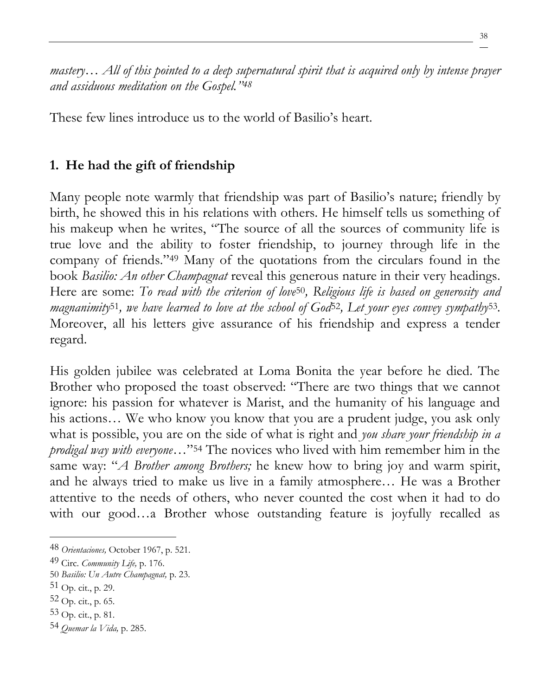*mastery… All of this pointed to a deep supernatural spirit that is acquired only by intense prayer and assiduous meditation on the Gospel."<sup>48</sup>*

These few lines introduce us to the world of Basilio's heart.

## **1. He had the gift of friendship**

Many people note warmly that friendship was part of Basilio's nature; friendly by birth, he showed this in his relations with others. He himself tells us something of his makeup when he writes, "The source of all the sources of community life is true love and the ability to foster friendship, to journey through life in the company of friends."<sup>49</sup> Many of the quotations from the circulars found in the book *Basilio: An other Champagnat* reveal this generous nature in their very headings. Here are some: *To read with the criterion of love*50*, Religious life is based on generosity and magnanimity*51*, we have learned to love at the school of God*52*, Let your eyes convey sympathy*53*.*  Moreover, all his letters give assurance of his friendship and express a tender regard.

His golden jubilee was celebrated at Loma Bonita the year before he died. The Brother who proposed the toast observed: "There are two things that we cannot ignore: his passion for whatever is Marist, and the humanity of his language and his actions… We who know you know that you are a prudent judge, you ask only what is possible, you are on the side of what is right and *you share your friendship in a prodigal way with everyone*…"<sup>54</sup> The novices who lived with him remember him in the same way: "*A Brother among Brothers;* he knew how to bring joy and warm spirit, and he always tried to make us live in a family atmosphere… He was a Brother attentive to the needs of others, who never counted the cost when it had to do with our good...a Brother whose outstanding feature is joyfully recalled as

53 Op. cit., p. 81.

<sup>48</sup> *Orientaciones,* October 1967, p. 521.

<sup>49</sup> Circ. *Community Life,* p. 176.

<sup>50</sup> *Basilio: Un Autre Champagnat,* p. 23.

 $51$  Op. cit., p. 29.

 $52$  Op. cit., p. 65.

<sup>54</sup> *Quemar la Vida,* p. 285.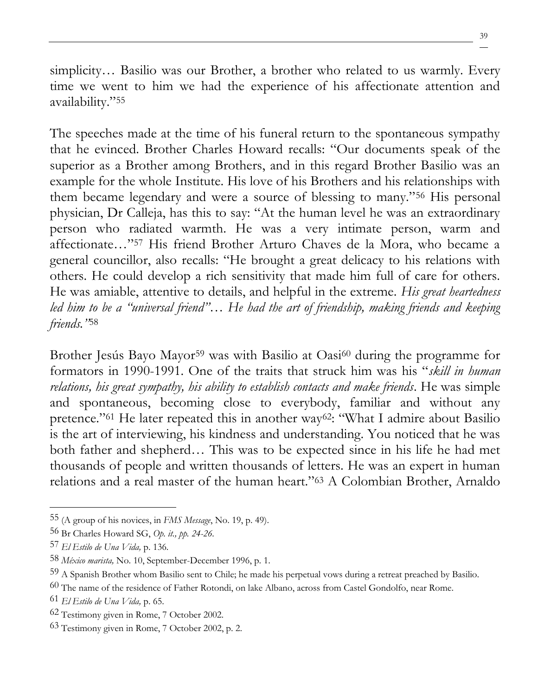simplicity... Basilio was our Brother, a brother who related to us warmly. Every time we went to him we had the experience of his affectionate attention and availability."<sup>55</sup>

The speeches made at the time of his funeral return to the spontaneous sympathy that he evinced. Brother Charles Howard recalls: "Our documents speak of the superior as a Brother among Brothers, and in this regard Brother Basilio was an example for the whole Institute. His love of his Brothers and his relationships with them became legendary and were a source of blessing to many."<sup>56</sup> His personal physician, Dr Calleja, has this to say: "At the human level he was an extraordinary person who radiated warmth. He was a very intimate person, warm and affectionate…"<sup>57</sup> His friend Brother Arturo Chaves de la Mora, who became a general councillor, also recalls: "He brought a great delicacy to his relations with others. He could develop a rich sensitivity that made him full of care for others. He was amiable, attentive to details, and helpful in the extreme. *His great heartedness led him to be a "universal friend"… He had the art of friendship, making friends and keeping friends."*<sup>58</sup>

Brother Jesús Bayo Mayor<sup>59</sup> was with Basilio at Oasi<sup>60</sup> during the programme for formators in 1990-1991. One of the traits that struck him was his "*skill in human relations, his great sympathy, his ability to establish contacts and make friends*. He was simple and spontaneous, becoming close to everybody, familiar and without any pretence."<sup>61</sup> He later repeated this in another way<sup>62</sup>: "What I admire about Basilio is the art of interviewing, his kindness and understanding. You noticed that he was both father and shepherd… This was to be expected since in his life he had met thousands of people and written thousands of letters. He was an expert in human relations and a real master of the human heart."<sup>63</sup> A Colombian Brother, Arnaldo

<sup>55</sup> (A group of his novices, in *FMS Message*, No. 19, p. 49).

<sup>56</sup> Br Charles Howard SG, *Op. it., pp. 24-26.*

<sup>57</sup> *El Estilo de Una Vida,* p. 136.

<sup>58</sup> *México marista,* No. 10, September-December 1996, p. 1.

<sup>59</sup> A Spanish Brother whom Basilio sent to Chile; he made his perpetual vows during a retreat preached by Basilio.

<sup>60</sup> The name of the residence of Father Rotondi, on lake Albano, across from Castel Gondolfo, near Rome.

<sup>61</sup> *El Estilo de Una Vida,* p. 65.

<sup>62</sup> Testimony given in Rome, 7 October 2002.

<sup>63</sup> Testimony given in Rome, 7 October 2002, p. 2.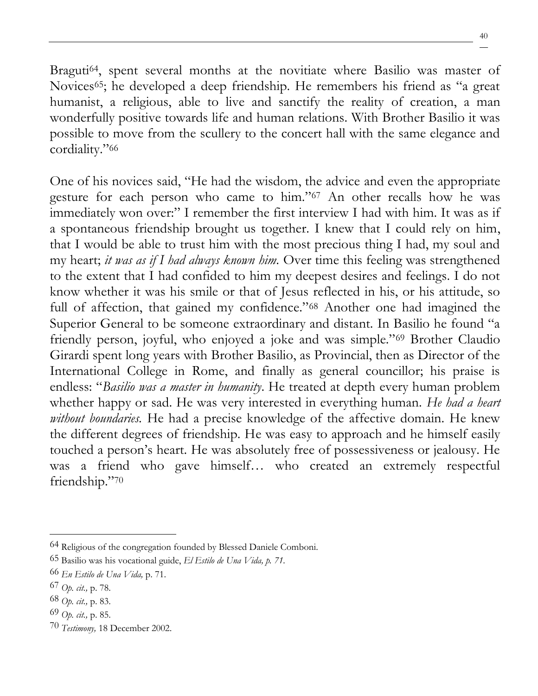Braguti<sup>64</sup>, spent several months at the novitiate where Basilio was master of Novices65; he developed a deep friendship. He remembers his friend as "a great humanist, a religious, able to live and sanctify the reality of creation, a man wonderfully positive towards life and human relations. With Brother Basilio it was possible to move from the scullery to the concert hall with the same elegance and cordiality."<sup>66</sup>

One of his novices said, "He had the wisdom, the advice and even the appropriate gesture for each person who came to him."<sup>67</sup> An other recalls how he was immediately won over:" I remember the first interview I had with him. It was as if a spontaneous friendship brought us together. I knew that I could rely on him, that I would be able to trust him with the most precious thing I had, my soul and my heart; *it was as if I had always known him.* Over time this feeling was strengthened to the extent that I had confided to him my deepest desires and feelings. I do not know whether it was his smile or that of Jesus reflected in his, or his attitude, so full of affection, that gained my confidence."<sup>68</sup> Another one had imagined the Superior General to be someone extraordinary and distant. In Basilio he found "a friendly person, joyful, who enjoyed a joke and was simple."<sup>69</sup> Brother Claudio Girardi spent long years with Brother Basilio, as Provincial, then as Director of the International College in Rome, and finally as general councillor; his praise is endless: "*Basilio was a master in humanity*. He treated at depth every human problem whether happy or sad. He was very interested in everything human. *He had a heart without boundaries.* He had a precise knowledge of the affective domain. He knew the different degrees of friendship. He was easy to approach and he himself easily touched a person's heart. He was absolutely free of possessiveness or jealousy. He was a friend who gave himself… who created an extremely respectful friendship."<sup>70</sup>

<sup>64</sup> Religious of the congregation founded by Blessed Daniele Comboni.

<sup>65</sup> Basilio was his vocational guide, *El Estilo de Una Vida, p. 71.*

<sup>66</sup> *En Estilo de Una Vida,* p. 71.

<sup>67</sup> *Op. cit.,* p. 78.

<sup>68</sup> *Op. cit.,* p. 83.

<sup>69</sup> *Op. cit.,* p. 85.

<sup>70</sup> *Testimony,* 18 December 2002.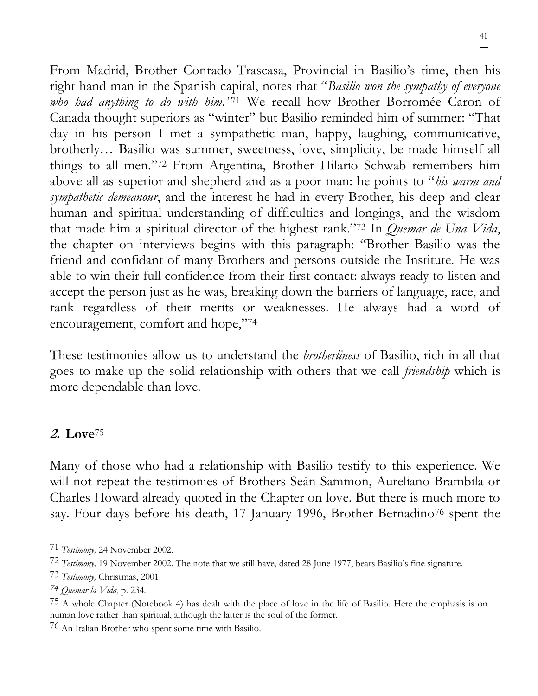From Madrid, Brother Conrado Trascasa, Provincial in Basilio's time, then his right hand man in the Spanish capital, notes that "*Basilio won the sympathy of everyone who had anything to do with him."*<sup>71</sup> We recall how Brother Borromée Caron of Canada thought superiors as "winter" but Basilio reminded him of summer: "That day in his person I met a sympathetic man, happy, laughing, communicative, brotherly… Basilio was summer, sweetness, love, simplicity, be made himself all things to all men."<sup>72</sup> From Argentina, Brother Hilario Schwab remembers him above all as superior and shepherd and as a poor man: he points to "*his warm and sympathetic demeanour*, and the interest he had in every Brother, his deep and clear human and spiritual understanding of difficulties and longings, and the wisdom that made him a spiritual director of the highest rank."<sup>73</sup> In *Quemar de Una Vida*, the chapter on interviews begins with this paragraph: "Brother Basilio was the friend and confidant of many Brothers and persons outside the Institute. He was able to win their full confidence from their first contact: always ready to listen and accept the person just as he was, breaking down the barriers of language, race, and rank regardless of their merits or weaknesses. He always had a word of encouragement, comfort and hope,"<sup>74</sup>

These testimonies allow us to understand the *brotherliness* of Basilio, rich in all that goes to make up the solid relationship with others that we call *friendship* which is more dependable than love.

### **2. Love**<sup>75</sup>

Many of those who had a relationship with Basilio testify to this experience. We will not repeat the testimonies of Brothers Seán Sammon, Aureliano Brambila or Charles Howard already quoted in the Chapter on love. But there is much more to say. Four days before his death, 17 January 1996, Brother Bernadino<sup>76</sup> spent the

<sup>71</sup> *Testimony,* 24 November 2002.

<sup>72</sup> *Testimony,* 19 November 2002. The note that we still have, dated 28 June 1977, bears Basilio's fine signature.

<sup>73</sup> *Testimony,* Christmas, 2001.

*<sup>74</sup> Quemar la Vida*, p. 234*.*

<sup>75</sup> A whole Chapter (Notebook 4) has dealt with the place of love in the life of Basilio. Here the emphasis is on human love rather than spiritual, although the latter is the soul of the former.

<sup>76</sup> An Italian Brother who spent some time with Basilio.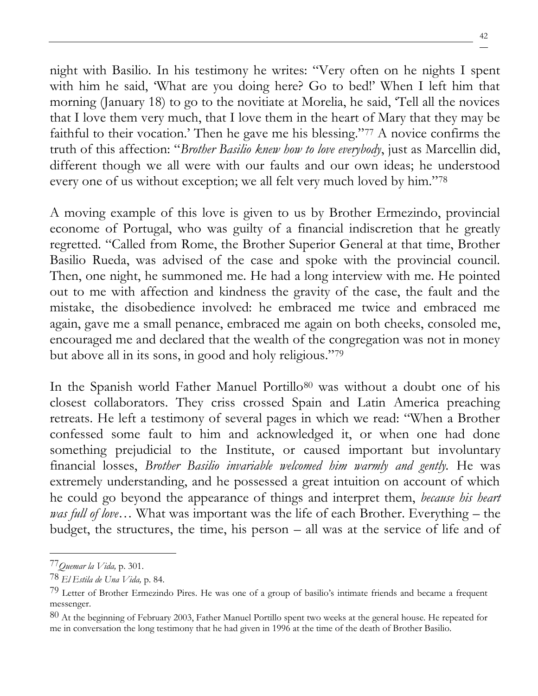night with Basilio. In his testimony he writes: "Very often on he nights I spent with him he said, 'What are you doing here? Go to bed!' When I left him that morning (January 18) to go to the novitiate at Morelia, he said, 'Tell all the novices that I love them very much, that I love them in the heart of Mary that they may be faithful to their vocation.' Then he gave me his blessing."<sup>77</sup> A novice confirms the truth of this affection: "*Brother Basilio knew how to love everybody*, just as Marcellin did, different though we all were with our faults and our own ideas; he understood every one of us without exception; we all felt very much loved by him."<sup>78</sup>

A moving example of this love is given to us by Brother Ermezindo, provincial econome of Portugal, who was guilty of a financial indiscretion that he greatly regretted. "Called from Rome, the Brother Superior General at that time, Brother Basilio Rueda, was advised of the case and spoke with the provincial council. Then, one night, he summoned me. He had a long interview with me. He pointed out to me with affection and kindness the gravity of the case, the fault and the mistake, the disobedience involved: he embraced me twice and embraced me again, gave me a small penance, embraced me again on both cheeks, consoled me, encouraged me and declared that the wealth of the congregation was not in money but above all in its sons, in good and holy religious."<sup>79</sup>

In the Spanish world Father Manuel Portillo<sup>80</sup> was without a doubt one of his closest collaborators. They criss crossed Spain and Latin America preaching retreats. He left a testimony of several pages in which we read: "When a Brother confessed some fault to him and acknowledged it, or when one had done something prejudicial to the Institute, or caused important but involuntary financial losses, *Brother Basilio invariable welcomed him warmly and gently.* He was extremely understanding, and he possessed a great intuition on account of which he could go beyond the appearance of things and interpret them, *because his heart was full of love*… What was important was the life of each Brother. Everything – the budget, the structures, the time, his person – all was at the service of life and of

<sup>77</sup>*Quemar la Vida,* p. 301.

<sup>78</sup> *El Estila de Una Vida,* p. 84.

<sup>79</sup> Letter of Brother Ermezindo Pires. He was one of a group of basilio's intimate friends and became a frequent messenger.

 $80$  At the beginning of February 2003, Father Manuel Portillo spent two weeks at the general house. He repeated for me in conversation the long testimony that he had given in 1996 at the time of the death of Brother Basilio.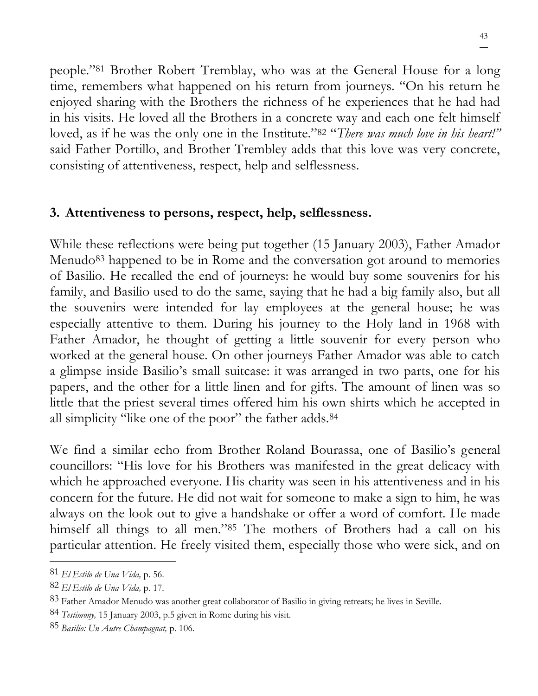people."<sup>81</sup> Brother Robert Tremblay, who was at the General House for a long time, remembers what happened on his return from journeys. "On his return he enjoyed sharing with the Brothers the richness of he experiences that he had had in his visits. He loved all the Brothers in a concrete way and each one felt himself loved, as if he was the only one in the Institute."<sup>82</sup> "*There was much love in his heart!"*  said Father Portillo, and Brother Trembley adds that this love was very concrete, consisting of attentiveness, respect, help and selflessness.

## **3. Attentiveness to persons, respect, help, selflessness.**

While these reflections were being put together (15 January 2003), Father Amador Menudo<sup>83</sup> happened to be in Rome and the conversation got around to memories of Basilio. He recalled the end of journeys: he would buy some souvenirs for his family, and Basilio used to do the same, saying that he had a big family also, but all the souvenirs were intended for lay employees at the general house; he was especially attentive to them. During his journey to the Holy land in 1968 with Father Amador, he thought of getting a little souvenir for every person who worked at the general house. On other journeys Father Amador was able to catch a glimpse inside Basilio's small suitcase: it was arranged in two parts, one for his papers, and the other for a little linen and for gifts. The amount of linen was so little that the priest several times offered him his own shirts which he accepted in all simplicity "like one of the poor" the father adds.<sup>84</sup>

We find a similar echo from Brother Roland Bourassa, one of Basilio's general councillors: "His love for his Brothers was manifested in the great delicacy with which he approached everyone. His charity was seen in his attentiveness and in his concern for the future. He did not wait for someone to make a sign to him, he was always on the look out to give a handshake or offer a word of comfort. He made himself all things to all men."<sup>85</sup> The mothers of Brothers had a call on his particular attention. He freely visited them, especially those who were sick, and on

<sup>81</sup> *El Estilo de Una Vida,* p. 56.

<sup>82</sup> *El Estilo de Una Vida,* p. 17.

<sup>83</sup> Father Amador Menudo was another great collaborator of Basilio in giving retreats; he lives in Seville.

<sup>84</sup> *Testimony,* 15 January 2003, p.5 given in Rome during his visit.

<sup>85</sup> *Basilio: Un Autre Champagnat,* p. 106.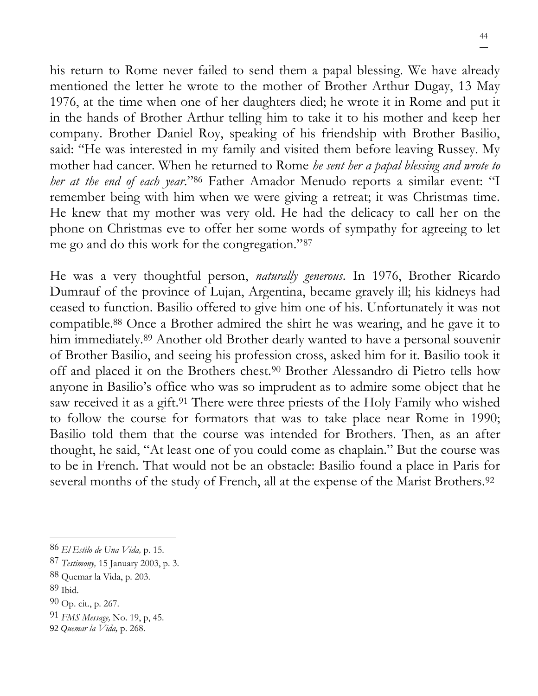44

his return to Rome never failed to send them a papal blessing. We have already mentioned the letter he wrote to the mother of Brother Arthur Dugay, 13 May 1976, at the time when one of her daughters died; he wrote it in Rome and put it in the hands of Brother Arthur telling him to take it to his mother and keep her company. Brother Daniel Roy, speaking of his friendship with Brother Basilio, said: "He was interested in my family and visited them before leaving Russey. My mother had cancer. When he returned to Rome *he sent her a papal blessing and wrote to her at the end of each year*."<sup>86</sup> Father Amador Menudo reports a similar event: "I remember being with him when we were giving a retreat; it was Christmas time. He knew that my mother was very old. He had the delicacy to call her on the phone on Christmas eve to offer her some words of sympathy for agreeing to let me go and do this work for the congregation."<sup>87</sup>

He was a very thoughtful person, *naturally generous*. In 1976, Brother Ricardo Dumrauf of the province of Lujan, Argentina, became gravely ill; his kidneys had ceased to function. Basilio offered to give him one of his. Unfortunately it was not compatible.<sup>88</sup> Once a Brother admired the shirt he was wearing, and he gave it to him immediately.<sup>89</sup> Another old Brother dearly wanted to have a personal souvenir of Brother Basilio, and seeing his profession cross, asked him for it. Basilio took it off and placed it on the Brothers chest.<sup>90</sup> Brother Alessandro di Pietro tells how anyone in Basilio's office who was so imprudent as to admire some object that he saw received it as a gift.<sup>91</sup> There were three priests of the Holy Family who wished to follow the course for formators that was to take place near Rome in 1990; Basilio told them that the course was intended for Brothers. Then, as an after thought, he said, "At least one of you could come as chaplain." But the course was to be in French. That would not be an obstacle: Basilio found a place in Paris for several months of the study of French, all at the expense of the Marist Brothers.<sup>92</sup>

89 Ibid.

91 *FMS Message,* No. 19, p, 45.

<sup>86</sup> *El Estilo de Una Vida,* p. 15.

<sup>87</sup> *Testimony,* 15 January 2003, p. 3.

<sup>88</sup> Quemar la Vida, p. 203.

 $90$  Op. cit., p. 267.

<sup>92</sup> *Quemar la Vida,* p. 268.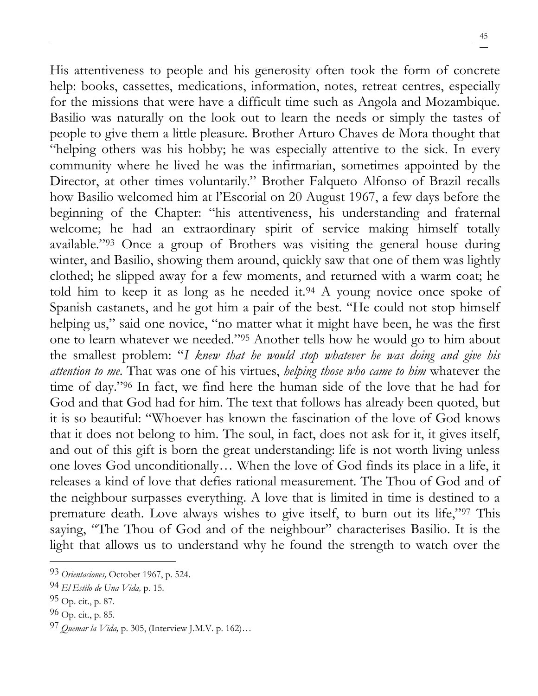His attentiveness to people and his generosity often took the form of concrete help: books, cassettes, medications, information, notes, retreat centres, especially for the missions that were have a difficult time such as Angola and Mozambique. Basilio was naturally on the look out to learn the needs or simply the tastes of people to give them a little pleasure. Brother Arturo Chaves de Mora thought that "helping others was his hobby; he was especially attentive to the sick. In every community where he lived he was the infirmarian, sometimes appointed by the Director, at other times voluntarily." Brother Falqueto Alfonso of Brazil recalls how Basilio welcomed him at l'Escorial on 20 August 1967, a few days before the beginning of the Chapter: "his attentiveness, his understanding and fraternal welcome; he had an extraordinary spirit of service making himself totally available."<sup>93</sup> Once a group of Brothers was visiting the general house during winter, and Basilio, showing them around, quickly saw that one of them was lightly clothed; he slipped away for a few moments, and returned with a warm coat; he told him to keep it as long as he needed it.<sup>94</sup> A young novice once spoke of Spanish castanets, and he got him a pair of the best. "He could not stop himself helping us," said one novice, "no matter what it might have been, he was the first one to learn whatever we needed."<sup>95</sup> Another tells how he would go to him about the smallest problem: "*I knew that he would stop whatever he was doing and give his attention to me*. That was one of his virtues, *helping those who came to him* whatever the time of day."<sup>96</sup> In fact, we find here the human side of the love that he had for God and that God had for him. The text that follows has already been quoted, but it is so beautiful: "Whoever has known the fascination of the love of God knows that it does not belong to him. The soul, in fact, does not ask for it, it gives itself, and out of this gift is born the great understanding: life is not worth living unless one loves God unconditionally… When the love of God finds its place in a life, it releases a kind of love that defies rational measurement. The Thou of God and of the neighbour surpasses everything. A love that is limited in time is destined to a premature death. Love always wishes to give itself, to burn out its life,"<sup>97</sup> This saying, "The Thou of God and of the neighbour" characterises Basilio. It is the light that allows us to understand why he found the strength to watch over the

<sup>93</sup> *Orientaciones,* October 1967, p. 524.

<sup>94</sup> *El Estilo de Una Vida,* p. 15.

 $95$  Op. cit., p. 87.

 $96$  Op. cit., p. 85.

<sup>97</sup> *Quemar la Vida,* p. 305, (Interview J.M.V. p. 162)…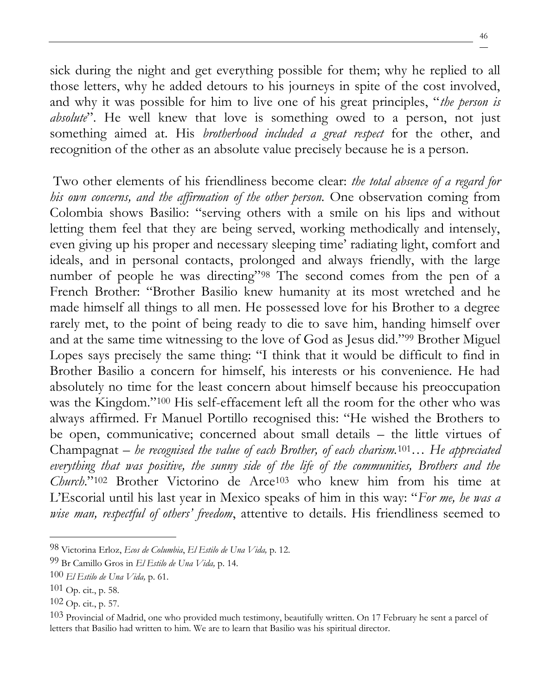sick during the night and get everything possible for them; why he replied to all those letters, why he added detours to his journeys in spite of the cost involved, and why it was possible for him to live one of his great principles, "*the person is absolute*". He well knew that love is something owed to a person, not just something aimed at. His *brotherhood included a great respect* for the other, and recognition of the other as an absolute value precisely because he is a person.

Two other elements of his friendliness become clear: *the total absence of a regard for his own concerns, and the affirmation of the other person.* One observation coming from Colombia shows Basilio: "serving others with a smile on his lips and without letting them feel that they are being served, working methodically and intensely, even giving up his proper and necessary sleeping time' radiating light, comfort and ideals, and in personal contacts, prolonged and always friendly, with the large number of people he was directing"<sup>98</sup> The second comes from the pen of a French Brother: "Brother Basilio knew humanity at its most wretched and he made himself all things to all men. He possessed love for his Brother to a degree rarely met, to the point of being ready to die to save him, handing himself over and at the same time witnessing to the love of God as Jesus did."<sup>99</sup> Brother Miguel Lopes says precisely the same thing: "I think that it would be difficult to find in Brother Basilio a concern for himself, his interests or his convenience. He had absolutely no time for the least concern about himself because his preoccupation was the Kingdom."<sup>100</sup> His self-effacement left all the room for the other who was always affirmed. Fr Manuel Portillo recognised this: "He wished the Brothers to be open, communicative; concerned about small details – the little virtues of Champagnat – *he recognised the value of each Brother, of each charism.*101*… He appreciated everything that was positive, the sunny side of the life of the communities, Brothers and the Church*."<sup>102</sup> Brother Victorino de Arce<sup>103</sup> who knew him from his time at L'Escorial until his last year in Mexico speaks of him in this way: "*For me, he was a wise man, respectful of others' freedom*, attentive to details. His friendliness seemed to

<sup>98</sup> Victorina Erloz, *Ecos de Columbia*, *El Estilo de Una Vida,* p. 12.

<sup>99</sup> Br Camillo Gros in *El Estilo de Una Vida,* p. 14.

<sup>100</sup> *El Estilo de Una Vida,* p. 61.

 $101$  Op. cit., p. 58.

<sup>102</sup> Op. cit., p. 57.

<sup>&</sup>lt;sup>103</sup> Provincial of Madrid, one who provided much testimony, beautifully written. On 17 February he sent a parcel of letters that Basilio had written to him. We are to learn that Basilio was his spiritual director.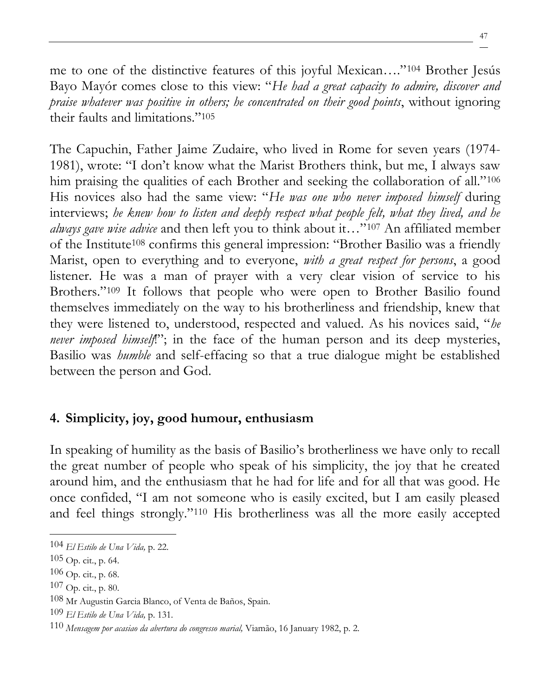me to one of the distinctive features of this joyful Mexican…."<sup>104</sup> Brother Jesús Bayo Mayór comes close to this view: "*He had a great capacity to admire, discover and praise whatever was positive in others; he concentrated on their good points*, without ignoring their faults and limitations."<sup>105</sup>

The Capuchin, Father Jaime Zudaire, who lived in Rome for seven years (1974- 1981), wrote: "I don't know what the Marist Brothers think, but me, I always saw him praising the qualities of each Brother and seeking the collaboration of all."<sup>106</sup> His novices also had the same view: "*He was one who never imposed himself* during interviews; *he knew how to listen and deeply respect what people felt, what they lived, and he always gave wise advice* and then left you to think about it…"<sup>107</sup> An affiliated member of the Institute<sup>108</sup> confirms this general impression: "Brother Basilio was a friendly Marist, open to everything and to everyone, *with a great respect for persons*, a good listener. He was a man of prayer with a very clear vision of service to his Brothers."<sup>109</sup> It follows that people who were open to Brother Basilio found themselves immediately on the way to his brotherliness and friendship, knew that they were listened to, understood, respected and valued. As his novices said, "*he never imposed himself*."; in the face of the human person and its deep mysteries, Basilio was *humble* and self-effacing so that a true dialogue might be established between the person and God.

#### **4. Simplicity, joy, good humour, enthusiasm**

In speaking of humility as the basis of Basilio's brotherliness we have only to recall the great number of people who speak of his simplicity, the joy that he created around him, and the enthusiasm that he had for life and for all that was good. He once confided, "I am not someone who is easily excited, but I am easily pleased and feel things strongly."<sup>110</sup> His brotherliness was all the more easily accepted

<sup>104</sup> *El Estilo de Una Vida,* p. 22.

 $105$  Op. cit., p. 64.

 $106$  Op. cit., p. 68.

 $107$  Op. cit., p. 80.

<sup>108</sup> Mr Augustin Garcia Blanco, of Venta de Baños, Spain.

<sup>109</sup> *El Estilo de Una Vida,* p. 131.

<sup>110</sup> *Mensagem por acasiao da abertura do congresso marial,* Viamão, 16 January 1982, p. 2.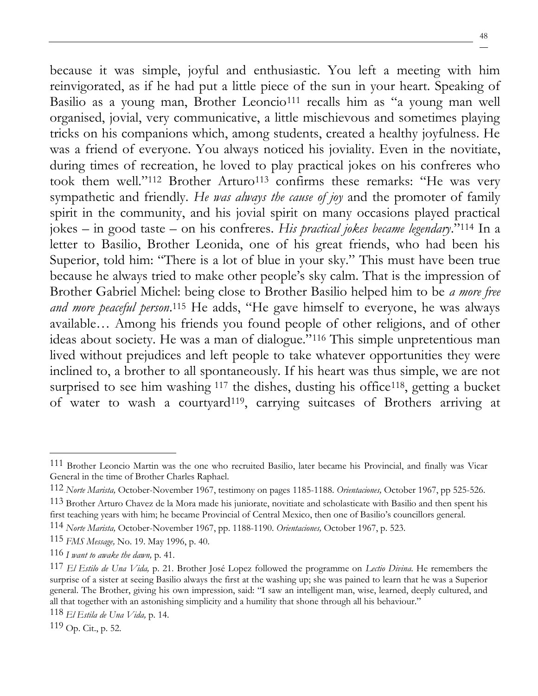because it was simple, joyful and enthusiastic. You left a meeting with him reinvigorated, as if he had put a little piece of the sun in your heart. Speaking of Basilio as a young man, Brother Leoncio<sup>111</sup> recalls him as "a young man well organised, jovial, very communicative, a little mischievous and sometimes playing tricks on his companions which, among students, created a healthy joyfulness. He was a friend of everyone. You always noticed his joviality. Even in the novitiate, during times of recreation, he loved to play practical jokes on his confreres who took them well."<sup>112</sup> Brother Arturo<sup>113</sup> confirms these remarks: "He was very sympathetic and friendly. *He was always the cause of joy* and the promoter of family spirit in the community, and his jovial spirit on many occasions played practical jokes – in good taste – on his confreres. *His practical jokes became legendary*."<sup>114</sup> In a letter to Basilio, Brother Leonida, one of his great friends, who had been his Superior, told him: "There is a lot of blue in your sky." This must have been true because he always tried to make other people's sky calm. That is the impression of Brother Gabriel Michel: being close to Brother Basilio helped him to be *a more free and more peaceful person*. <sup>115</sup> He adds, "He gave himself to everyone, he was always available… Among his friends you found people of other religions, and of other ideas about society. He was a man of dialogue."<sup>116</sup> This simple unpretentious man lived without prejudices and left people to take whatever opportunities they were inclined to, a brother to all spontaneously. If his heart was thus simple, we are not surprised to see him washing  $117$  the dishes, dusting his office  $118$ , getting a bucket of water to wash a courtyard119, carrying suitcases of Brothers arriving at

<sup>111</sup> Brother Leoncio Martin was the one who recruited Basilio, later became his Provincial, and finally was Vicar General in the time of Brother Charles Raphael.

<sup>112</sup> *Norte Marista,* October-November 1967, testimony on pages 1185-1188. *Orientaciones,* October 1967, pp 525-526.

<sup>113</sup> Brother Arturo Chavez de la Mora made his juniorate, novitiate and scholasticate with Basilio and then spent his first teaching years with him; he became Provincial of Central Mexico, then one of Basilio's councillors general.

<sup>114</sup> *Norte Marista,* October-November 1967, pp. 1188-1190. *Orientaciones,* October 1967, p. 523.

<sup>115</sup> *FMS Message,* No. 19. May 1996, p. 40.

<sup>116</sup> *I want to awake the dawn,* p. 41.

<sup>117</sup> *El Estilo de Una Vida,* p. 21. Brother José Lopez followed the programme on *Lectio Divina*. He remembers the surprise of a sister at seeing Basilio always the first at the washing up; she was pained to learn that he was a Superior general. The Brother, giving his own impression, said: "I saw an intelligent man, wise, learned, deeply cultured, and all that together with an astonishing simplicity and a humility that shone through all his behaviour."

<sup>118</sup> *El Estila de Una Vida,* p. 14.

 $119$  Op. Cit., p. 52.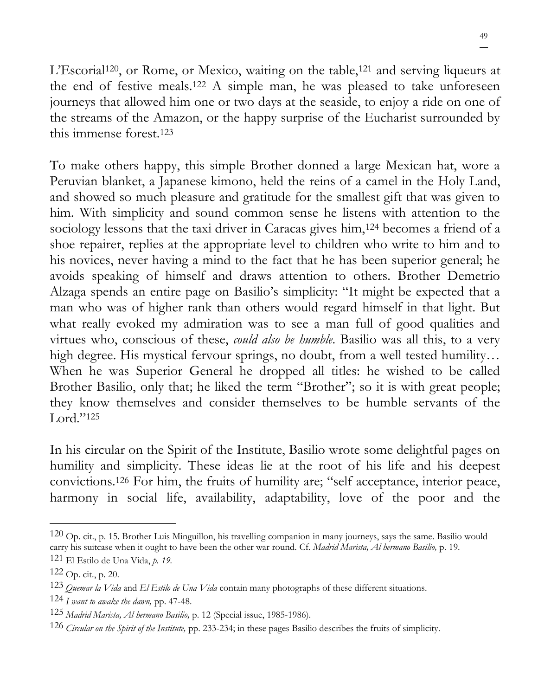49

L'Escorial<sup>120</sup>, or Rome, or Mexico, waiting on the table,<sup>121</sup> and serving liqueurs at the end of festive meals.<sup>122</sup> A simple man, he was pleased to take unforeseen journeys that allowed him one or two days at the seaside, to enjoy a ride on one of the streams of the Amazon, or the happy surprise of the Eucharist surrounded by this immense forest.<sup>123</sup>

To make others happy, this simple Brother donned a large Mexican hat, wore a Peruvian blanket, a Japanese kimono, held the reins of a camel in the Holy Land, and showed so much pleasure and gratitude for the smallest gift that was given to him. With simplicity and sound common sense he listens with attention to the sociology lessons that the taxi driver in Caracas gives him,<sup>124</sup> becomes a friend of a shoe repairer, replies at the appropriate level to children who write to him and to his novices, never having a mind to the fact that he has been superior general; he avoids speaking of himself and draws attention to others. Brother Demetrio Alzaga spends an entire page on Basilio's simplicity: "It might be expected that a man who was of higher rank than others would regard himself in that light. But what really evoked my admiration was to see a man full of good qualities and virtues who, conscious of these, *could also be humble*. Basilio was all this, to a very high degree. His mystical fervour springs, no doubt, from a well tested humility... When he was Superior General he dropped all titles: he wished to be called Brother Basilio, only that; he liked the term "Brother"; so it is with great people; they know themselves and consider themselves to be humble servants of the Lord."<sup>125</sup>

In his circular on the Spirit of the Institute, Basilio wrote some delightful pages on humility and simplicity. These ideas lie at the root of his life and his deepest convictions.<sup>126</sup> For him, the fruits of humility are; "self acceptance, interior peace, harmony in social life, availability, adaptability, love of the poor and the

 $120$  Op. cit., p. 15. Brother Luis Minguillon, his travelling companion in many journeys, says the same. Basilio would carry his suitcase when it ought to have been the other war round. Cf. *Madrid Marista, Al hermano Basilio,* p. 19. 121 El Estilo de Una Vida, *p. 19.*

 $122$  Op. cit., p. 20.

<sup>123</sup> *Quemar la Vida* and *El Estilo de Una Vida* contain many photographs of these different situations.

<sup>124</sup> *I want to awake the dawn,* pp. 47-48.

<sup>125</sup> *Madrid Marista, Al hermano Basilio,* p. 12 (Special issue, 1985-1986).

<sup>126</sup> *Circular on the Spirit of the Institute,* pp. 233-234; in these pages Basilio describes the fruits of simplicity.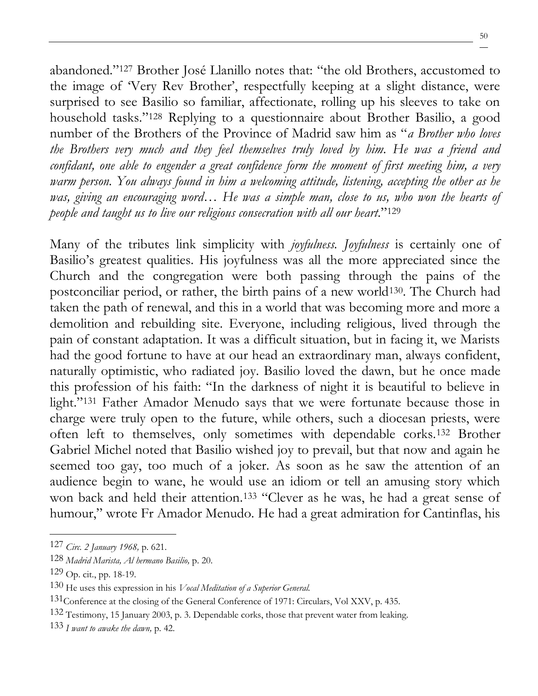abandoned."<sup>127</sup> Brother José Llanillo notes that: "the old Brothers, accustomed to the image of 'Very Rev Brother', respectfully keeping at a slight distance, were surprised to see Basilio so familiar, affectionate, rolling up his sleeves to take on household tasks."<sup>128</sup> Replying to a questionnaire about Brother Basilio, a good number of the Brothers of the Province of Madrid saw him as "*a Brother who loves the Brothers very much and they feel themselves truly loved by him. He was a friend and confidant, one able to engender a great confidence form the moment of first meeting him, a very warm person. You always found in him a welcoming attitude, listening, accepting the other as he was, giving an encouraging word… He was a simple man, close to us, who won the hearts of people and taught us to live our religious consecration with all our heart*."<sup>129</sup>

Many of the tributes link simplicity with *joyfulness. Joyfulness* is certainly one of Basilio's greatest qualities. His joyfulness was all the more appreciated since the Church and the congregation were both passing through the pains of the postconciliar period, or rather, the birth pains of a new world<sup>130</sup>. The Church had taken the path of renewal, and this in a world that was becoming more and more a demolition and rebuilding site. Everyone, including religious, lived through the pain of constant adaptation. It was a difficult situation, but in facing it, we Marists had the good fortune to have at our head an extraordinary man, always confident, naturally optimistic, who radiated joy. Basilio loved the dawn, but he once made this profession of his faith: "In the darkness of night it is beautiful to believe in light."<sup>131</sup> Father Amador Menudo says that we were fortunate because those in charge were truly open to the future, while others, such a diocesan priests, were often left to themselves, only sometimes with dependable corks.<sup>132</sup> Brother Gabriel Michel noted that Basilio wished joy to prevail, but that now and again he seemed too gay, too much of a joker. As soon as he saw the attention of an audience begin to wane, he would use an idiom or tell an amusing story which won back and held their attention.<sup>133</sup> "Clever as he was, he had a great sense of humour," wrote Fr Amador Menudo. He had a great admiration for Cantinflas, his

<sup>127</sup> *Circ. 2 January 1968,* p. 621.

<sup>128</sup> *Madrid Marista, Al hermano Basilio,* p. 20.

 $129$  Op. cit., pp. 18-19.

<sup>130</sup> He uses this expression in his *Vocal Meditation of a Superior General.*

<sup>&</sup>lt;sup>131</sup>Conference at the closing of the General Conference of 1971: Circulars, Vol XXV, p. 435.

<sup>132</sup> Testimony, 15 January 2003, p. 3. Dependable corks, those that prevent water from leaking.

<sup>133</sup> *I want to awake the dawn,* p. 42.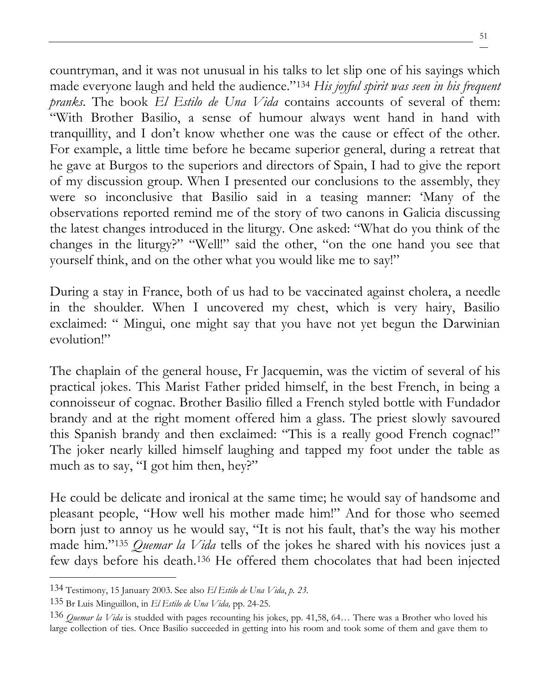countryman, and it was not unusual in his talks to let slip one of his sayings which made everyone laugh and held the audience."<sup>134</sup> *His joyful spirit was seen in his frequent pranks*. The book *El Estilo de Una Vida* contains accounts of several of them: "With Brother Basilio, a sense of humour always went hand in hand with tranquillity, and I don't know whether one was the cause or effect of the other. For example, a little time before he became superior general, during a retreat that he gave at Burgos to the superiors and directors of Spain, I had to give the report of my discussion group. When I presented our conclusions to the assembly, they were so inconclusive that Basilio said in a teasing manner: 'Many of the observations reported remind me of the story of two canons in Galicia discussing the latest changes introduced in the liturgy. One asked: "What do you think of the changes in the liturgy?" "Well!" said the other, "on the one hand you see that yourself think, and on the other what you would like me to say!"

During a stay in France, both of us had to be vaccinated against cholera, a needle in the shoulder. When I uncovered my chest, which is very hairy, Basilio exclaimed: " Mingui, one might say that you have not yet begun the Darwinian evolution!"

The chaplain of the general house, Fr Jacquemin, was the victim of several of his practical jokes. This Marist Father prided himself, in the best French, in being a connoisseur of cognac. Brother Basilio filled a French styled bottle with Fundador brandy and at the right moment offered him a glass. The priest slowly savoured this Spanish brandy and then exclaimed: "This is a really good French cognac!" The joker nearly killed himself laughing and tapped my foot under the table as much as to say, "I got him then, hey?"

He could be delicate and ironical at the same time; he would say of handsome and pleasant people, "How well his mother made him!" And for those who seemed born just to annoy us he would say, "It is not his fault, that's the way his mother made him."<sup>135</sup> *Quemar la Vida* tells of the jokes he shared with his novices just a few days before his death.<sup>136</sup> He offered them chocolates that had been injected

<sup>134</sup> Testimony, 15 January 2003. See also *El Estilo de Una Vida*, *p. 23.*

<sup>135</sup> Br Luis Minguillon, in *El Estilo de Una Vida,* pp. 24-25.

<sup>136</sup> *Quemar la Vida* is studded with pages recounting his jokes, pp. 41,58, 64… There was a Brother who loved his large collection of ties. Once Basilio succeeded in getting into his room and took some of them and gave them to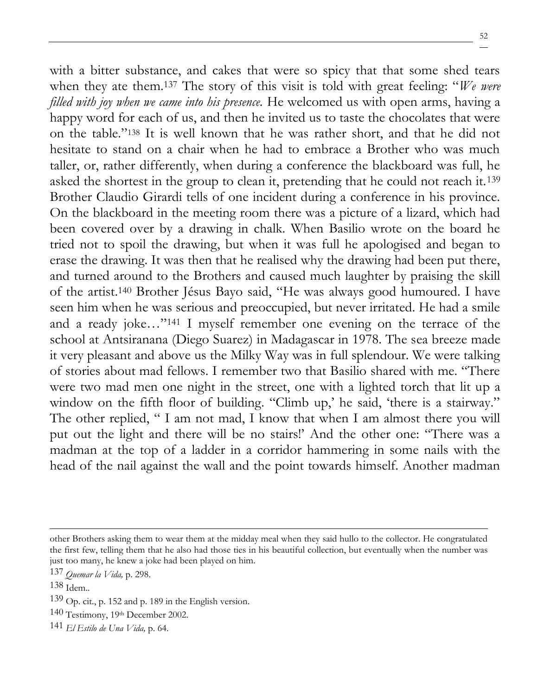with a bitter substance, and cakes that were so spicy that that some shed tears when they ate them.<sup>137</sup> The story of this visit is told with great feeling: "*We were filled with joy when we came into his presence.* He welcomed us with open arms, having a happy word for each of us, and then he invited us to taste the chocolates that were on the table."<sup>138</sup> It is well known that he was rather short, and that he did not hesitate to stand on a chair when he had to embrace a Brother who was much taller, or, rather differently, when during a conference the blackboard was full, he asked the shortest in the group to clean it, pretending that he could not reach it.<sup>139</sup> Brother Claudio Girardi tells of one incident during a conference in his province. On the blackboard in the meeting room there was a picture of a lizard, which had been covered over by a drawing in chalk. When Basilio wrote on the board he tried not to spoil the drawing, but when it was full he apologised and began to erase the drawing. It was then that he realised why the drawing had been put there, and turned around to the Brothers and caused much laughter by praising the skill of the artist.<sup>140</sup> Brother Jésus Bayo said, "He was always good humoured. I have seen him when he was serious and preoccupied, but never irritated. He had a smile and a ready joke…"<sup>141</sup> I myself remember one evening on the terrace of the school at Antsiranana (Diego Suarez) in Madagascar in 1978. The sea breeze made it very pleasant and above us the Milky Way was in full splendour. We were talking of stories about mad fellows. I remember two that Basilio shared with me. "There were two mad men one night in the street, one with a lighted torch that lit up a window on the fifth floor of building. "Climb up,' he said, 'there is a stairway." The other replied, " I am not mad, I know that when I am almost there you will put out the light and there will be no stairs!' And the other one: "There was a madman at the top of a ladder in a corridor hammering in some nails with the head of the nail against the wall and the point towards himself. Another madman

other Brothers asking them to wear them at the midday meal when they said hullo to the collector. He congratulated the first few, telling them that he also had those ties in his beautiful collection, but eventually when the number was just too many, he knew a joke had been played on him.

<sup>137</sup> *Quemar la Vida,* p. 298.

<sup>138</sup> Idem..

<sup>139</sup> Op. cit., p. 152 and p. 189 in the English version.

<sup>140</sup> Testimony, 19th December 2002.

<sup>141</sup> *El Estilo de Una Vida,* p. 64.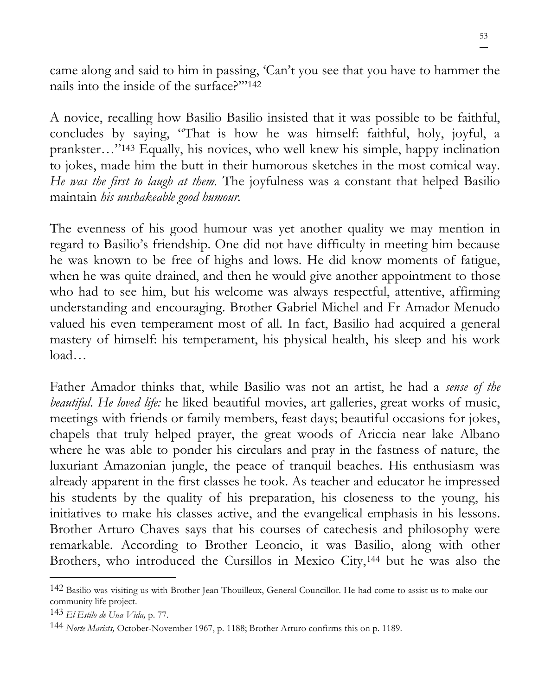came along and said to him in passing, 'Can't you see that you have to hammer the nails into the inside of the surface?'"<sup>142</sup>

A novice, recalling how Basilio Basilio insisted that it was possible to be faithful, concludes by saying, "That is how he was himself: faithful, holy, joyful, a prankster…"<sup>143</sup> Equally, his novices, who well knew his simple, happy inclination to jokes, made him the butt in their humorous sketches in the most comical way. *He was the first to laugh at them.* The joyfulness was a constant that helped Basilio maintain *his unshakeable good humour.*

The evenness of his good humour was yet another quality we may mention in regard to Basilio's friendship. One did not have difficulty in meeting him because he was known to be free of highs and lows. He did know moments of fatigue, when he was quite drained, and then he would give another appointment to those who had to see him, but his welcome was always respectful, attentive, affirming understanding and encouraging. Brother Gabriel Michel and Fr Amador Menudo valued his even temperament most of all. In fact, Basilio had acquired a general mastery of himself: his temperament, his physical health, his sleep and his work load…

Father Amador thinks that, while Basilio was not an artist, he had a *sense of the beautiful*. *He loved life:* he liked beautiful movies, art galleries, great works of music, meetings with friends or family members, feast days; beautiful occasions for jokes, chapels that truly helped prayer, the great woods of Ariccia near lake Albano where he was able to ponder his circulars and pray in the fastness of nature, the luxuriant Amazonian jungle, the peace of tranquil beaches. His enthusiasm was already apparent in the first classes he took. As teacher and educator he impressed his students by the quality of his preparation, his closeness to the young, his initiatives to make his classes active, and the evangelical emphasis in his lessons. Brother Arturo Chaves says that his courses of catechesis and philosophy were remarkable. According to Brother Leoncio, it was Basilio, along with other Brothers, who introduced the Cursillos in Mexico City,<sup>144</sup> but he was also the

<sup>142</sup> Basilio was visiting us with Brother Jean Thouilleux, General Councillor. He had come to assist us to make our community life project.

<sup>143</sup> *El Estilo de Una Vida,* p. 77.

<sup>144</sup> *Norte Marists,* October-November 1967, p. 1188; Brother Arturo confirms this on p. 1189.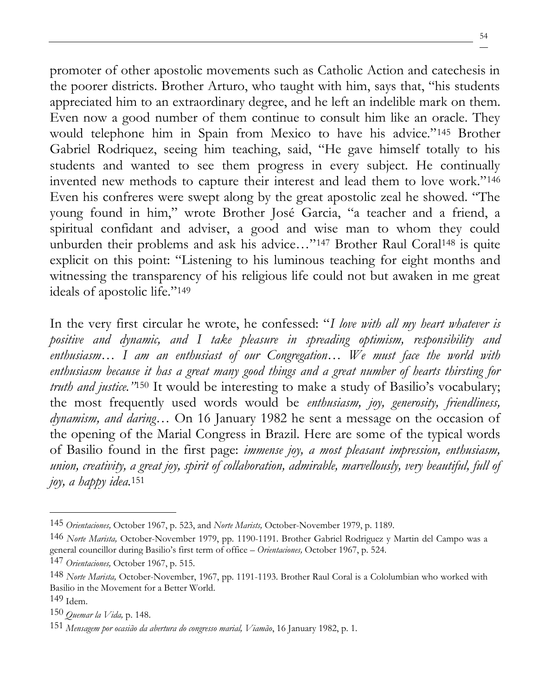promoter of other apostolic movements such as Catholic Action and catechesis in the poorer districts. Brother Arturo, who taught with him, says that, "his students appreciated him to an extraordinary degree, and he left an indelible mark on them. Even now a good number of them continue to consult him like an oracle. They would telephone him in Spain from Mexico to have his advice."<sup>145</sup> Brother Gabriel Rodriquez, seeing him teaching, said, "He gave himself totally to his students and wanted to see them progress in every subject. He continually invented new methods to capture their interest and lead them to love work."<sup>146</sup> Even his confreres were swept along by the great apostolic zeal he showed. "The young found in him," wrote Brother José Garcia, "a teacher and a friend, a spiritual confidant and adviser, a good and wise man to whom they could unburden their problems and ask his advice..."<sup>147</sup> Brother Raul Coral<sup>148</sup> is quite explicit on this point: "Listening to his luminous teaching for eight months and witnessing the transparency of his religious life could not but awaken in me great ideals of apostolic life."<sup>149</sup>

In the very first circular he wrote, he confessed: "*I love with all my heart whatever is positive and dynamic, and I take pleasure in spreading optimism, responsibility and enthusiasm… I am an enthusiast of our Congregation… We must face the world with enthusiasm because it has a great many good things and a great number of hearts thirsting for truth and justice.* "<sup>150</sup> It would be interesting to make a study of Basilio's vocabulary; the most frequently used words would be *enthusiasm, joy, generosity, friendliness, dynamism, and daring…* On 16 January 1982 he sent a message on the occasion of the opening of the Marial Congress in Brazil. Here are some of the typical words of Basilio found in the first page: *immense joy, a most pleasant impression, enthusiasm, union, creativity, a great joy, spirit of collaboration, admirable, marvellously, very beautiful, full of joy, a happy idea.*<sup>151</sup>

<sup>145</sup> *Orientaciones,* October 1967, p. 523, and *Norte Marists,* October-November 1979, p. 1189.

<sup>146</sup> *Norte Marista,* October-November 1979, pp. 1190-1191. Brother Gabriel Rodriguez y Martin del Campo was a general councillor during Basilio's first term of office – *Orientaciones,* October 1967, p. 524.

<sup>147</sup> *Orientaciones,* October 1967, p. 515.

<sup>148</sup> *Norte Marista,* October-November, 1967, pp. 1191-1193. Brother Raul Coral is a Cololumbian who worked with Basilio in the Movement for a Better World.

<sup>149</sup> Idem.

<sup>150</sup> *Quemar la Vida,* p. 148.

<sup>151</sup> *Mensagem por ocasião da abertura do congresso marial, Viamão*, 16 January 1982, p. 1.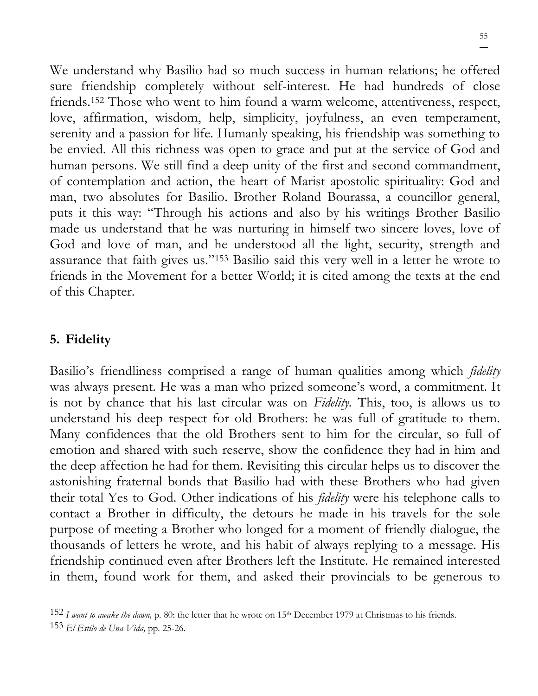We understand why Basilio had so much success in human relations; he offered sure friendship completely without self-interest. He had hundreds of close friends.<sup>152</sup> Those who went to him found a warm welcome, attentiveness, respect, love, affirmation, wisdom, help, simplicity, joyfulness, an even temperament, serenity and a passion for life. Humanly speaking, his friendship was something to be envied. All this richness was open to grace and put at the service of God and human persons. We still find a deep unity of the first and second commandment, of contemplation and action, the heart of Marist apostolic spirituality: God and man, two absolutes for Basilio. Brother Roland Bourassa, a councillor general, puts it this way: "Through his actions and also by his writings Brother Basilio made us understand that he was nurturing in himself two sincere loves, love of God and love of man, and he understood all the light, security, strength and assurance that faith gives us."<sup>153</sup> Basilio said this very well in a letter he wrote to friends in the Movement for a better World; it is cited among the texts at the end of this Chapter.

## **5. Fidelity**

Basilio's friendliness comprised a range of human qualities among which *fidelity* was always present. He was a man who prized someone's word, a commitment. It is not by chance that his last circular was on *Fidelity.* This, too, is allows us to understand his deep respect for old Brothers: he was full of gratitude to them. Many confidences that the old Brothers sent to him for the circular, so full of emotion and shared with such reserve, show the confidence they had in him and the deep affection he had for them. Revisiting this circular helps us to discover the astonishing fraternal bonds that Basilio had with these Brothers who had given their total Yes to God. Other indications of his *fidelity* were his telephone calls to contact a Brother in difficulty, the detours he made in his travels for the sole purpose of meeting a Brother who longed for a moment of friendly dialogue, the thousands of letters he wrote, and his habit of always replying to a message. His friendship continued even after Brothers left the Institute. He remained interested in them, found work for them, and asked their provincials to be generous to

<sup>152</sup> *I want to awake the dawn,* p. 80: the letter that he wrote on 15th December 1979 at Christmas to his friends.

<sup>153</sup> *El Estilo de Una Vida,* pp. 25-26.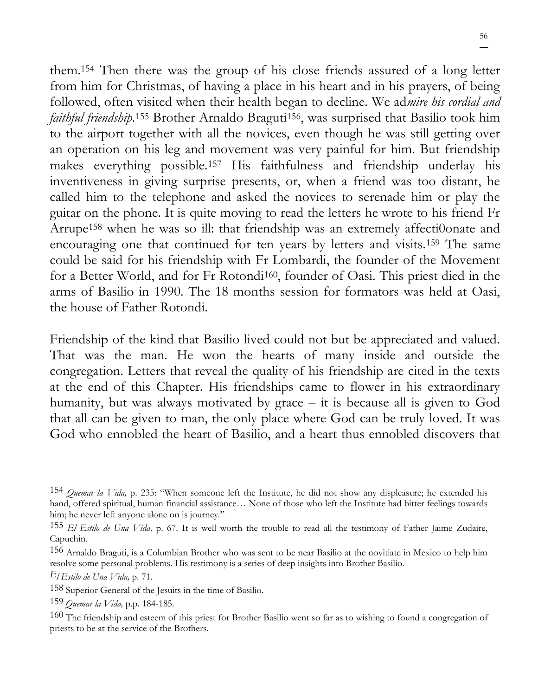them.<sup>154</sup> Then there was the group of his close friends assured of a long letter from him for Christmas, of having a place in his heart and in his prayers, of being followed, often visited when their health began to decline. We ad*mire his cordial and faithful friendship*.<sup>155</sup> Brother Arnaldo Braguti<sup>156</sup>, was surprised that Basilio took him to the airport together with all the novices, even though he was still getting over an operation on his leg and movement was very painful for him. But friendship makes everything possible.<sup>157</sup> His faithfulness and friendship underlay his inventiveness in giving surprise presents, or, when a friend was too distant, he called him to the telephone and asked the novices to serenade him or play the guitar on the phone. It is quite moving to read the letters he wrote to his friend Fr Arrupe<sup>158</sup> when he was so ill: that friendship was an extremely affecti0onate and encouraging one that continued for ten years by letters and visits.<sup>159</sup> The same could be said for his friendship with Fr Lombardi, the founder of the Movement for a Better World, and for Fr Rotondi160, founder of Oasi. This priest died in the arms of Basilio in 1990. The 18 months session for formators was held at Oasi, the house of Father Rotondi.

Friendship of the kind that Basilio lived could not but be appreciated and valued. That was the man. He won the hearts of many inside and outside the congregation. Letters that reveal the quality of his friendship are cited in the texts at the end of this Chapter. His friendships came to flower in his extraordinary humanity, but was always motivated by grace – it is because all is given to God that all can be given to man, the only place where God can be truly loved. It was God who ennobled the heart of Basilio, and a heart thus ennobled discovers that

<sup>154</sup> *Quemar la Vida,* p. 235: "When someone left the Institute, he did not show any displeasure; he extended his hand, offered spiritual, human financial assistance... None of those who left the Institute had bitter feelings towards him; he never left anyone alone on is journey."

<sup>155</sup> *El Estilo de Una Vida,* p. 67. It is well worth the trouble to read all the testimony of Father Jaime Zudaire, Capuchin.

<sup>156</sup> Arnaldo Braguti, is a Columbian Brother who was sent to be near Basilio at the novitiate in Mexico to help him resolve some personal problems. His testimony is a series of deep insights into Brother Basilio.

*El Estilo de Una Vida,* p. 71.

<sup>158</sup> Superior General of the Jesuits in the time of Basilio.

<sup>159</sup> *Quemar la Vida,* p.p. 184-185.

<sup>160</sup> The friendship and esteem of this priest for Brother Basilio went so far as to wishing to found a congregation of priests to be at the service of the Brothers.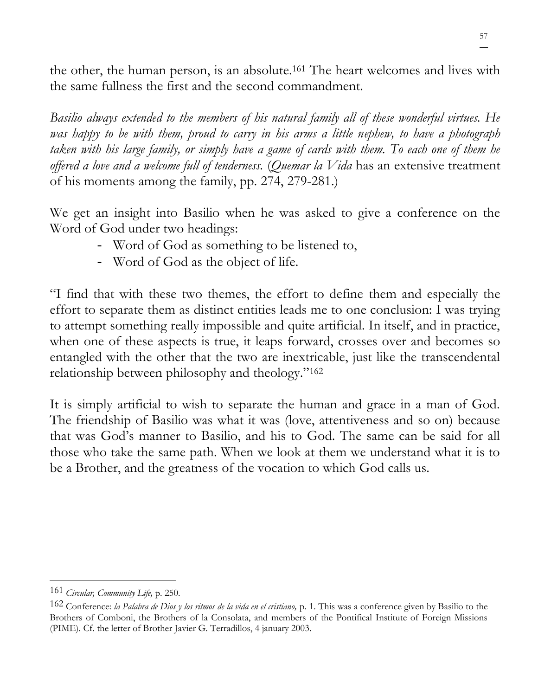the other, the human person, is an absolute.<sup>161</sup> The heart welcomes and lives with the same fullness the first and the second commandment.

*Basilio always extended to the members of his natural family all of these wonderful virtues. He was happy to be with them, proud to carry in his arms a little nephew, to have a photograph taken with his large family, or simply have a game of cards with them. To each one of them he offered a love and a welcome full of tenderness.* (*Quemar la Vida* has an extensive treatment of his moments among the family, pp. 274, 279-281.)

We get an insight into Basilio when he was asked to give a conference on the Word of God under two headings:

- Word of God as something to be listened to,
- Word of God as the object of life.

"I find that with these two themes, the effort to define them and especially the effort to separate them as distinct entities leads me to one conclusion: I was trying to attempt something really impossible and quite artificial. In itself, and in practice, when one of these aspects is true, it leaps forward, crosses over and becomes so entangled with the other that the two are inextricable, just like the transcendental relationship between philosophy and theology."<sup>162</sup>

It is simply artificial to wish to separate the human and grace in a man of God. The friendship of Basilio was what it was (love, attentiveness and so on) because that was God's manner to Basilio, and his to God. The same can be said for all those who take the same path. When we look at them we understand what it is to be a Brother, and the greatness of the vocation to which God calls us.

<sup>161</sup> *Circular, Community Life,* p. 250.

<sup>162</sup> Conference: *la Palabra de Dios y los ritmos de la vida en el cristiano,* p. 1. This was a conference given by Basilio to the Brothers of Comboni, the Brothers of la Consolata, and members of the Pontifical Institute of Foreign Missions (PIME). Cf. the letter of Brother Javier G. Terradillos, 4 january 2003.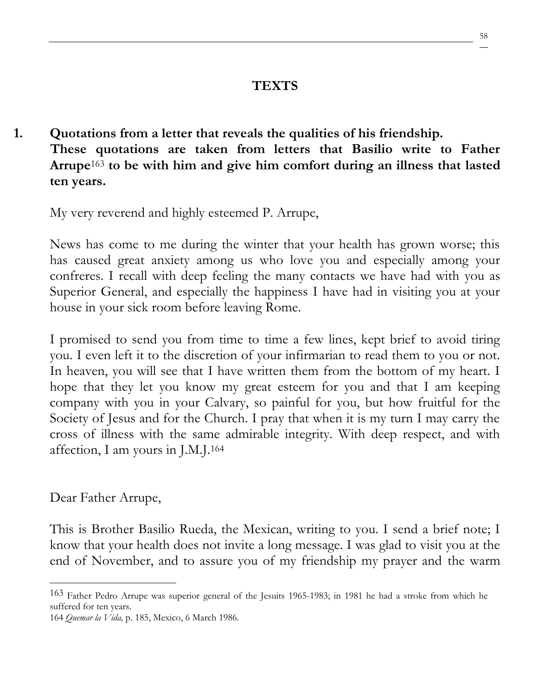### **TEXTS**

**1. Quotations from a letter that reveals the qualities of his friendship. These quotations are taken from letters that Basilio write to Father Arrupe**<sup>163</sup> **to be with him and give him comfort during an illness that lasted ten years.**

My very reverend and highly esteemed P. Arrupe,

News has come to me during the winter that your health has grown worse; this has caused great anxiety among us who love you and especially among your confreres. I recall with deep feeling the many contacts we have had with you as Superior General, and especially the happiness I have had in visiting you at your house in your sick room before leaving Rome.

I promised to send you from time to time a few lines, kept brief to avoid tiring you. I even left it to the discretion of your infirmarian to read them to you or not. In heaven, you will see that I have written them from the bottom of my heart. I hope that they let you know my great esteem for you and that I am keeping company with you in your Calvary, so painful for you, but how fruitful for the Society of Jesus and for the Church. I pray that when it is my turn I may carry the cross of illness with the same admirable integrity. With deep respect, and with affection, I am yours in J.M.J.<sup>164</sup>

Dear Father Arrupe,

This is Brother Basilio Rueda, the Mexican, writing to you. I send a brief note; I know that your health does not invite a long message. I was glad to visit you at the end of November, and to assure you of my friendship my prayer and the warm

<sup>163</sup> Father Pedro Arrupe was superior general of the Jesuits 1965-1983; in 1981 he had a stroke from which he suffered for ten years.

<sup>164</sup> *Quemar la Vida,* p. 185, Mexico, 6 March 1986.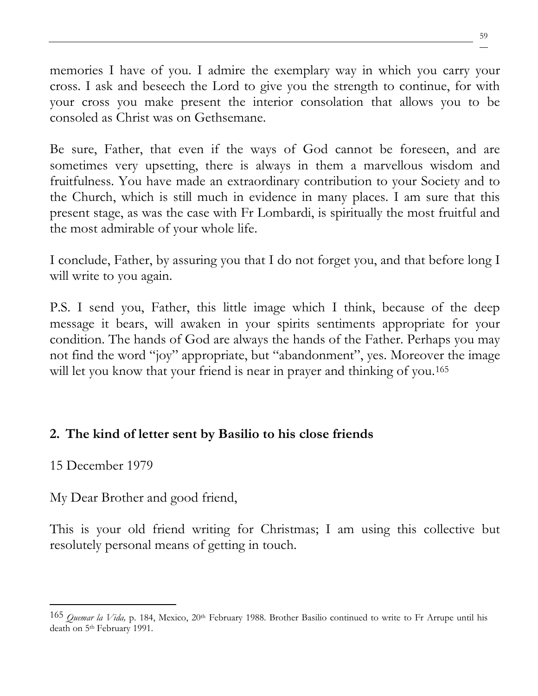memories I have of you. I admire the exemplary way in which you carry your cross. I ask and beseech the Lord to give you the strength to continue, for with your cross you make present the interior consolation that allows you to be consoled as Christ was on Gethsemane.

Be sure, Father, that even if the ways of God cannot be foreseen, and are sometimes very upsetting, there is always in them a marvellous wisdom and fruitfulness. You have made an extraordinary contribution to your Society and to the Church, which is still much in evidence in many places. I am sure that this present stage, as was the case with Fr Lombardi, is spiritually the most fruitful and the most admirable of your whole life.

I conclude, Father, by assuring you that I do not forget you, and that before long I will write to you again.

P.S. I send you, Father, this little image which I think, because of the deep message it bears, will awaken in your spirits sentiments appropriate for your condition. The hands of God are always the hands of the Father. Perhaps you may not find the word "joy" appropriate, but "abandonment", yes. Moreover the image will let you know that your friend is near in prayer and thinking of you.<sup>165</sup>

## **2. The kind of letter sent by Basilio to his close friends**

## 15 December 1979

My Dear Brother and good friend,

This is your old friend writing for Christmas; I am using this collective but resolutely personal means of getting in touch.

<sup>165</sup> *Quemar la Vida,* p. 184, Mexico, 20th February 1988. Brother Basilio continued to write to Fr Arrupe until his death on 5th February 1991.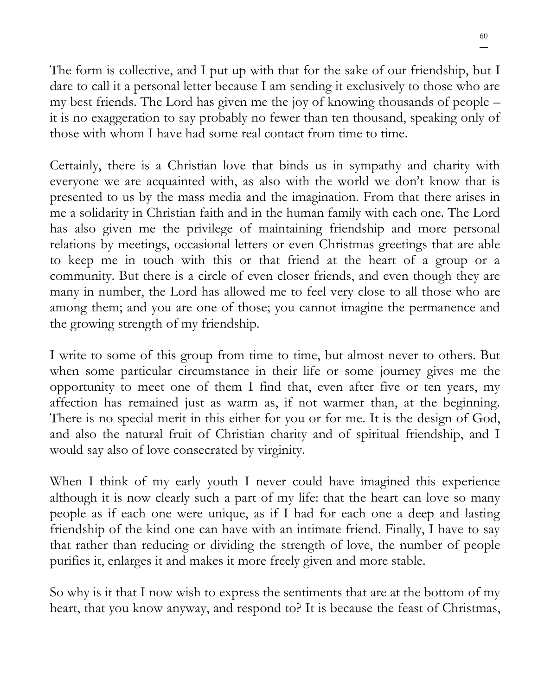The form is collective, and I put up with that for the sake of our friendship, but I dare to call it a personal letter because I am sending it exclusively to those who are my best friends. The Lord has given me the joy of knowing thousands of people – it is no exaggeration to say probably no fewer than ten thousand, speaking only of those with whom I have had some real contact from time to time.

Certainly, there is a Christian love that binds us in sympathy and charity with everyone we are acquainted with, as also with the world we don't know that is presented to us by the mass media and the imagination. From that there arises in me a solidarity in Christian faith and in the human family with each one. The Lord has also given me the privilege of maintaining friendship and more personal relations by meetings, occasional letters or even Christmas greetings that are able to keep me in touch with this or that friend at the heart of a group or a community. But there is a circle of even closer friends, and even though they are many in number, the Lord has allowed me to feel very close to all those who are among them; and you are one of those; you cannot imagine the permanence and the growing strength of my friendship.

I write to some of this group from time to time, but almost never to others. But when some particular circumstance in their life or some journey gives me the opportunity to meet one of them I find that, even after five or ten years, my affection has remained just as warm as, if not warmer than, at the beginning. There is no special merit in this either for you or for me. It is the design of God, and also the natural fruit of Christian charity and of spiritual friendship, and I would say also of love consecrated by virginity.

When I think of my early youth I never could have imagined this experience although it is now clearly such a part of my life: that the heart can love so many people as if each one were unique, as if I had for each one a deep and lasting friendship of the kind one can have with an intimate friend. Finally, I have to say that rather than reducing or dividing the strength of love, the number of people purifies it, enlarges it and makes it more freely given and more stable.

So why is it that I now wish to express the sentiments that are at the bottom of my heart, that you know anyway, and respond to? It is because the feast of Christmas,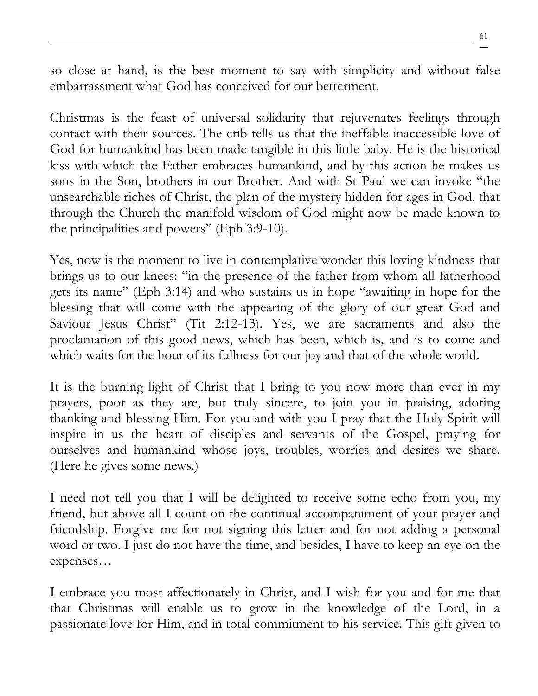so close at hand, is the best moment to say with simplicity and without false embarrassment what God has conceived for our betterment.

Christmas is the feast of universal solidarity that rejuvenates feelings through contact with their sources. The crib tells us that the ineffable inaccessible love of God for humankind has been made tangible in this little baby. He is the historical kiss with which the Father embraces humankind, and by this action he makes us sons in the Son, brothers in our Brother. And with St Paul we can invoke "the unsearchable riches of Christ, the plan of the mystery hidden for ages in God, that through the Church the manifold wisdom of God might now be made known to the principalities and powers" (Eph 3:9-10).

Yes, now is the moment to live in contemplative wonder this loving kindness that brings us to our knees: "in the presence of the father from whom all fatherhood gets its name" (Eph 3:14) and who sustains us in hope "awaiting in hope for the blessing that will come with the appearing of the glory of our great God and Saviour Jesus Christ" (Tit 2:12-13). Yes, we are sacraments and also the proclamation of this good news, which has been, which is, and is to come and which waits for the hour of its fullness for our joy and that of the whole world.

It is the burning light of Christ that I bring to you now more than ever in my prayers, poor as they are, but truly sincere, to join you in praising, adoring thanking and blessing Him. For you and with you I pray that the Holy Spirit will inspire in us the heart of disciples and servants of the Gospel, praying for ourselves and humankind whose joys, troubles, worries and desires we share. (Here he gives some news.)

I need not tell you that I will be delighted to receive some echo from you, my friend, but above all I count on the continual accompaniment of your prayer and friendship. Forgive me for not signing this letter and for not adding a personal word or two. I just do not have the time, and besides, I have to keep an eye on the expenses…

I embrace you most affectionately in Christ, and I wish for you and for me that that Christmas will enable us to grow in the knowledge of the Lord, in a passionate love for Him, and in total commitment to his service. This gift given to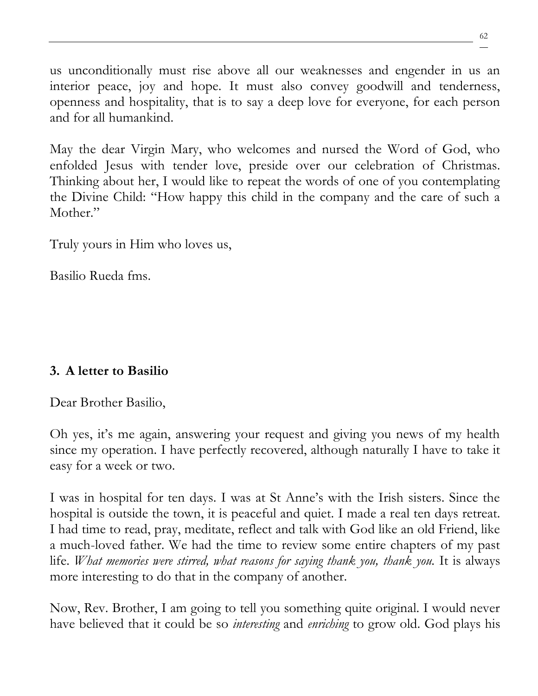us unconditionally must rise above all our weaknesses and engender in us an interior peace, joy and hope. It must also convey goodwill and tenderness, openness and hospitality, that is to say a deep love for everyone, for each person and for all humankind.

May the dear Virgin Mary, who welcomes and nursed the Word of God, who enfolded Jesus with tender love, preside over our celebration of Christmas. Thinking about her, I would like to repeat the words of one of you contemplating the Divine Child: "How happy this child in the company and the care of such a Mother."

Truly yours in Him who loves us,

Basilio Rueda fms.

# **3. A letter to Basilio**

Dear Brother Basilio,

Oh yes, it's me again, answering your request and giving you news of my health since my operation. I have perfectly recovered, although naturally I have to take it easy for a week or two.

I was in hospital for ten days. I was at St Anne's with the Irish sisters. Since the hospital is outside the town, it is peaceful and quiet. I made a real ten days retreat. I had time to read, pray, meditate, reflect and talk with God like an old Friend, like a much-loved father. We had the time to review some entire chapters of my past life. *What memories were stirred, what reasons for saying thank you, thank you.* It is always more interesting to do that in the company of another.

Now, Rev. Brother, I am going to tell you something quite original. I would never have believed that it could be so *interesting* and *enriching* to grow old. God plays his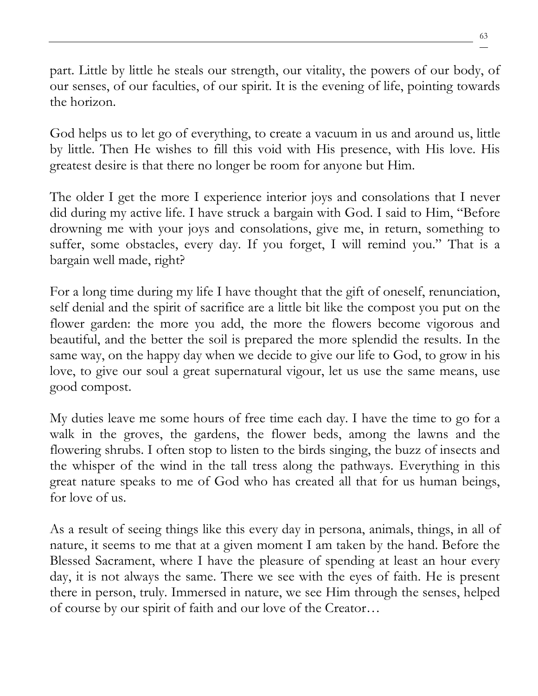part. Little by little he steals our strength, our vitality, the powers of our body, of our senses, of our faculties, of our spirit. It is the evening of life, pointing towards the horizon.

God helps us to let go of everything, to create a vacuum in us and around us, little by little. Then He wishes to fill this void with His presence, with His love. His greatest desire is that there no longer be room for anyone but Him.

The older I get the more I experience interior joys and consolations that I never did during my active life. I have struck a bargain with God. I said to Him, "Before drowning me with your joys and consolations, give me, in return, something to suffer, some obstacles, every day. If you forget, I will remind you." That is a bargain well made, right?

For a long time during my life I have thought that the gift of oneself, renunciation, self denial and the spirit of sacrifice are a little bit like the compost you put on the flower garden: the more you add, the more the flowers become vigorous and beautiful, and the better the soil is prepared the more splendid the results. In the same way, on the happy day when we decide to give our life to God, to grow in his love, to give our soul a great supernatural vigour, let us use the same means, use good compost.

My duties leave me some hours of free time each day. I have the time to go for a walk in the groves, the gardens, the flower beds, among the lawns and the flowering shrubs. I often stop to listen to the birds singing, the buzz of insects and the whisper of the wind in the tall tress along the pathways. Everything in this great nature speaks to me of God who has created all that for us human beings, for love of us.

As a result of seeing things like this every day in persona, animals, things, in all of nature, it seems to me that at a given moment I am taken by the hand. Before the Blessed Sacrament, where I have the pleasure of spending at least an hour every day, it is not always the same. There we see with the eyes of faith. He is present there in person, truly. Immersed in nature, we see Him through the senses, helped of course by our spirit of faith and our love of the Creator…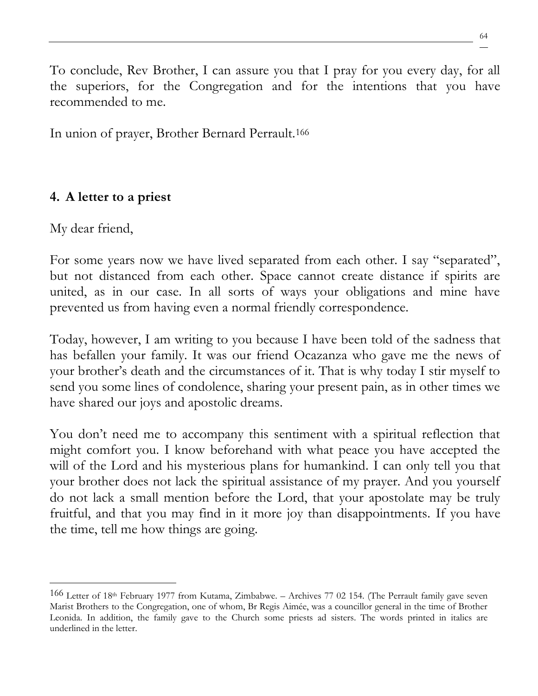To conclude, Rev Brother, I can assure you that I pray for you every day, for all the superiors, for the Congregation and for the intentions that you have recommended to me.

In union of prayer, Brother Bernard Perrault.<sup>166</sup>

## **4. A letter to a priest**

My dear friend,

For some years now we have lived separated from each other. I say "separated", but not distanced from each other. Space cannot create distance if spirits are united, as in our case. In all sorts of ways your obligations and mine have prevented us from having even a normal friendly correspondence.

Today, however, I am writing to you because I have been told of the sadness that has befallen your family. It was our friend Ocazanza who gave me the news of your brother's death and the circumstances of it. That is why today I stir myself to send you some lines of condolence, sharing your present pain, as in other times we have shared our joys and apostolic dreams.

You don't need me to accompany this sentiment with a spiritual reflection that might comfort you. I know beforehand with what peace you have accepted the will of the Lord and his mysterious plans for humankind. I can only tell you that your brother does not lack the spiritual assistance of my prayer. And you yourself do not lack a small mention before the Lord, that your apostolate may be truly fruitful, and that you may find in it more joy than disappointments. If you have the time, tell me how things are going.

<sup>166</sup> Letter of 18th February 1977 from Kutama, Zimbabwe. – Archives 77 02 154. (The Perrault family gave seven Marist Brothers to the Congregation, one of whom, Br Regis Aimée, was a councillor general in the time of Brother Leonida. In addition, the family gave to the Church some priests ad sisters. The words printed in italics are underlined in the letter.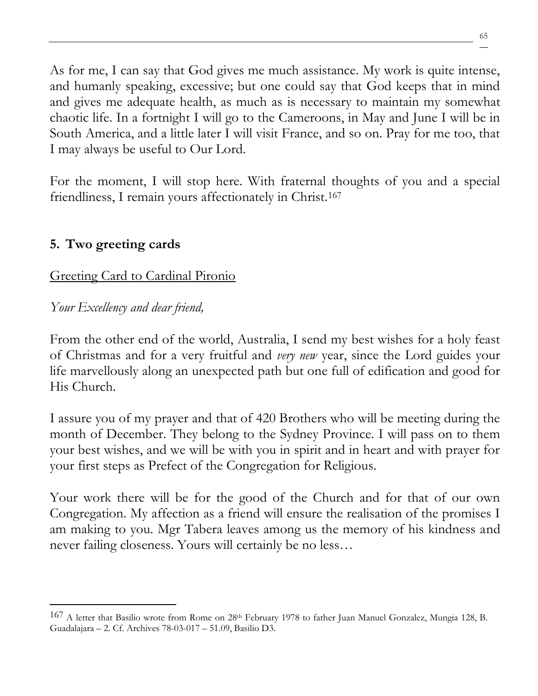As for me, I can say that God gives me much assistance. My work is quite intense, and humanly speaking, excessive; but one could say that God keeps that in mind and gives me adequate health, as much as is necessary to maintain my somewhat chaotic life. In a fortnight I will go to the Cameroons, in May and June I will be in South America, and a little later I will visit France, and so on. Pray for me too, that I may always be useful to Our Lord.

For the moment, I will stop here. With fraternal thoughts of you and a special friendliness, I remain yours affectionately in Christ.<sup>167</sup>

## **5. Two greeting cards**

## Greeting Card to Cardinal Pironio

## *Your Excellency and dear friend,*

From the other end of the world, Australia, I send my best wishes for a holy feast of Christmas and for a very fruitful and *very new* year, since the Lord guides your life marvellously along an unexpected path but one full of edification and good for His Church.

I assure you of my prayer and that of 420 Brothers who will be meeting during the month of December. They belong to the Sydney Province. I will pass on to them your best wishes, and we will be with you in spirit and in heart and with prayer for your first steps as Prefect of the Congregation for Religious.

Your work there will be for the good of the Church and for that of our own Congregation. My affection as a friend will ensure the realisation of the promises I am making to you. Mgr Tabera leaves among us the memory of his kindness and never failing closeness. Yours will certainly be no less…

<sup>167</sup> A letter that Basilio wrote from Rome on 28th February 1978 to father Juan Manuel Gonzalez, Mungia 128, B. Guadalajara – 2. Cf. Archives 78-03-017 – 51.09, Basilio D3.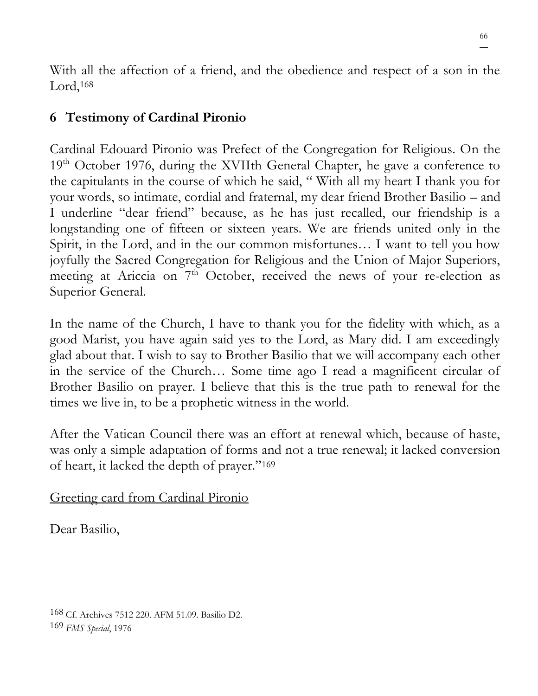With all the affection of a friend, and the obedience and respect of a son in the Lord,<sup>168</sup>

# **6 Testimony of Cardinal Pironio**

Cardinal Edouard Pironio was Prefect of the Congregation for Religious. On the 19<sup>th</sup> October 1976, during the XVIIth General Chapter, he gave a conference to the capitulants in the course of which he said, " With all my heart I thank you for your words, so intimate, cordial and fraternal, my dear friend Brother Basilio – and I underline "dear friend" because, as he has just recalled, our friendship is a longstanding one of fifteen or sixteen years. We are friends united only in the Spirit, in the Lord, and in the our common misfortunes… I want to tell you how joyfully the Sacred Congregation for Religious and the Union of Major Superiors, meeting at Ariccia on  $7<sup>th</sup>$  October, received the news of your re-election as Superior General.

In the name of the Church, I have to thank you for the fidelity with which, as a good Marist, you have again said yes to the Lord, as Mary did. I am exceedingly glad about that. I wish to say to Brother Basilio that we will accompany each other in the service of the Church… Some time ago I read a magnificent circular of Brother Basilio on prayer. I believe that this is the true path to renewal for the times we live in, to be a prophetic witness in the world.

After the Vatican Council there was an effort at renewal which, because of haste, was only a simple adaptation of forms and not a true renewal; it lacked conversion of heart, it lacked the depth of prayer."<sup>169</sup>

Greeting card from Cardinal Pironio

Dear Basilio,

<sup>168</sup> Cf. Archives 7512 220. AFM 51.09. Basilio D2.

<sup>169</sup> *FMS Special*, 1976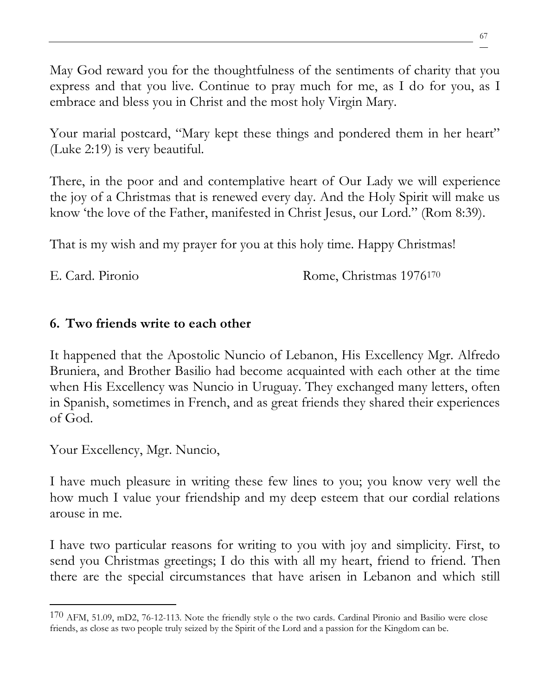May God reward you for the thoughtfulness of the sentiments of charity that you express and that you live. Continue to pray much for me, as I do for you, as I embrace and bless you in Christ and the most holy Virgin Mary.

Your marial postcard, "Mary kept these things and pondered them in her heart" (Luke 2:19) is very beautiful.

There, in the poor and and contemplative heart of Our Lady we will experience the joy of a Christmas that is renewed every day. And the Holy Spirit will make us know 'the love of the Father, manifested in Christ Jesus, our Lord." (Rom 8:39).

That is my wish and my prayer for you at this holy time. Happy Christmas!

E. Card. Pironio Rome, Christmas 1976<sup>170</sup>

## **6. Two friends write to each other**

It happened that the Apostolic Nuncio of Lebanon, His Excellency Mgr. Alfredo Bruniera, and Brother Basilio had become acquainted with each other at the time when His Excellency was Nuncio in Uruguay. They exchanged many letters, often in Spanish, sometimes in French, and as great friends they shared their experiences of God.

Your Excellency, Mgr. Nuncio,

I have much pleasure in writing these few lines to you; you know very well the how much I value your friendship and my deep esteem that our cordial relations arouse in me.

I have two particular reasons for writing to you with joy and simplicity. First, to send you Christmas greetings; I do this with all my heart, friend to friend. Then there are the special circumstances that have arisen in Lebanon and which still

<sup>170</sup> AFM, 51.09, mD2, 76-12-113. Note the friendly style o the two cards. Cardinal Pironio and Basilio were close friends, as close as two people truly seized by the Spirit of the Lord and a passion for the Kingdom can be.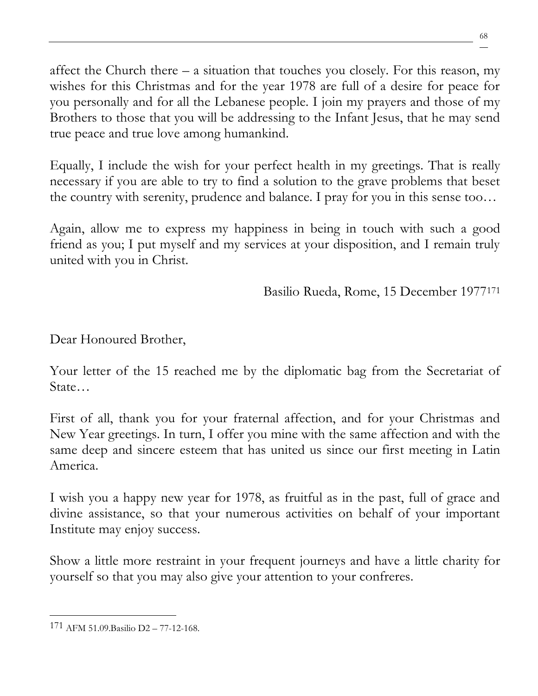affect the Church there  $-$  a situation that touches you closely. For this reason, my wishes for this Christmas and for the year 1978 are full of a desire for peace for you personally and for all the Lebanese people. I join my prayers and those of my Brothers to those that you will be addressing to the Infant Jesus, that he may send true peace and true love among humankind.

Equally, I include the wish for your perfect health in my greetings. That is really necessary if you are able to try to find a solution to the grave problems that beset the country with serenity, prudence and balance. I pray for you in this sense too…

Again, allow me to express my happiness in being in touch with such a good friend as you; I put myself and my services at your disposition, and I remain truly united with you in Christ.

Basilio Rueda, Rome, 15 December 1977<sup>171</sup>

Dear Honoured Brother,

Your letter of the 15 reached me by the diplomatic bag from the Secretariat of State…

First of all, thank you for your fraternal affection, and for your Christmas and New Year greetings. In turn, I offer you mine with the same affection and with the same deep and sincere esteem that has united us since our first meeting in Latin America.

I wish you a happy new year for 1978, as fruitful as in the past, full of grace and divine assistance, so that your numerous activities on behalf of your important Institute may enjoy success.

Show a little more restraint in your frequent journeys and have a little charity for yourself so that you may also give your attention to your confreres.

<sup>171</sup> AFM 51.09.Basilio D2 – 77-12-168.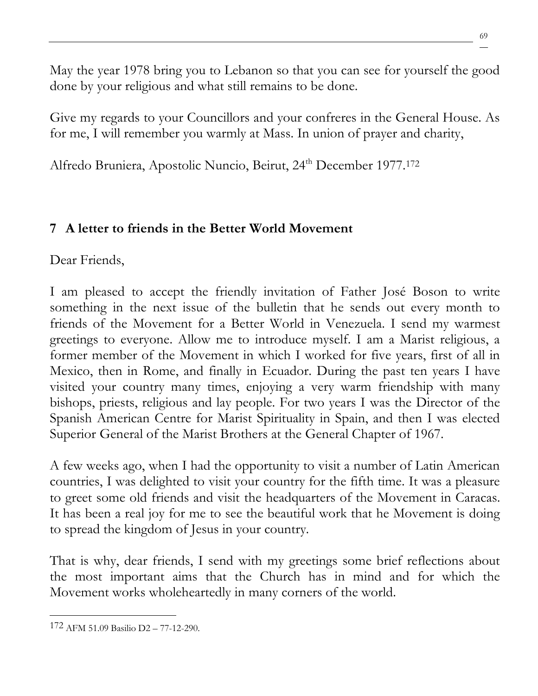May the year 1978 bring you to Lebanon so that you can see for yourself the good done by your religious and what still remains to be done.

Give my regards to your Councillors and your confreres in the General House. As for me, I will remember you warmly at Mass. In union of prayer and charity,

Alfredo Bruniera, Apostolic Nuncio, Beirut, 24<sup>th</sup> December 1977.<sup>172</sup>

# **7 A letter to friends in the Better World Movement**

Dear Friends,

I am pleased to accept the friendly invitation of Father José Boson to write something in the next issue of the bulletin that he sends out every month to friends of the Movement for a Better World in Venezuela. I send my warmest greetings to everyone. Allow me to introduce myself. I am a Marist religious, a former member of the Movement in which I worked for five years, first of all in Mexico, then in Rome, and finally in Ecuador. During the past ten years I have visited your country many times, enjoying a very warm friendship with many bishops, priests, religious and lay people. For two years I was the Director of the Spanish American Centre for Marist Spirituality in Spain, and then I was elected Superior General of the Marist Brothers at the General Chapter of 1967.

A few weeks ago, when I had the opportunity to visit a number of Latin American countries, I was delighted to visit your country for the fifth time. It was a pleasure to greet some old friends and visit the headquarters of the Movement in Caracas. It has been a real joy for me to see the beautiful work that he Movement is doing to spread the kingdom of Jesus in your country.

That is why, dear friends, I send with my greetings some brief reflections about the most important aims that the Church has in mind and for which the Movement works wholeheartedly in many corners of the world.

<sup>172</sup> AFM 51.09 Basilio D2 – 77-12-290.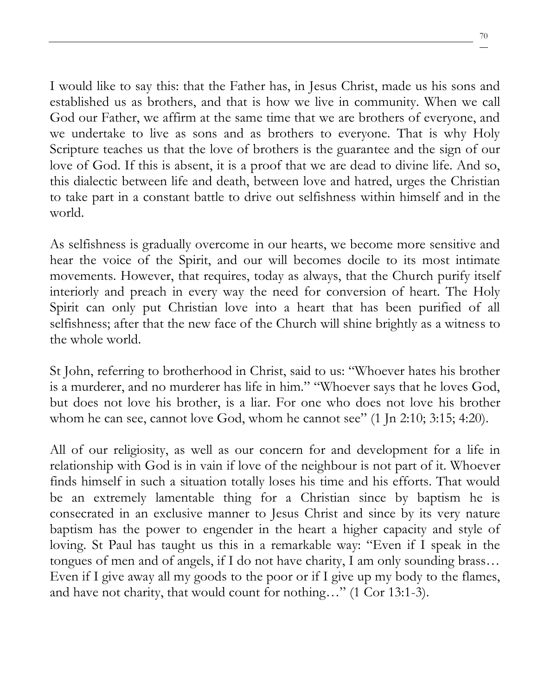I would like to say this: that the Father has, in Jesus Christ, made us his sons and established us as brothers, and that is how we live in community. When we call God our Father, we affirm at the same time that we are brothers of everyone, and we undertake to live as sons and as brothers to everyone. That is why Holy Scripture teaches us that the love of brothers is the guarantee and the sign of our love of God. If this is absent, it is a proof that we are dead to divine life. And so, this dialectic between life and death, between love and hatred, urges the Christian to take part in a constant battle to drive out selfishness within himself and in the world.

As selfishness is gradually overcome in our hearts, we become more sensitive and hear the voice of the Spirit, and our will becomes docile to its most intimate movements. However, that requires, today as always, that the Church purify itself interiorly and preach in every way the need for conversion of heart. The Holy Spirit can only put Christian love into a heart that has been purified of all selfishness; after that the new face of the Church will shine brightly as a witness to the whole world.

St John, referring to brotherhood in Christ, said to us: "Whoever hates his brother is a murderer, and no murderer has life in him." "Whoever says that he loves God, but does not love his brother, is a liar. For one who does not love his brother whom he can see, cannot love God, whom he cannot see" (1 Jn 2:10; 3:15; 4:20).

All of our religiosity, as well as our concern for and development for a life in relationship with God is in vain if love of the neighbour is not part of it. Whoever finds himself in such a situation totally loses his time and his efforts. That would be an extremely lamentable thing for a Christian since by baptism he is consecrated in an exclusive manner to Jesus Christ and since by its very nature baptism has the power to engender in the heart a higher capacity and style of loving. St Paul has taught us this in a remarkable way: "Even if I speak in the tongues of men and of angels, if I do not have charity, I am only sounding brass… Even if I give away all my goods to the poor or if I give up my body to the flames, and have not charity, that would count for nothing…" (1 Cor 13:1-3).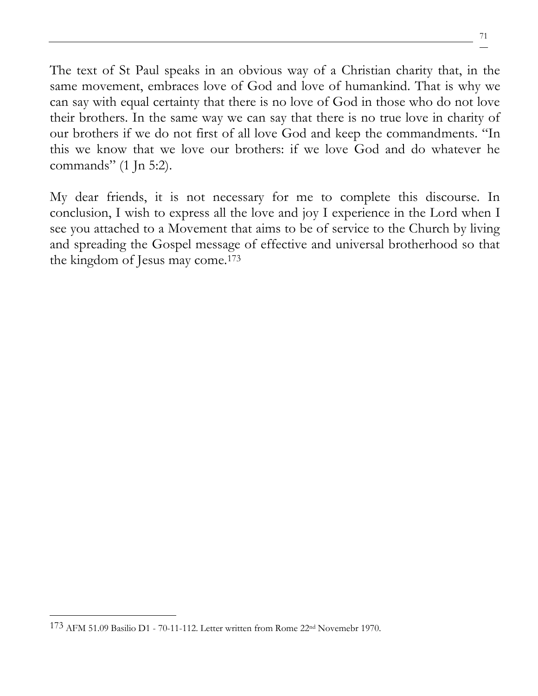The text of St Paul speaks in an obvious way of a Christian charity that, in the same movement, embraces love of God and love of humankind. That is why we can say with equal certainty that there is no love of God in those who do not love their brothers. In the same way we can say that there is no true love in charity of our brothers if we do not first of all love God and keep the commandments. "In this we know that we love our brothers: if we love God and do whatever he commands" (1 Jn 5:2).

My dear friends, it is not necessary for me to complete this discourse. In conclusion, I wish to express all the love and joy I experience in the Lord when I see you attached to a Movement that aims to be of service to the Church by living and spreading the Gospel message of effective and universal brotherhood so that the kingdom of Jesus may come.<sup>173</sup>

<sup>173</sup> AFM 51.09 Basilio D1 - 70-11-112. Letter written from Rome 22nd Novemebr 1970.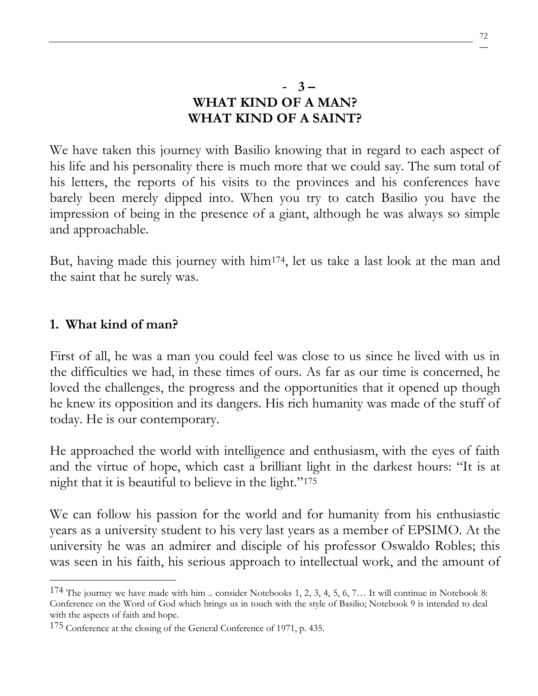We have taken this journey with Basilio knowing that in regard to each aspect of his life and his personality there is much more that we could say. The sum total of his letters, the reports of his visits to the provinces and his conferences have barely been merely dipped into. When you try to catch Basilio you have the impression of being in the presence of a giant, although he was always so simple and approachable.

But, having made this journey with him174, let us take a last look at the man and the saint that he surely was.

#### **1. What kind of man?**

First of all, he was a man you could feel was close to us since he lived with us in the difficulties we had, in these times of ours. As far as our time is concerned, he loved the challenges, the progress and the opportunities that it opened up though he knew its opposition and its dangers. His rich humanity was made of the stuff of today. He is our contemporary.

He approached the world with intelligence and enthusiasm, with the eyes of faith and the virtue of hope, which cast a brilliant light in the darkest hours: "It is at night that it is beautiful to believe in the light."<sup>175</sup>

We can follow his passion for the world and for humanity from his enthusiastic years as a university student to his very last years as a member of EPSIMO. At the university he was an admirer and disciple of his professor Oswaldo Robles; this was seen in his faith, his serious approach to intellectual work, and the amount of

 $174$  The journey we have made with him .. consider Notebooks 1, 2, 3, 4, 5, 6, 7... It will continue in Notebook 8: Conference on the Word of God which brings us in touch with the style of Basilio; Notebook 9 is intended to deal with the aspects of faith and hope.

<sup>&</sup>lt;sup>175</sup> Conference at the closing of the General Conference of 1971, p. 435.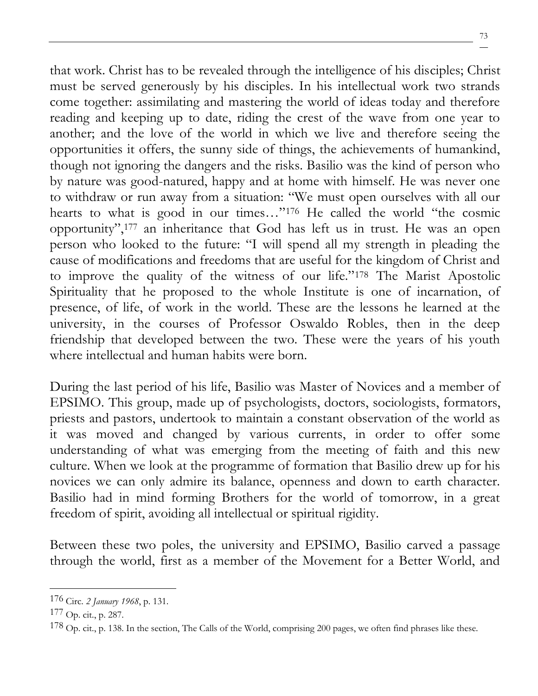that work. Christ has to be revealed through the intelligence of his disciples; Christ must be served generously by his disciples. In his intellectual work two strands come together: assimilating and mastering the world of ideas today and therefore reading and keeping up to date, riding the crest of the wave from one year to another; and the love of the world in which we live and therefore seeing the opportunities it offers, the sunny side of things, the achievements of humankind, though not ignoring the dangers and the risks. Basilio was the kind of person who by nature was good-natured, happy and at home with himself. He was never one to withdraw or run away from a situation: "We must open ourselves with all our hearts to what is good in our times…"<sup>176</sup> He called the world "the cosmic opportunity",<sup>177</sup> an inheritance that God has left us in trust. He was an open person who looked to the future: "I will spend all my strength in pleading the cause of modifications and freedoms that are useful for the kingdom of Christ and to improve the quality of the witness of our life."<sup>178</sup> The Marist Apostolic Spirituality that he proposed to the whole Institute is one of incarnation, of presence, of life, of work in the world. These are the lessons he learned at the university, in the courses of Professor Oswaldo Robles, then in the deep friendship that developed between the two. These were the years of his youth where intellectual and human habits were born.

During the last period of his life, Basilio was Master of Novices and a member of EPSIMO. This group, made up of psychologists, doctors, sociologists, formators, priests and pastors, undertook to maintain a constant observation of the world as it was moved and changed by various currents, in order to offer some understanding of what was emerging from the meeting of faith and this new culture. When we look at the programme of formation that Basilio drew up for his novices we can only admire its balance, openness and down to earth character. Basilio had in mind forming Brothers for the world of tomorrow, in a great freedom of spirit, avoiding all intellectual or spiritual rigidity.

Between these two poles, the university and EPSIMO, Basilio carved a passage through the world, first as a member of the Movement for a Better World, and

<sup>176</sup> Circ. *2 January 1968*, p. 131.

<sup>177</sup> Op. cit., p. 287.

 $178$  Op. cit., p. 138. In the section, The Calls of the World, comprising 200 pages, we often find phrases like these.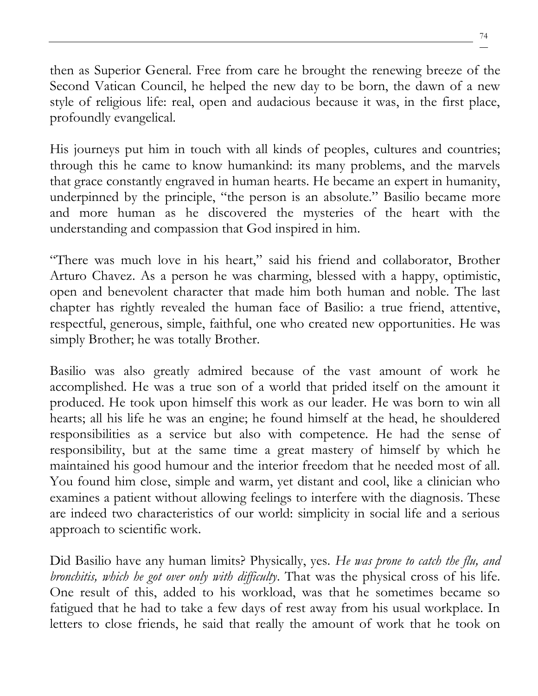then as Superior General. Free from care he brought the renewing breeze of the Second Vatican Council, he helped the new day to be born, the dawn of a new style of religious life: real, open and audacious because it was, in the first place, profoundly evangelical.

His journeys put him in touch with all kinds of peoples, cultures and countries; through this he came to know humankind: its many problems, and the marvels that grace constantly engraved in human hearts. He became an expert in humanity, underpinned by the principle, "the person is an absolute." Basilio became more and more human as he discovered the mysteries of the heart with the understanding and compassion that God inspired in him.

"There was much love in his heart," said his friend and collaborator, Brother Arturo Chavez. As a person he was charming, blessed with a happy, optimistic, open and benevolent character that made him both human and noble. The last chapter has rightly revealed the human face of Basilio: a true friend, attentive, respectful, generous, simple, faithful, one who created new opportunities. He was simply Brother; he was totally Brother.

Basilio was also greatly admired because of the vast amount of work he accomplished. He was a true son of a world that prided itself on the amount it produced. He took upon himself this work as our leader. He was born to win all hearts; all his life he was an engine; he found himself at the head, he shouldered responsibilities as a service but also with competence. He had the sense of responsibility, but at the same time a great mastery of himself by which he maintained his good humour and the interior freedom that he needed most of all. You found him close, simple and warm, yet distant and cool, like a clinician who examines a patient without allowing feelings to interfere with the diagnosis. These are indeed two characteristics of our world: simplicity in social life and a serious approach to scientific work.

Did Basilio have any human limits? Physically, yes. *He was prone to catch the flu, and bronchitis, which he got over only with difficulty*. That was the physical cross of his life. One result of this, added to his workload, was that he sometimes became so fatigued that he had to take a few days of rest away from his usual workplace. In letters to close friends, he said that really the amount of work that he took on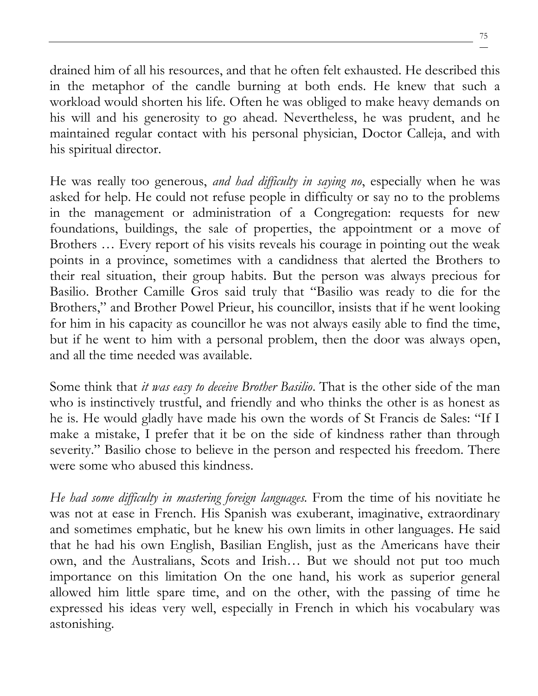drained him of all his resources, and that he often felt exhausted. He described this in the metaphor of the candle burning at both ends. He knew that such a workload would shorten his life. Often he was obliged to make heavy demands on his will and his generosity to go ahead. Nevertheless, he was prudent, and he maintained regular contact with his personal physician, Doctor Calleja, and with his spiritual director.

He was really too generous, *and had difficulty in saying no*, especially when he was asked for help. He could not refuse people in difficulty or say no to the problems in the management or administration of a Congregation: requests for new foundations, buildings, the sale of properties, the appointment or a move of Brothers … Every report of his visits reveals his courage in pointing out the weak points in a province, sometimes with a candidness that alerted the Brothers to their real situation, their group habits. But the person was always precious for Basilio. Brother Camille Gros said truly that "Basilio was ready to die for the Brothers," and Brother Powel Prieur, his councillor, insists that if he went looking for him in his capacity as councillor he was not always easily able to find the time, but if he went to him with a personal problem, then the door was always open, and all the time needed was available.

Some think that *it was easy to deceive Brother Basilio*. That is the other side of the man who is instinctively trustful, and friendly and who thinks the other is as honest as he is. He would gladly have made his own the words of St Francis de Sales: "If I make a mistake, I prefer that it be on the side of kindness rather than through severity." Basilio chose to believe in the person and respected his freedom. There were some who abused this kindness.

*He had some difficulty in mastering foreign languages.* From the time of his novitiate he was not at ease in French. His Spanish was exuberant, imaginative, extraordinary and sometimes emphatic, but he knew his own limits in other languages. He said that he had his own English, Basilian English, just as the Americans have their own, and the Australians, Scots and Irish… But we should not put too much importance on this limitation On the one hand, his work as superior general allowed him little spare time, and on the other, with the passing of time he expressed his ideas very well, especially in French in which his vocabulary was astonishing.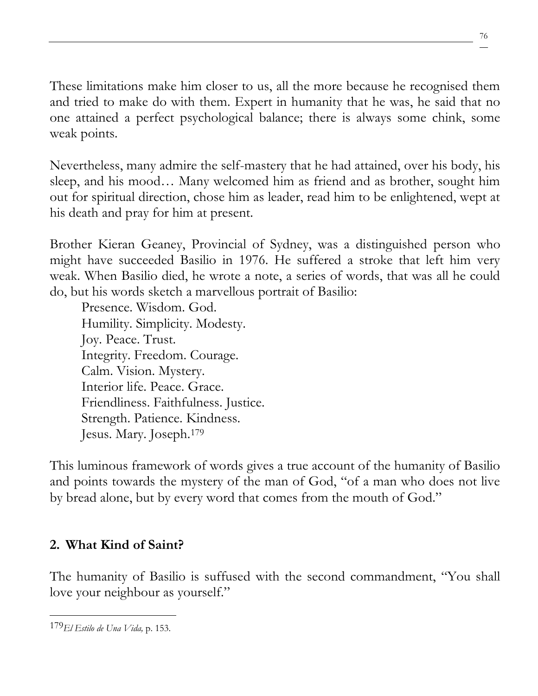These limitations make him closer to us, all the more because he recognised them and tried to make do with them. Expert in humanity that he was, he said that no one attained a perfect psychological balance; there is always some chink, some weak points.

Nevertheless, many admire the self-mastery that he had attained, over his body, his sleep, and his mood… Many welcomed him as friend and as brother, sought him out for spiritual direction, chose him as leader, read him to be enlightened, wept at his death and pray for him at present.

Brother Kieran Geaney, Provincial of Sydney, was a distinguished person who might have succeeded Basilio in 1976. He suffered a stroke that left him very weak. When Basilio died, he wrote a note, a series of words, that was all he could do, but his words sketch a marvellous portrait of Basilio:

Presence. Wisdom. God. Humility. Simplicity. Modesty. Joy. Peace. Trust. Integrity. Freedom. Courage. Calm. Vision. Mystery. Interior life. Peace. Grace. Friendliness. Faithfulness. Justice. Strength. Patience. Kindness. Jesus. Mary. Joseph.<sup>179</sup>

This luminous framework of words gives a true account of the humanity of Basilio and points towards the mystery of the man of God, "of a man who does not live by bread alone, but by every word that comes from the mouth of God."

### **2. What Kind of Saint?**

The humanity of Basilio is suffused with the second commandment, "You shall love your neighbour as yourself."

<sup>179</sup>*El Estilo de Una Vida,* p. 153.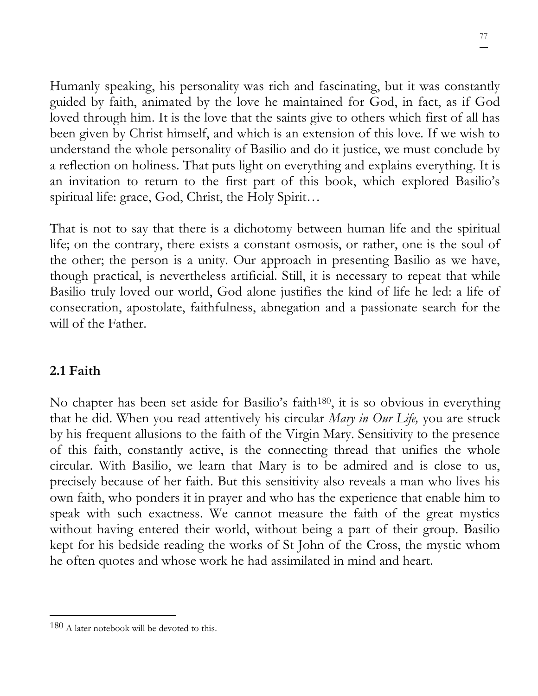Humanly speaking, his personality was rich and fascinating, but it was constantly guided by faith, animated by the love he maintained for God, in fact, as if God loved through him. It is the love that the saints give to others which first of all has been given by Christ himself, and which is an extension of this love. If we wish to understand the whole personality of Basilio and do it justice, we must conclude by a reflection on holiness. That puts light on everything and explains everything. It is an invitation to return to the first part of this book, which explored Basilio's spiritual life: grace, God, Christ, the Holy Spirit...

That is not to say that there is a dichotomy between human life and the spiritual life; on the contrary, there exists a constant osmosis, or rather, one is the soul of the other; the person is a unity. Our approach in presenting Basilio as we have, though practical, is nevertheless artificial. Still, it is necessary to repeat that while Basilio truly loved our world, God alone justifies the kind of life he led: a life of consecration, apostolate, faithfulness, abnegation and a passionate search for the will of the Father.

#### **2.1 Faith**

No chapter has been set aside for Basilio's faith180, it is so obvious in everything that he did. When you read attentively his circular *Mary in Our Life,* you are struck by his frequent allusions to the faith of the Virgin Mary. Sensitivity to the presence of this faith, constantly active, is the connecting thread that unifies the whole circular. With Basilio, we learn that Mary is to be admired and is close to us, precisely because of her faith. But this sensitivity also reveals a man who lives his own faith, who ponders it in prayer and who has the experience that enable him to speak with such exactness. We cannot measure the faith of the great mystics without having entered their world, without being a part of their group. Basilio kept for his bedside reading the works of St John of the Cross, the mystic whom he often quotes and whose work he had assimilated in mind and heart.

<sup>180</sup> A later notebook will be devoted to this.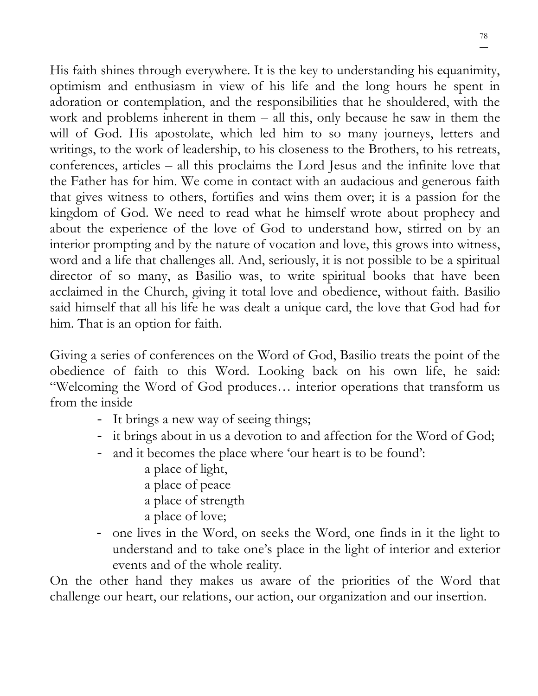His faith shines through everywhere. It is the key to understanding his equanimity, optimism and enthusiasm in view of his life and the long hours he spent in adoration or contemplation, and the responsibilities that he shouldered, with the work and problems inherent in them – all this, only because he saw in them the will of God. His apostolate, which led him to so many journeys, letters and writings, to the work of leadership, to his closeness to the Brothers, to his retreats, conferences, articles – all this proclaims the Lord Jesus and the infinite love that the Father has for him. We come in contact with an audacious and generous faith that gives witness to others, fortifies and wins them over; it is a passion for the kingdom of God. We need to read what he himself wrote about prophecy and about the experience of the love of God to understand how, stirred on by an interior prompting and by the nature of vocation and love, this grows into witness, word and a life that challenges all. And, seriously, it is not possible to be a spiritual director of so many, as Basilio was, to write spiritual books that have been acclaimed in the Church, giving it total love and obedience, without faith. Basilio said himself that all his life he was dealt a unique card, the love that God had for him. That is an option for faith.

Giving a series of conferences on the Word of God, Basilio treats the point of the obedience of faith to this Word. Looking back on his own life, he said: "Welcoming the Word of God produces… interior operations that transform us from the inside

- It brings a new way of seeing things;
- it brings about in us a devotion to and affection for the Word of God;
- and it becomes the place where 'our heart is to be found':
	- a place of light,
	- a place of peace
	- a place of strength
	- a place of love;
- one lives in the Word, on seeks the Word, one finds in it the light to understand and to take one's place in the light of interior and exterior events and of the whole reality.

On the other hand they makes us aware of the priorities of the Word that challenge our heart, our relations, our action, our organization and our insertion.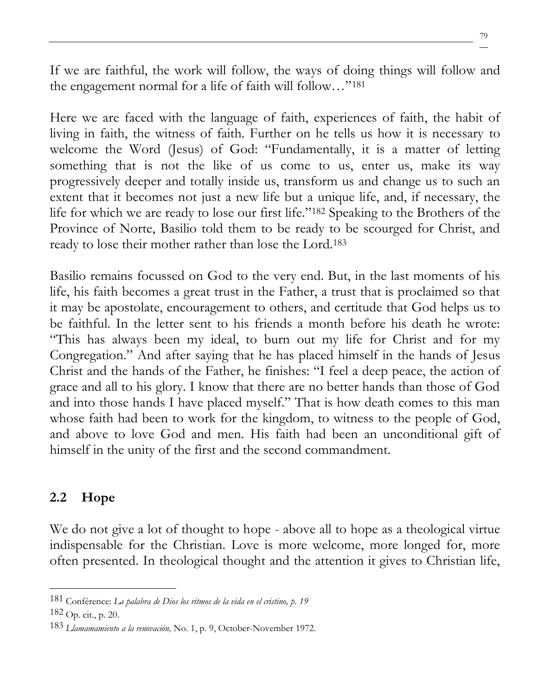If we are faithful, the work will follow, the ways of doing things will follow and the engagement normal for a life of faith will follow…"<sup>181</sup>

Here we are faced with the language of faith, experiences of faith, the habit of living in faith, the witness of faith. Further on he tells us how it is necessary to welcome the Word (Jesus) of God: "Fundamentally, it is a matter of letting something that is not the like of us come to us, enter us, make its way progressively deeper and totally inside us, transform us and change us to such an extent that it becomes not just a new life but a unique life, and, if necessary, the life for which we are ready to lose our first life."<sup>182</sup> Speaking to the Brothers of the Province of Norte, Basilio told them to be ready to be scourged for Christ, and ready to lose their mother rather than lose the Lord.<sup>183</sup>

Basilio remains focussed on God to the very end. But, in the last moments of his life, his faith becomes a great trust in the Father, a trust that is proclaimed so that it may be apostolate, encouragement to others, and certitude that God helps us to be faithful. In the letter sent to his friends a month before his death he wrote: "This has always been my ideal, to burn out my life for Christ and for my Congregation." And after saying that he has placed himself in the hands of Jesus Christ and the hands of the Father, he finishes: "I feel a deep peace, the action of grace and all to his glory. I know that there are no better hands than those of God and into those hands I have placed myself." That is how death comes to this man whose faith had been to work for the kingdom, to witness to the people of God, and above to love God and men. His faith had been an unconditional gift of himself in the unity of the first and the second commandment.

### **2.2 Hope**

We do not give a lot of thought to hope - above all to hope as a theological virtue indispensable for the Christian. Love is more welcome, more longed for, more often presented. In theological thought and the attention it gives to Christian life,

<sup>181</sup> Conférence: *La palabra de Dios los ritmos de la vida en el cristino, p. 19*

<sup>182</sup> Op. cit., p. 20.

<sup>183</sup> *Llamamamiento a la renovación,* No. 1, p. 9, October-November 1972.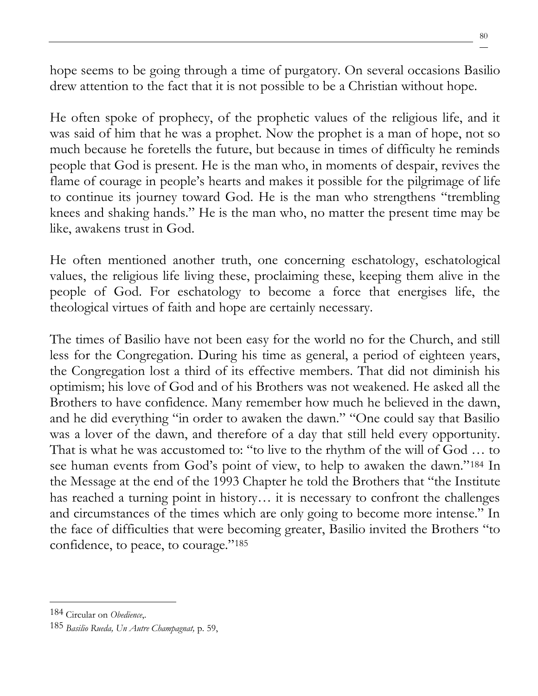hope seems to be going through a time of purgatory. On several occasions Basilio drew attention to the fact that it is not possible to be a Christian without hope.

He often spoke of prophecy, of the prophetic values of the religious life, and it was said of him that he was a prophet. Now the prophet is a man of hope, not so much because he foretells the future, but because in times of difficulty he reminds people that God is present. He is the man who, in moments of despair, revives the flame of courage in people's hearts and makes it possible for the pilgrimage of life to continue its journey toward God. He is the man who strengthens "trembling knees and shaking hands." He is the man who, no matter the present time may be like, awakens trust in God.

He often mentioned another truth, one concerning eschatology, eschatological values, the religious life living these, proclaiming these, keeping them alive in the people of God. For eschatology to become a force that energises life, the theological virtues of faith and hope are certainly necessary.

The times of Basilio have not been easy for the world no for the Church, and still less for the Congregation. During his time as general, a period of eighteen years, the Congregation lost a third of its effective members. That did not diminish his optimism; his love of God and of his Brothers was not weakened. He asked all the Brothers to have confidence. Many remember how much he believed in the dawn, and he did everything "in order to awaken the dawn." "One could say that Basilio was a lover of the dawn, and therefore of a day that still held every opportunity. That is what he was accustomed to: "to live to the rhythm of the will of God … to see human events from God's point of view, to help to awaken the dawn."<sup>184</sup> In the Message at the end of the 1993 Chapter he told the Brothers that "the Institute has reached a turning point in history... it is necessary to confront the challenges and circumstances of the times which are only going to become more intense." In the face of difficulties that were becoming greater, Basilio invited the Brothers "to confidence, to peace, to courage."<sup>185</sup>

<sup>184</sup> Circular on *Obedience*,.

<sup>185</sup> *Basilio Rueda, Un Autre Champagnat,* p. 59,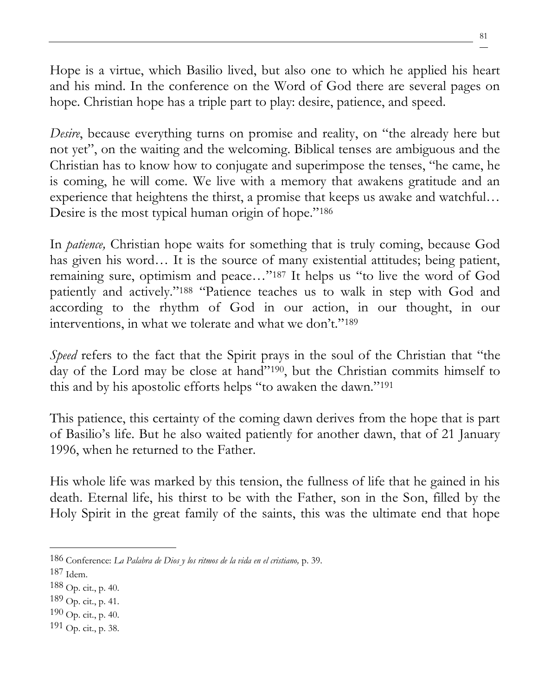Hope is a virtue, which Basilio lived, but also one to which he applied his heart and his mind. In the conference on the Word of God there are several pages on hope. Christian hope has a triple part to play: desire, patience, and speed.

*Desire*, because everything turns on promise and reality, on "the already here but not yet", on the waiting and the welcoming. Biblical tenses are ambiguous and the Christian has to know how to conjugate and superimpose the tenses, "he came, he is coming, he will come. We live with a memory that awakens gratitude and an experience that heightens the thirst, a promise that keeps us awake and watchful… Desire is the most typical human origin of hope."<sup>186</sup>

In *patience,* Christian hope waits for something that is truly coming, because God has given his word... It is the source of many existential attitudes; being patient, remaining sure, optimism and peace…"<sup>187</sup> It helps us "to live the word of God patiently and actively."<sup>188</sup> "Patience teaches us to walk in step with God and according to the rhythm of God in our action, in our thought, in our interventions, in what we tolerate and what we don't."<sup>189</sup>

*Speed* refers to the fact that the Spirit prays in the soul of the Christian that "the day of the Lord may be close at hand"190, but the Christian commits himself to this and by his apostolic efforts helps "to awaken the dawn."<sup>191</sup>

This patience, this certainty of the coming dawn derives from the hope that is part of Basilio's life. But he also waited patiently for another dawn, that of 21 January 1996, when he returned to the Father.

His whole life was marked by this tension, the fullness of life that he gained in his death. Eternal life, his thirst to be with the Father, son in the Son, filled by the Holy Spirit in the great family of the saints, this was the ultimate end that hope

- 190 Op. cit., p. 40.
- 191 Op. cit., p. 38.

<sup>186</sup> Conference: *La Palabra de Dios y los ritmos de la vida en el cristiano,* p. 39.

<sup>187</sup> Idem.

 $188$  Op. cit., p. 40.

 $189$  Op. cit., p. 41.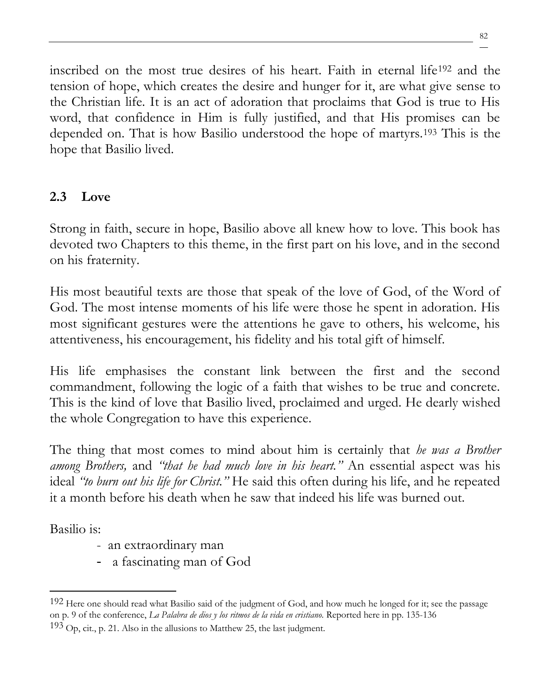inscribed on the most true desires of his heart. Faith in eternal life<sup>192</sup> and the tension of hope, which creates the desire and hunger for it, are what give sense to the Christian life. It is an act of adoration that proclaims that God is true to His word, that confidence in Him is fully justified, and that His promises can be depended on. That is how Basilio understood the hope of martyrs.<sup>193</sup> This is the hope that Basilio lived.

### **2.3 Love**

Strong in faith, secure in hope, Basilio above all knew how to love. This book has devoted two Chapters to this theme, in the first part on his love, and in the second on his fraternity.

His most beautiful texts are those that speak of the love of God, of the Word of God. The most intense moments of his life were those he spent in adoration. His most significant gestures were the attentions he gave to others, his welcome, his attentiveness, his encouragement, his fidelity and his total gift of himself.

His life emphasises the constant link between the first and the second commandment, following the logic of a faith that wishes to be true and concrete. This is the kind of love that Basilio lived, proclaimed and urged. He dearly wished the whole Congregation to have this experience.

The thing that most comes to mind about him is certainly that *he was a Brother among Brothers,* and *"that he had much love in his heart."* An essential aspect was his ideal *"to burn out his life for Christ."* He said this often during his life, and he repeated it a month before his death when he saw that indeed his life was burned out.

Basilio is:

- an extraordinary man
- a fascinating man of God

<sup>192</sup> Here one should read what Basilio said of the judgment of God, and how much he longed for it; see the passage on p. 9 of the conference, *La Palabra de dios y los ritmos de la vida en cristiano.* Reported here in pp. 135-136

 $193$  Op, cit., p. 21. Also in the allusions to Matthew 25, the last judgment.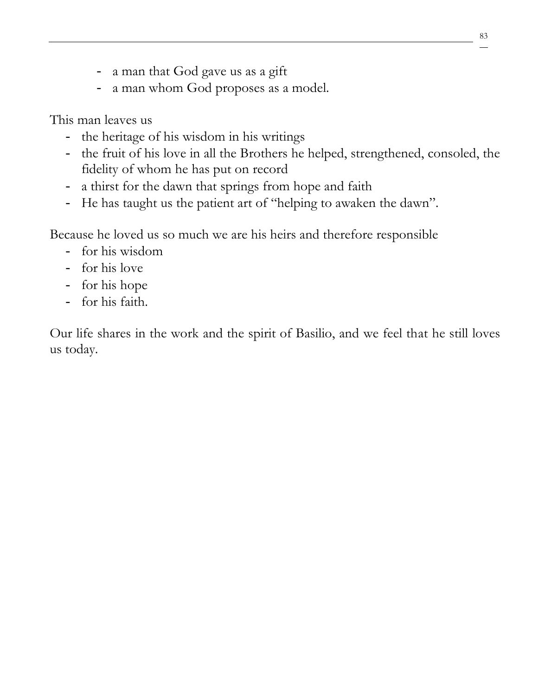- a man that God gave us as a gift
- a man whom God proposes as a model.

This man leaves us

- the heritage of his wisdom in his writings
- the fruit of his love in all the Brothers he helped, strengthened, consoled, the fidelity of whom he has put on record
- a thirst for the dawn that springs from hope and faith
- He has taught us the patient art of "helping to awaken the dawn".

Because he loved us so much we are his heirs and therefore responsible

- for his wisdom
- for his love
- for his hope
- for his faith.

Our life shares in the work and the spirit of Basilio, and we feel that he still loves us today.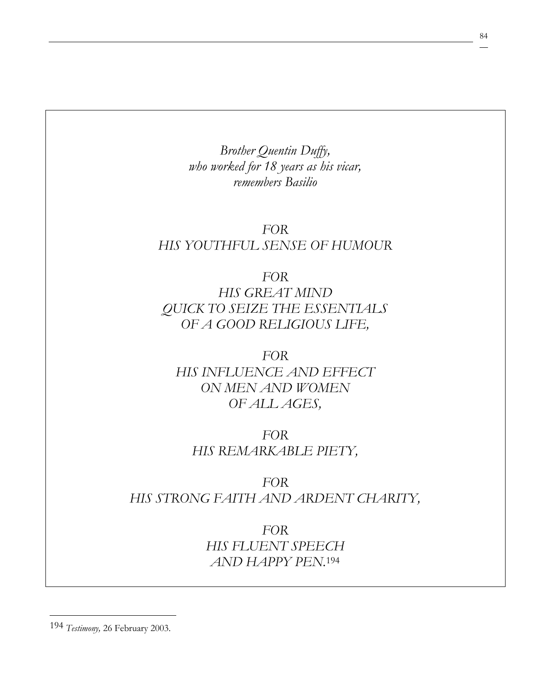*Brother Quentin Duffy, who worked for 18 years as his vicar, remembers Basilio*

#### *FOR HIS YOUTHFUL SENSE OF HUMOUR*

*FOR HIS GREAT MIND QUICK TO SEIZE THE ESSENTIALS OF A GOOD RELIGIOUS LIFE,*

*FOR HIS INFLUENCE AND EFFECT ON MEN AND WOMEN OF ALL AGES,*

*FOR HIS REMARKABLE PIETY,* 

*FOR HIS STRONG FAITH AND ARDENT CHARITY,*

> *FOR HIS FLUENT SPEECH AND HAPPY PEN.*<sup>194</sup>

194 *Testimony,* 26 February 2003.